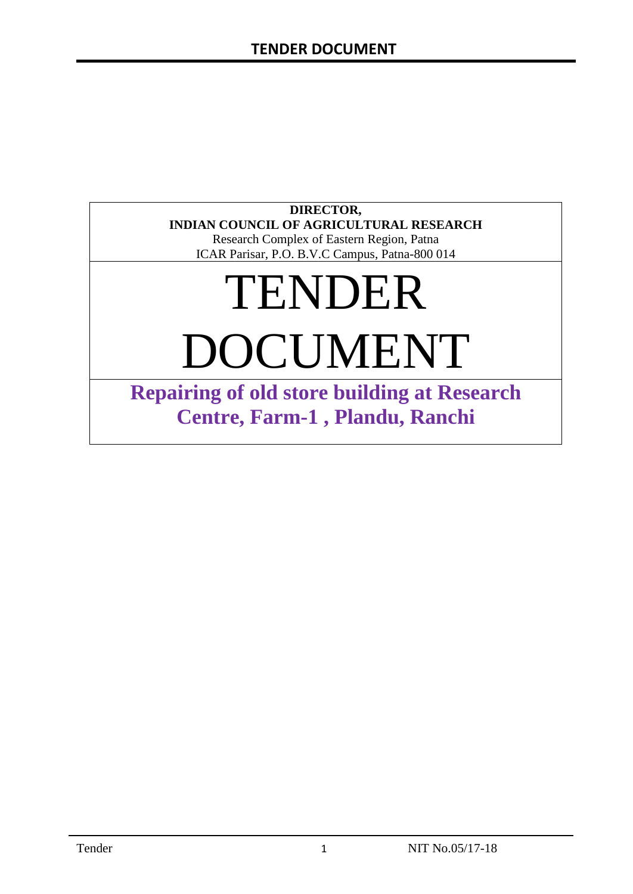#### **DIRECTOR, INDIAN COUNCIL OF AGRICULTURAL RESEARCH**

Research Complex of Eastern Region, Patna ICAR Parisar, P.O. B.V.C Campus, Patna-800 014

# TENDER DOCUMENT

**Repairing of old store building at Research Centre, Farm-1 , Plandu, Ranchi**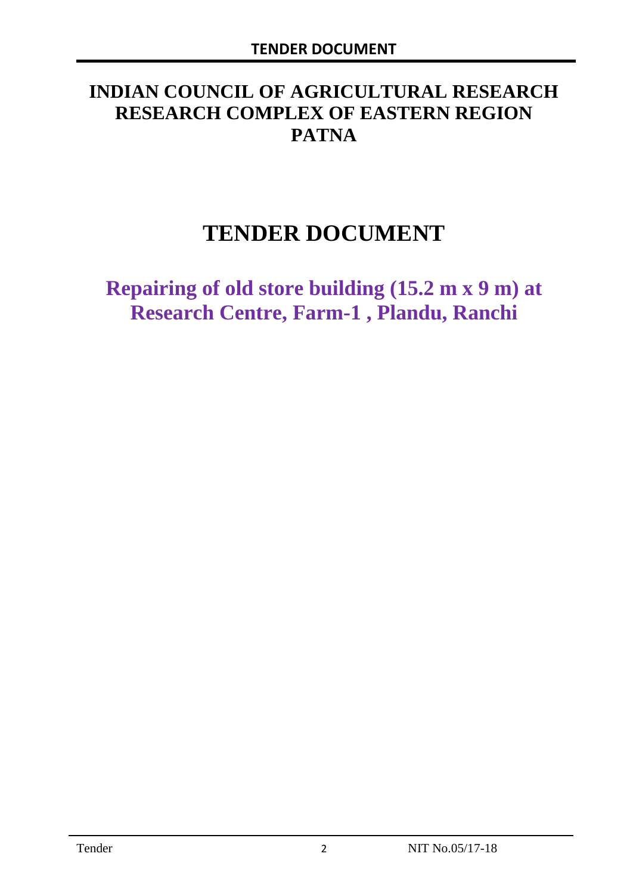# **INDIAN COUNCIL OF AGRICULTURAL RESEARCH RESEARCH COMPLEX OF EASTERN REGION PATNA**

# **TENDER DOCUMENT**

**Repairing of old store building (15.2 m x 9 m) at Research Centre, Farm-1 , Plandu, Ranchi**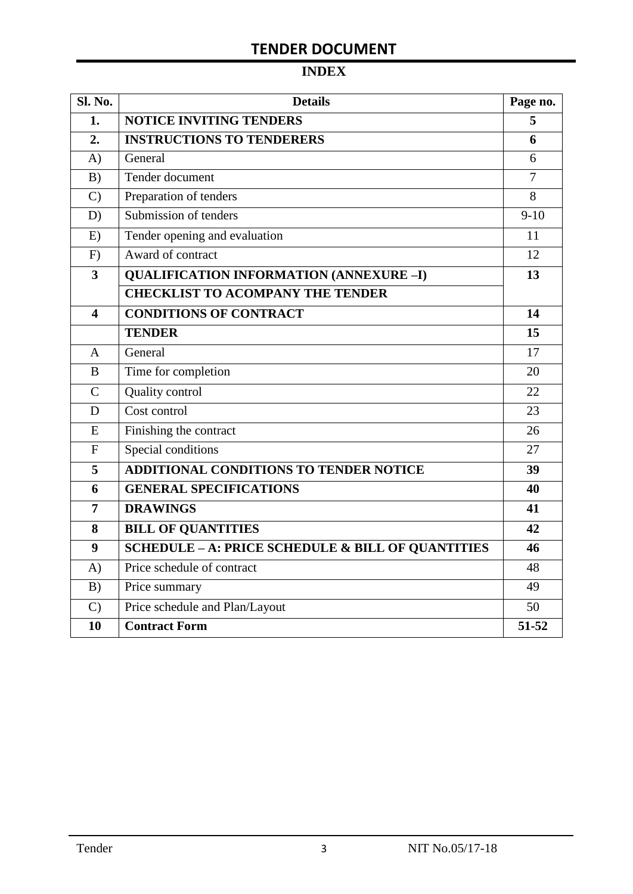### **INDEX**

| <b>Sl. No.</b> | <b>Details</b>                                               | Page no.       |
|----------------|--------------------------------------------------------------|----------------|
| 1.             | <b>NOTICE INVITING TENDERS</b>                               | 5              |
| 2.             | <b>INSTRUCTIONS TO TENDERERS</b>                             | 6              |
| A)             | General                                                      | 6              |
| B)             | Tender document                                              | $\overline{7}$ |
| $\mathcal{C}$  | Preparation of tenders                                       | 8              |
| D)             | Submission of tenders                                        | $9-10$         |
| E)             | Tender opening and evaluation                                | 11             |
| F)             | Award of contract                                            | 12             |
| 3              | <b>QUALIFICATION INFORMATION (ANNEXURE -I)</b>               | 13             |
|                | <b>CHECKLIST TO ACOMPANY THE TENDER</b>                      |                |
| 4              | <b>CONDITIONS OF CONTRACT</b>                                | 14             |
|                | <b>TENDER</b>                                                | 15             |
| $\mathsf{A}$   | General                                                      | 17             |
| B              | Time for completion                                          | 20             |
| $\mathcal{C}$  | Quality control                                              | 22             |
| D              | Cost control                                                 | 23             |
| E              | Finishing the contract                                       | 26             |
| $\mathbf{F}$   | Special conditions                                           | 27             |
| 5              | <b>ADDITIONAL CONDITIONS TO TENDER NOTICE</b>                | 39             |
| 6              | <b>GENERAL SPECIFICATIONS</b>                                | 40             |
| 7              | <b>DRAWINGS</b>                                              | 41             |
| 8              | <b>BILL OF QUANTITIES</b>                                    | 42             |
| 9              | <b>SCHEDULE - A: PRICE SCHEDULE &amp; BILL OF QUANTITIES</b> | 46             |
| A)             | Price schedule of contract                                   | 48             |
| B)             | Price summary                                                | 49             |
| $\mathcal{C}$  | Price schedule and Plan/Layout                               | 50             |
| 10             | <b>Contract Form</b>                                         | 51-52          |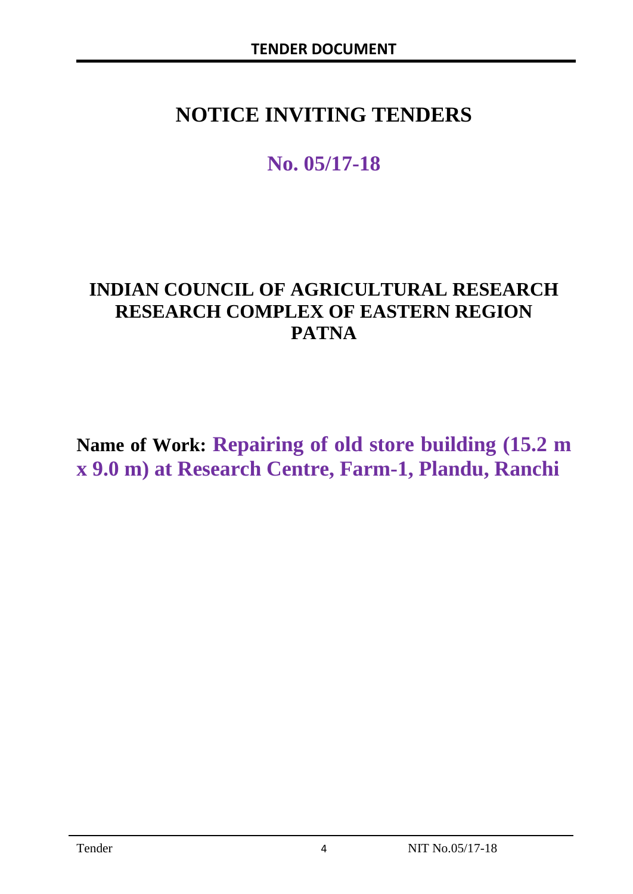# **NOTICE INVITING TENDERS**

# **No. 05/17-18**

# **INDIAN COUNCIL OF AGRICULTURAL RESEARCH RESEARCH COMPLEX OF EASTERN REGION PATNA**

**Name of Work: Repairing of old store building (15.2 m x 9.0 m) at Research Centre, Farm-1, Plandu, Ranchi**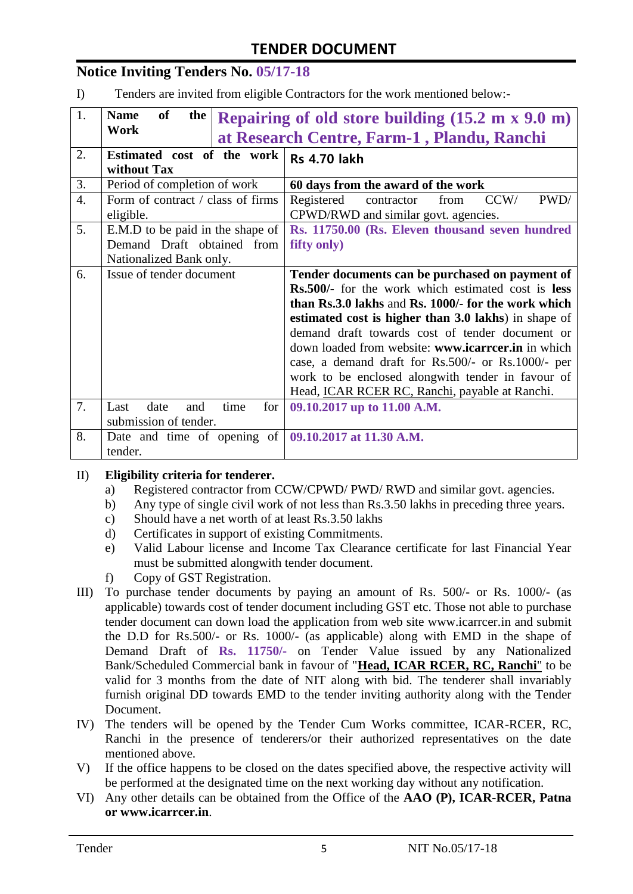#### **Notice Inviting Tenders No. 05/17-18**

I) Tenders are invited from eligible Contractors for the work mentioned below:-

| 1.               | <b>of</b><br><b>Name</b><br>the                                                             | Repairing of old store building $(15.2 \text{ m x } 9.0 \text{ m})$                                                                                                                                                                                                                                                                                                                                                                                                                                      |  |  |  |  |
|------------------|---------------------------------------------------------------------------------------------|----------------------------------------------------------------------------------------------------------------------------------------------------------------------------------------------------------------------------------------------------------------------------------------------------------------------------------------------------------------------------------------------------------------------------------------------------------------------------------------------------------|--|--|--|--|
|                  | Work                                                                                        | at Research Centre, Farm-1, Plandu, Ranchi                                                                                                                                                                                                                                                                                                                                                                                                                                                               |  |  |  |  |
| 2.               | Estimated cost of the work<br>without Tax                                                   | <b>Rs 4.70 lakh</b>                                                                                                                                                                                                                                                                                                                                                                                                                                                                                      |  |  |  |  |
| 3.               | Period of completion of work                                                                | 60 days from the award of the work                                                                                                                                                                                                                                                                                                                                                                                                                                                                       |  |  |  |  |
| $\overline{4}$ . | Form of contract / class of firms<br>eligible.                                              | contractor<br>CCW/<br>PWD/<br>Registered<br>from<br>CPWD/RWD and similar govt. agencies.                                                                                                                                                                                                                                                                                                                                                                                                                 |  |  |  |  |
| 5.               | E.M.D to be paid in the shape of<br>Demand Draft obtained from<br>Nationalized Bank only.   | Rs. 11750.00 (Rs. Eleven thousand seven hundred<br>fifty only)                                                                                                                                                                                                                                                                                                                                                                                                                                           |  |  |  |  |
| 6.               | Issue of tender document                                                                    | Tender documents can be purchased on payment of<br><b>Rs.500/-</b> for the work which estimated cost is <b>less</b><br>than Rs.3.0 lakhs and Rs. 1000/- for the work which<br>estimated cost is higher than 3.0 lakhs) in shape of<br>demand draft towards cost of tender document or<br>down loaded from website: www.icarrcer.in in which<br>case, a demand draft for Rs.500/- or Rs.1000/- per<br>work to be enclosed alongwith tender in favour of<br>Head, ICAR RCER RC, Ranchi, payable at Ranchi. |  |  |  |  |
| 7.               | Last<br>date<br>time<br>and<br>for <sub>1</sub><br>submission of tender.                    | 09.10.2017 up to 11.00 A.M.                                                                                                                                                                                                                                                                                                                                                                                                                                                                              |  |  |  |  |
| 8.               | Date and time of opening of $\sqrt{(99.10.2017 \text{ at } 11.30 \text{ A.M.})}$<br>tender. |                                                                                                                                                                                                                                                                                                                                                                                                                                                                                                          |  |  |  |  |

#### II) **Eligibility criteria for tenderer.**

- a) Registered contractor from CCW/CPWD/ PWD/ RWD and similar govt. agencies.
- b) Any type of single civil work of not less than Rs.3.50 lakhs in preceding three years.
- c) Should have a net worth of at least Rs.3.50 lakhs
- d) Certificates in support of existing Commitments.
- e) Valid Labour license and Income Tax Clearance certificate for last Financial Year must be submitted alongwith tender document.
- f) Copy of GST Registration.
- III) To purchase tender documents by paying an amount of Rs. 500/- or Rs. 1000/- (as applicable) towards cost of tender document including GST etc. Those not able to purchase tender document can down load the application from web site www.icarrcer.in and submit the D.D for Rs.500/- or Rs. 1000/- (as applicable) along with EMD in the shape of Demand Draft of **Rs. 11750/-** on Tender Value issued by any Nationalized Bank/Scheduled Commercial bank in favour of "**Head, ICAR RCER, RC, Ranchi**" to be valid for 3 months from the date of NIT along with bid. The tenderer shall invariably furnish original DD towards EMD to the tender inviting authority along with the Tender Document.
- IV) The tenders will be opened by the Tender Cum Works committee, ICAR-RCER, RC, Ranchi in the presence of tenderers/or their authorized representatives on the date mentioned above.
- V) If the office happens to be closed on the dates specified above, the respective activity will be performed at the designated time on the next working day without any notification.
- VI) Any other details can be obtained from the Office of the **AAO (P), ICAR-RCER, Patna or www.icarrcer.in**.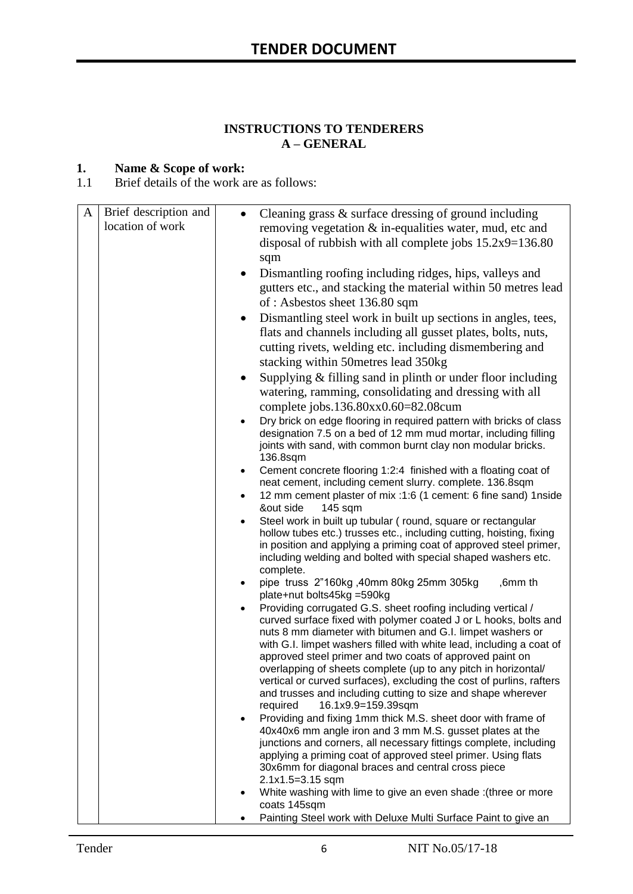#### **INSTRUCTIONS TO TENDERERS A – GENERAL**

#### **1. Name & Scope of work:**

1.1 Brief details of the work are as follows:

| A | Brief description and<br>location of work | Cleaning grass & surface dressing of ground including<br>$\bullet$<br>removing vegetation & in-equalities water, mud, etc and<br>disposal of rubbish with all complete jobs $15.2x9=136.80$<br>sqm                                                                                                                                                                                                                                                                                                                                                                                                                                                  |
|---|-------------------------------------------|-----------------------------------------------------------------------------------------------------------------------------------------------------------------------------------------------------------------------------------------------------------------------------------------------------------------------------------------------------------------------------------------------------------------------------------------------------------------------------------------------------------------------------------------------------------------------------------------------------------------------------------------------------|
|   |                                           | Dismantling roofing including ridges, hips, valleys and<br>$\bullet$<br>gutters etc., and stacking the material within 50 metres lead<br>of: Asbestos sheet 136.80 sqm                                                                                                                                                                                                                                                                                                                                                                                                                                                                              |
|   |                                           | Dismantling steel work in built up sections in angles, tees,<br>$\bullet$<br>flats and channels including all gusset plates, bolts, nuts,<br>cutting rivets, welding etc. including dismembering and<br>stacking within 50 metres lead 350 kg                                                                                                                                                                                                                                                                                                                                                                                                       |
|   |                                           | Supplying & filling sand in plinth or under floor including<br>$\bullet$<br>watering, ramming, consolidating and dressing with all<br>complete jobs.136.80xx0.60=82.08cum                                                                                                                                                                                                                                                                                                                                                                                                                                                                           |
|   |                                           | Dry brick on edge flooring in required pattern with bricks of class<br>designation 7.5 on a bed of 12 mm mud mortar, including filling<br>joints with sand, with common burnt clay non modular bricks.<br>136.8sqm                                                                                                                                                                                                                                                                                                                                                                                                                                  |
|   |                                           | Cement concrete flooring 1:2:4 finished with a floating coat of<br>$\bullet$<br>neat cement, including cement slurry. complete. 136.8sqm                                                                                                                                                                                                                                                                                                                                                                                                                                                                                                            |
|   |                                           | 12 mm cement plaster of mix :1:6 (1 cement: 6 fine sand) 1nside<br>٠<br>&out side<br>$145$ sqm                                                                                                                                                                                                                                                                                                                                                                                                                                                                                                                                                      |
|   |                                           | Steel work in built up tubular (round, square or rectangular<br>hollow tubes etc.) trusses etc., including cutting, hoisting, fixing<br>in position and applying a priming coat of approved steel primer,<br>including welding and bolted with special shaped washers etc.<br>complete.                                                                                                                                                                                                                                                                                                                                                             |
|   |                                           | pipe truss 2"160kg, 40mm 80kg 25mm 305kg<br>,6mm th<br>$\bullet$<br>plate+nut bolts45kg =590kg                                                                                                                                                                                                                                                                                                                                                                                                                                                                                                                                                      |
|   |                                           | Providing corrugated G.S. sheet roofing including vertical /<br>curved surface fixed with polymer coated J or L hooks, bolts and<br>nuts 8 mm diameter with bitumen and G.I. limpet washers or<br>with G.I. limpet washers filled with white lead, including a coat of<br>approved steel primer and two coats of approved paint on<br>overlapping of sheets complete (up to any pitch in horizontal/<br>vertical or curved surfaces), excluding the cost of purlins, rafters<br>and trusses and including cutting to size and shape wherever<br>16.1x9.9=159.39sqm<br>required<br>Providing and fixing 1mm thick M.S. sheet door with frame of<br>٠ |
|   |                                           | 40x40x6 mm angle iron and 3 mm M.S. gusset plates at the<br>junctions and corners, all necessary fittings complete, including<br>applying a priming coat of approved steel primer. Using flats                                                                                                                                                                                                                                                                                                                                                                                                                                                      |
|   |                                           | 30x6mm for diagonal braces and central cross piece<br>2.1x1.5=3.15 sqm                                                                                                                                                                                                                                                                                                                                                                                                                                                                                                                                                                              |
|   |                                           | White washing with lime to give an even shade : (three or more<br>coats 145sqm                                                                                                                                                                                                                                                                                                                                                                                                                                                                                                                                                                      |
|   |                                           | Painting Steel work with Deluxe Multi Surface Paint to give an                                                                                                                                                                                                                                                                                                                                                                                                                                                                                                                                                                                      |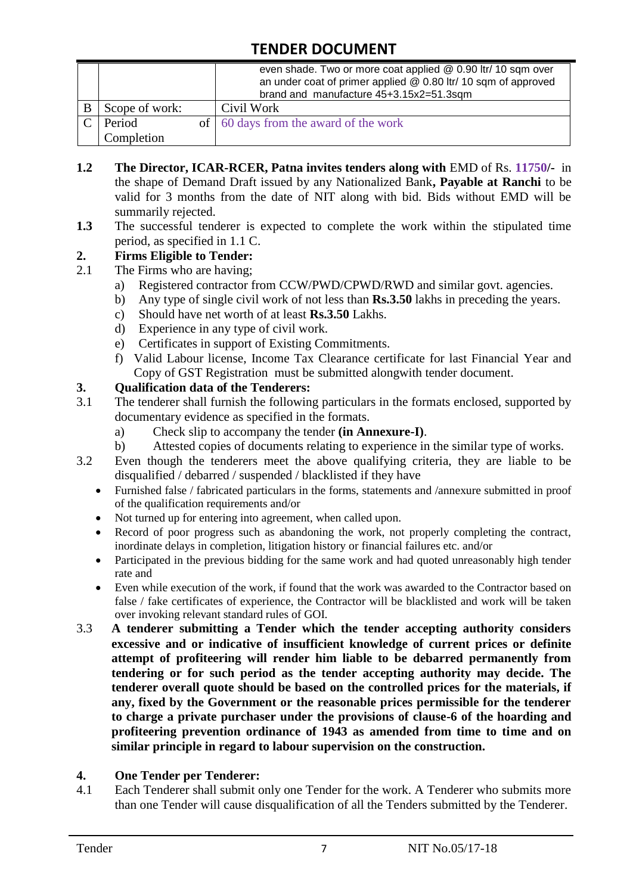| brand and manufacture 45+3.15x2=51.3sqm |  | even shade. Two or more coat applied @ 0.90 ltr/ 10 sqm over<br>an under coat of primer applied @ 0.80 ltr/ 10 sqm of approved |
|-----------------------------------------|--|--------------------------------------------------------------------------------------------------------------------------------|
| Scope of work:                          |  | Civil Work                                                                                                                     |
| Period                                  |  | of 60 days from the award of the work                                                                                          |
| Completion                              |  |                                                                                                                                |

- **1.2 The Director, ICAR-RCER, Patna invites tenders along with** EMD of Rs. **11750/-** in the shape of Demand Draft issued by any Nationalized Bank**, Payable at Ranchi** to be valid for 3 months from the date of NIT along with bid. Bids without EMD will be summarily rejected.
- **1.3** The successful tenderer is expected to complete the work within the stipulated time period, as specified in 1.1 C.

#### **2. Firms Eligible to Tender:**

- 2.1 The Firms who are having;
	- a) Registered contractor from CCW/PWD/CPWD/RWD and similar govt. agencies.
	- b) Any type of single civil work of not less than **Rs.3.50** lakhs in preceding the years.
	- c) Should have net worth of at least **Rs.3.50** Lakhs.
	- d) Experience in any type of civil work.
	- e) Certificates in support of Existing Commitments.
	- f) Valid Labour license, Income Tax Clearance certificate for last Financial Year and Copy of GST Registration must be submitted alongwith tender document.

#### **3. Qualification data of the Tenderers:**

- 3.1 The tenderer shall furnish the following particulars in the formats enclosed, supported by documentary evidence as specified in the formats.
	- a) Check slip to accompany the tender **(in Annexure-I)**.
	- b) Attested copies of documents relating to experience in the similar type of works.
- 3.2 Even though the tenderers meet the above qualifying criteria, they are liable to be disqualified / debarred / suspended / blacklisted if they have
	- Furnished false / fabricated particulars in the forms, statements and /annexure submitted in proof of the qualification requirements and/or
	- Not turned up for entering into agreement, when called upon.
	- Record of poor progress such as abandoning the work, not properly completing the contract, inordinate delays in completion, litigation history or financial failures etc. and/or
	- Participated in the previous bidding for the same work and had quoted unreasonably high tender rate and
	- Even while execution of the work, if found that the work was awarded to the Contractor based on false / fake certificates of experience, the Contractor will be blacklisted and work will be taken over invoking relevant standard rules of GOI.
- 3.3 **A tenderer submitting a Tender which the tender accepting authority considers excessive and or indicative of insufficient knowledge of current prices or definite attempt of profiteering will render him liable to be debarred permanently from tendering or for such period as the tender accepting authority may decide. The tenderer overall quote should be based on the controlled prices for the materials, if any, fixed by the Government or the reasonable prices permissible for the tenderer to charge a private purchaser under the provisions of clause-6 of the hoarding and profiteering prevention ordinance of 1943 as amended from time to time and on similar principle in regard to labour supervision on the construction.**

#### **4. One Tender per Tenderer:**

4.1 Each Tenderer shall submit only one Tender for the work. A Tenderer who submits more than one Tender will cause disqualification of all the Tenders submitted by the Tenderer.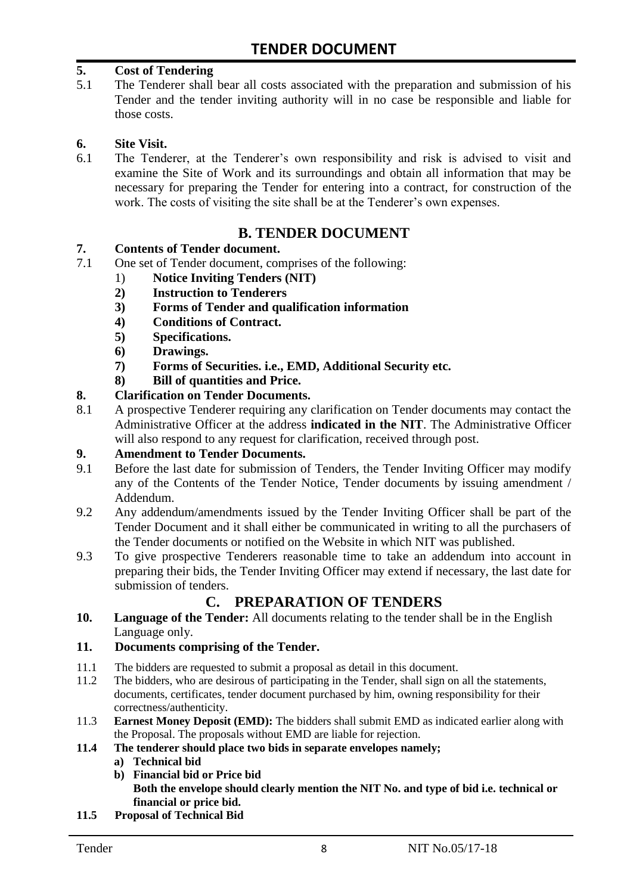#### **5. Cost of Tendering**

5.1 The Tenderer shall bear all costs associated with the preparation and submission of his Tender and the tender inviting authority will in no case be responsible and liable for those costs.

#### **6. Site Visit.**

6.1 The Tenderer, at the Tenderer's own responsibility and risk is advised to visit and examine the Site of Work and its surroundings and obtain all information that may be necessary for preparing the Tender for entering into a contract, for construction of the work. The costs of visiting the site shall be at the Tenderer's own expenses.

#### **B. TENDER DOCUMENT**

#### **7. Contents of Tender document.**

- 7.1 One set of Tender document, comprises of the following:
	- 1) **Notice Inviting Tenders (NIT)**
	- **2) Instruction to Tenderers**
	- **3) Forms of Tender and qualification information**
	- **4) Conditions of Contract.**
	- **5) Specifications.**
	- **6) Drawings.**
	- **7) Forms of Securities. i.e., EMD, Additional Security etc.**
	- **8) Bill of quantities and Price.**

#### **8. Clarification on Tender Documents.**

8.1 A prospective Tenderer requiring any clarification on Tender documents may contact the Administrative Officer at the address **indicated in the NIT**. The Administrative Officer will also respond to any request for clarification, received through post.

#### **9. Amendment to Tender Documents.**

- 9.1 Before the last date for submission of Tenders, the Tender Inviting Officer may modify any of the Contents of the Tender Notice, Tender documents by issuing amendment / Addendum.
- 9.2 Any addendum/amendments issued by the Tender Inviting Officer shall be part of the Tender Document and it shall either be communicated in writing to all the purchasers of the Tender documents or notified on the Website in which NIT was published.
- 9.3 To give prospective Tenderers reasonable time to take an addendum into account in preparing their bids, the Tender Inviting Officer may extend if necessary, the last date for submission of tenders.

### **C. PREPARATION OF TENDERS**

**10. Language of the Tender:** All documents relating to the tender shall be in the English Language only.

#### **11. Documents comprising of the Tender.**

- 11.1 The bidders are requested to submit a proposal as detail in this document.
- 11.2 The bidders, who are desirous of participating in the Tender, shall sign on all the statements, documents, certificates, tender document purchased by him, owning responsibility for their correctness/authenticity.
- 11.3 **Earnest Money Deposit (EMD):** The bidders shall submit EMD as indicated earlier along with the Proposal. The proposals without EMD are liable for rejection.
- **11.4 The tenderer should place two bids in separate envelopes namely;**
	- **a) Technical bid**
	- **b) Financial bid or Price bid Both the envelope should clearly mention the NIT No. and type of bid i.e. technical or financial or price bid.**
- **11.5 Proposal of Technical Bid**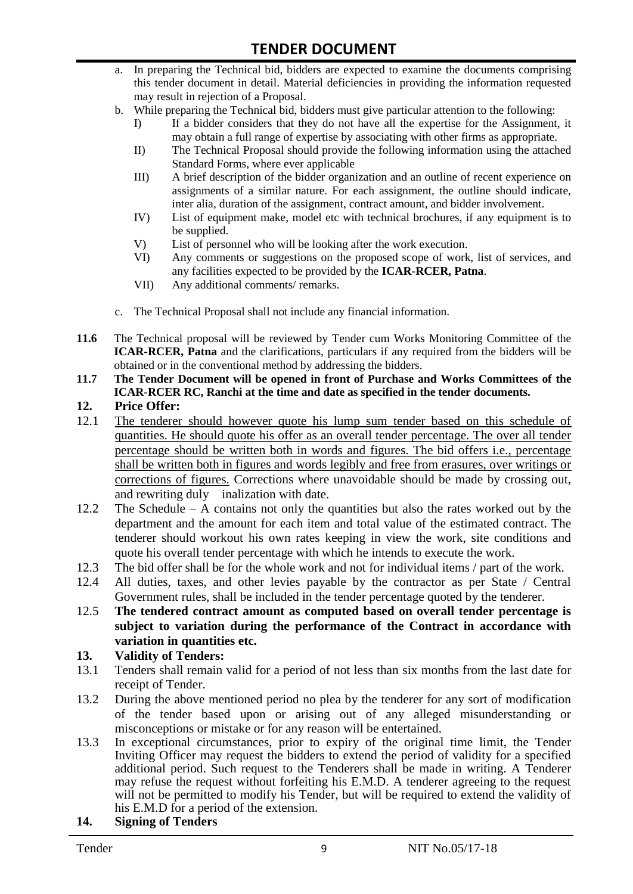- a. In preparing the Technical bid, bidders are expected to examine the documents comprising this tender document in detail. Material deficiencies in providing the information requested may result in rejection of a Proposal.
- b. While preparing the Technical bid, bidders must give particular attention to the following:
	- I) If a bidder considers that they do not have all the expertise for the Assignment, it may obtain a full range of expertise by associating with other firms as appropriate.
	- II) The Technical Proposal should provide the following information using the attached Standard Forms, where ever applicable
	- III) A brief description of the bidder organization and an outline of recent experience on assignments of a similar nature. For each assignment, the outline should indicate, inter alia, duration of the assignment, contract amount, and bidder involvement.
	- IV) List of equipment make, model etc with technical brochures, if any equipment is to be supplied.
	- V) List of personnel who will be looking after the work execution.
	- VI) Any comments or suggestions on the proposed scope of work, list of services, and any facilities expected to be provided by the **ICAR-RCER, Patna**.
	- VII) Any additional comments/ remarks.
- c. The Technical Proposal shall not include any financial information.
- **11.6** The Technical proposal will be reviewed by Tender cum Works Monitoring Committee of the **ICAR-RCER, Patna** and the clarifications, particulars if any required from the bidders will be obtained or in the conventional method by addressing the bidders.
- **11.7 The Tender Document will be opened in front of Purchase and Works Committees of the ICAR-RCER RC, Ranchi at the time and date as specified in the tender documents.**

#### **12. Price Offer:**

- 12.1 The tenderer should however quote his lump sum tender based on this schedule of quantities. He should quote his offer as an overall tender percentage. The over all tender percentage should be written both in words and figures. The bid offers i.e., percentage shall be written both in figures and words legibly and free from erasures, over writings or corrections of figures. Corrections where unavoidable should be made by crossing out, and rewriting duly inalization with date.
- 12.2 The Schedule A contains not only the quantities but also the rates worked out by the department and the amount for each item and total value of the estimated contract. The tenderer should workout his own rates keeping in view the work, site conditions and quote his overall tender percentage with which he intends to execute the work.
- 12.3 The bid offer shall be for the whole work and not for individual items / part of the work.
- 12.4 All duties, taxes, and other levies payable by the contractor as per State / Central Government rules, shall be included in the tender percentage quoted by the tenderer.
- 12.5 **The tendered contract amount as computed based on overall tender percentage is subject to variation during the performance of the Contract in accordance with variation in quantities etc.**

#### **13. Validity of Tenders:**

- 13.1 Tenders shall remain valid for a period of not less than six months from the last date for receipt of Tender.
- 13.2 During the above mentioned period no plea by the tenderer for any sort of modification of the tender based upon or arising out of any alleged misunderstanding or misconceptions or mistake or for any reason will be entertained.
- 13.3 In exceptional circumstances, prior to expiry of the original time limit, the Tender Inviting Officer may request the bidders to extend the period of validity for a specified additional period. Such request to the Tenderers shall be made in writing. A Tenderer may refuse the request without forfeiting his E.M.D. A tenderer agreeing to the request will not be permitted to modify his Tender, but will be required to extend the validity of his E.M.D for a period of the extension.

#### **14. Signing of Tenders**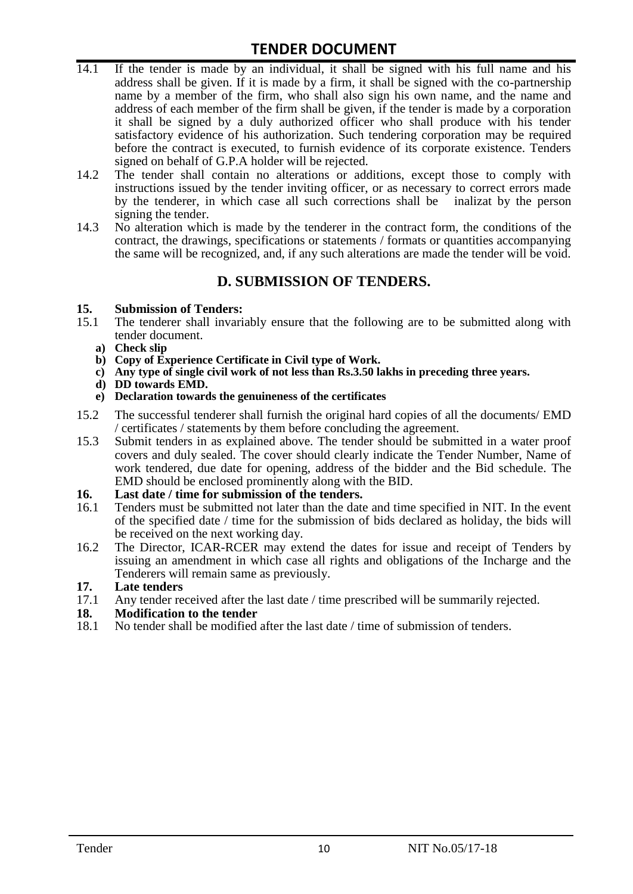- 14.1 If the tender is made by an individual, it shall be signed with his full name and his address shall be given. If it is made by a firm, it shall be signed with the co-partnership name by a member of the firm, who shall also sign his own name, and the name and address of each member of the firm shall be given, if the tender is made by a corporation it shall be signed by a duly authorized officer who shall produce with his tender satisfactory evidence of his authorization. Such tendering corporation may be required before the contract is executed, to furnish evidence of its corporate existence. Tenders signed on behalf of G.P.A holder will be rejected.
- 14.2 The tender shall contain no alterations or additions, except those to comply with instructions issued by the tender inviting officer, or as necessary to correct errors made by the tenderer, in which case all such corrections shall be inalizat by the person signing the tender.
- 14.3 No alteration which is made by the tenderer in the contract form, the conditions of the contract, the drawings, specifications or statements / formats or quantities accompanying the same will be recognized, and, if any such alterations are made the tender will be void.

#### **D. SUBMISSION OF TENDERS.**

#### **15. Submission of Tenders:**

- 15.1 The tenderer shall invariably ensure that the following are to be submitted along with tender document.
	- **a) Check slip**
	- **b) Copy of Experience Certificate in Civil type of Work.**
	- **c) Any type of single civil work of not less than Rs.3.50 lakhs in preceding three years.**
	- **d) DD towards EMD.**
	- **e) Declaration towards the genuineness of the certificates**
- 15.2 The successful tenderer shall furnish the original hard copies of all the documents/ EMD / certificates / statements by them before concluding the agreement.
- 15.3 Submit tenders in as explained above. The tender should be submitted in a water proof covers and duly sealed. The cover should clearly indicate the Tender Number, Name of work tendered, due date for opening, address of the bidder and the Bid schedule. The EMD should be enclosed prominently along with the BID.

#### **16. Last date / time for submission of the tenders.**

- 16.1 Tenders must be submitted not later than the date and time specified in NIT. In the event of the specified date / time for the submission of bids declared as holiday, the bids will be received on the next working day.
- 16.2 The Director, ICAR-RCER may extend the dates for issue and receipt of Tenders by issuing an amendment in which case all rights and obligations of the Incharge and the Tenderers will remain same as previously.

# **17. Late tenders**

17.1 Any tender received after the last date / time prescribed will be summarily rejected.<br>18. Modification to the tender

#### **18. Modification to the tender**

18.1 No tender shall be modified after the last date / time of submission of tenders.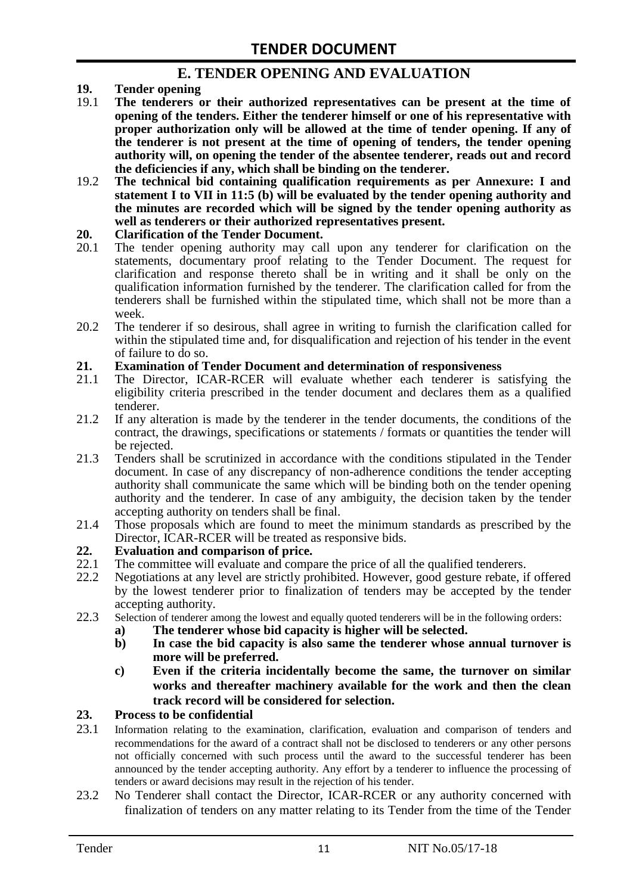#### **E. TENDER OPENING AND EVALUATION**

- **19. Tender opening**
- 19.1 **The tenderers or their authorized representatives can be present at the time of opening of the tenders. Either the tenderer himself or one of his representative with proper authorization only will be allowed at the time of tender opening. If any of the tenderer is not present at the time of opening of tenders, the tender opening authority will, on opening the tender of the absentee tenderer, reads out and record the deficiencies if any, which shall be binding on the tenderer.**
- 19.2 **The technical bid containing qualification requirements as per Annexure: I and statement I to VII in 11:5 (b) will be evaluated by the tender opening authority and the minutes are recorded which will be signed by the tender opening authority as well as tenderers or their authorized representatives present.**

#### **20. Clarification of the Tender Document.**

- 20.1 The tender opening authority may call upon any tenderer for clarification on the statements, documentary proof relating to the Tender Document. The request for clarification and response thereto shall be in writing and it shall be only on the qualification information furnished by the tenderer. The clarification called for from the tenderers shall be furnished within the stipulated time, which shall not be more than a week.
- 20.2 The tenderer if so desirous, shall agree in writing to furnish the clarification called for within the stipulated time and, for disqualification and rejection of his tender in the event of failure to do so.

# **21. Examination of Tender Document and determination of responsiveness**

- 21.1 The Director, ICAR-RCER will evaluate whether each tenderer is satisfying the eligibility criteria prescribed in the tender document and declares them as a qualified tenderer.
- 21.2 If any alteration is made by the tenderer in the tender documents, the conditions of the contract, the drawings, specifications or statements / formats or quantities the tender will be rejected.
- 21.3 Tenders shall be scrutinized in accordance with the conditions stipulated in the Tender document. In case of any discrepancy of non-adherence conditions the tender accepting authority shall communicate the same which will be binding both on the tender opening authority and the tenderer. In case of any ambiguity, the decision taken by the tender accepting authority on tenders shall be final.
- 21.4 Those proposals which are found to meet the minimum standards as prescribed by the Director, ICAR-RCER will be treated as responsive bids.

# **22. Evaluation and comparison of price.**

- The committee will evaluate and compare the price of all the qualified tenderers.
- 22.2 Negotiations at any level are strictly prohibited. However, good gesture rebate, if offered by the lowest tenderer prior to finalization of tenders may be accepted by the tender accepting authority.
- 22.3 Selection of tenderer among the lowest and equally quoted tenderers will be in the following orders:
	- **a) The tenderer whose bid capacity is higher will be selected.**
	- **b) In case the bid capacity is also same the tenderer whose annual turnover is more will be preferred.**
	- **c) Even if the criteria incidentally become the same, the turnover on similar works and thereafter machinery available for the work and then the clean track record will be considered for selection.**

#### **23. Process to be confidential**

- 23.1 Information relating to the examination, clarification, evaluation and comparison of tenders and recommendations for the award of a contract shall not be disclosed to tenderers or any other persons not officially concerned with such process until the award to the successful tenderer has been announced by the tender accepting authority. Any effort by a tenderer to influence the processing of tenders or award decisions may result in the rejection of his tender.
- 23.2 No Tenderer shall contact the Director, ICAR-RCER or any authority concerned with finalization of tenders on any matter relating to its Tender from the time of the Tender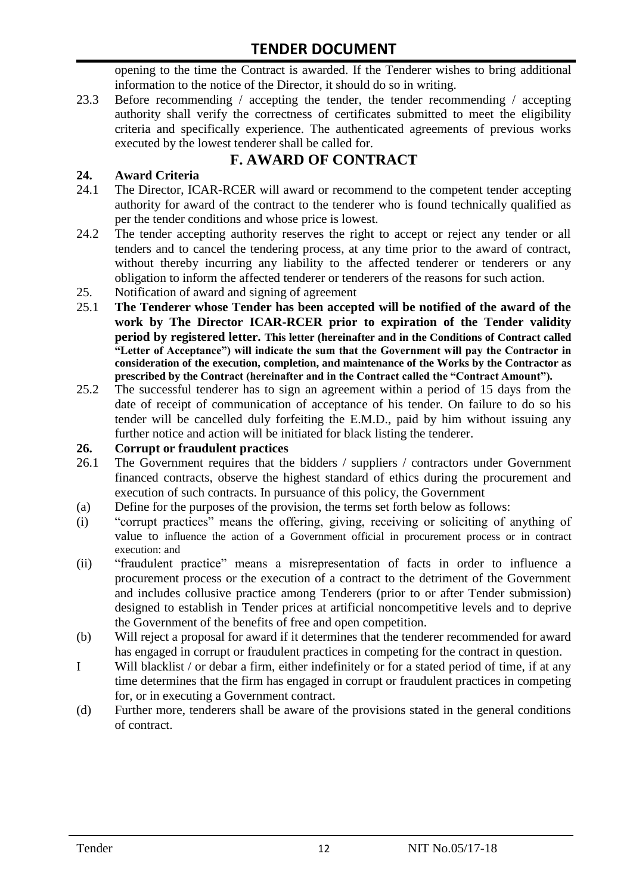opening to the time the Contract is awarded. If the Tenderer wishes to bring additional information to the notice of the Director, it should do so in writing.

23.3 Before recommending / accepting the tender, the tender recommending / accepting authority shall verify the correctness of certificates submitted to meet the eligibility criteria and specifically experience. The authenticated agreements of previous works executed by the lowest tenderer shall be called for.

# **F. AWARD OF CONTRACT**

#### **24. Award Criteria**

- 24.1 The Director, ICAR-RCER will award or recommend to the competent tender accepting authority for award of the contract to the tenderer who is found technically qualified as per the tender conditions and whose price is lowest.
- 24.2 The tender accepting authority reserves the right to accept or reject any tender or all tenders and to cancel the tendering process, at any time prior to the award of contract, without thereby incurring any liability to the affected tenderer or tenderers or any obligation to inform the affected tenderer or tenderers of the reasons for such action.
- 25. Notification of award and signing of agreement
- 25.1 **The Tenderer whose Tender has been accepted will be notified of the award of the work by The Director ICAR-RCER prior to expiration of the Tender validity period by registered letter. This letter (hereinafter and in the Conditions of Contract called "Letter of Acceptance") will indicate the sum that the Government will pay the Contractor in consideration of the execution, completion, and maintenance of the Works by the Contractor as prescribed by the Contract (hereinafter and in the Contract called the "Contract Amount").**
- 25.2 The successful tenderer has to sign an agreement within a period of 15 days from the date of receipt of communication of acceptance of his tender. On failure to do so his tender will be cancelled duly forfeiting the E.M.D., paid by him without issuing any further notice and action will be initiated for black listing the tenderer.

#### **26. Corrupt or fraudulent practices**

- 26.1 The Government requires that the bidders / suppliers / contractors under Government financed contracts, observe the highest standard of ethics during the procurement and execution of such contracts. In pursuance of this policy, the Government
- (a) Define for the purposes of the provision, the terms set forth below as follows:
- (i) "corrupt practices" means the offering, giving, receiving or soliciting of anything of value to influence the action of a Government official in procurement process or in contract execution: and
- (ii) "fraudulent practice" means a misrepresentation of facts in order to influence a procurement process or the execution of a contract to the detriment of the Government and includes collusive practice among Tenderers (prior to or after Tender submission) designed to establish in Tender prices at artificial noncompetitive levels and to deprive the Government of the benefits of free and open competition.
- (b) Will reject a proposal for award if it determines that the tenderer recommended for award has engaged in corrupt or fraudulent practices in competing for the contract in question.
- I Will blacklist / or debar a firm, either indefinitely or for a stated period of time, if at any time determines that the firm has engaged in corrupt or fraudulent practices in competing for, or in executing a Government contract.
- (d) Further more, tenderers shall be aware of the provisions stated in the general conditions of contract.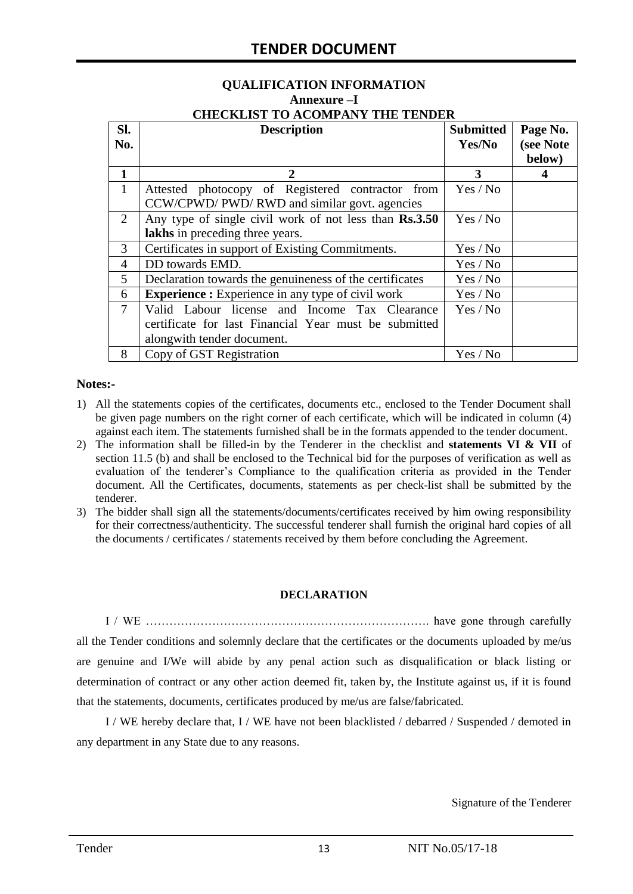#### **QUALIFICATION INFORMATION Annexure –I CHECKLIST TO ACOMPANY THE TENDER**

| Sl.            | <b>Description</b>                                       | <b>Submitted</b> | Page No.  |
|----------------|----------------------------------------------------------|------------------|-----------|
| No.            |                                                          | Yes/No           | (see Note |
|                |                                                          |                  | below)    |
| 1              | 2                                                        | 3                |           |
| $\mathbf{1}$   | Attested photocopy of Registered contractor from         | Yes / No         |           |
|                | CCW/CPWD/ PWD/ RWD and similar govt. agencies            |                  |           |
| 2              | Any type of single civil work of not less than Rs.3.50   | Yes / No         |           |
|                | lakhs in preceding three years.                          |                  |           |
| 3              | Certificates in support of Existing Commitments.         | Yes / No         |           |
| 4              | DD towards EMD.                                          | Yes / No         |           |
| 5              | Declaration towards the genuineness of the certificates  | Yes / No         |           |
| 6              | <b>Experience :</b> Experience in any type of civil work | Yes / No         |           |
| $\overline{7}$ | Valid Labour license and Income Tax Clearance            | Yes / No         |           |
|                | certificate for last Financial Year must be submitted    |                  |           |
|                | alongwith tender document.                               |                  |           |
| 8              | Copy of GST Registration                                 | Yes / No         |           |

#### **Notes:-**

- 1) All the statements copies of the certificates, documents etc., enclosed to the Tender Document shall be given page numbers on the right corner of each certificate, which will be indicated in column (4) against each item. The statements furnished shall be in the formats appended to the tender document.
- 2) The information shall be filled-in by the Tenderer in the checklist and **statements VI & VII** of section 11.5 (b) and shall be enclosed to the Technical bid for the purposes of verification as well as evaluation of the tenderer's Compliance to the qualification criteria as provided in the Tender document. All the Certificates, documents, statements as per check-list shall be submitted by the tenderer.
- 3) The bidder shall sign all the statements/documents/certificates received by him owing responsibility for their correctness/authenticity. The successful tenderer shall furnish the original hard copies of all the documents / certificates / statements received by them before concluding the Agreement.

#### **DECLARATION**

I / WE ………………………………………………………………. have gone through carefully all the Tender conditions and solemnly declare that the certificates or the documents uploaded by me/us are genuine and I/We will abide by any penal action such as disqualification or black listing or determination of contract or any other action deemed fit, taken by, the Institute against us, if it is found that the statements, documents, certificates produced by me/us are false/fabricated.

I / WE hereby declare that, I / WE have not been blacklisted / debarred / Suspended / demoted in any department in any State due to any reasons.

Signature of the Tenderer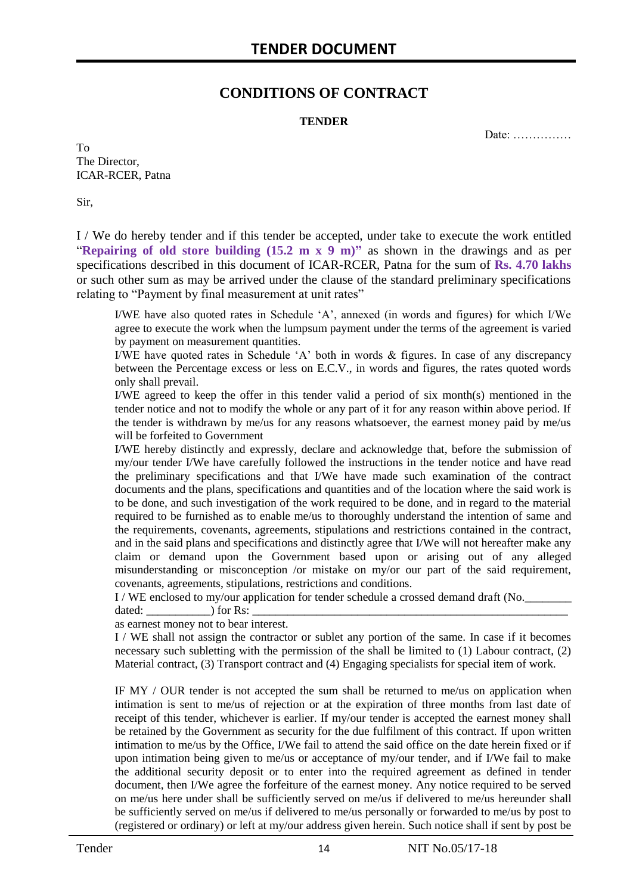#### **CONDITIONS OF CONTRACT**

#### **TENDER**

Date: ……………

To The Director, ICAR-RCER, Patna

Sir,

I / We do hereby tender and if this tender be accepted, under take to execute the work entitled "**Repairing of old store building (15.2 m x 9 m)"** as shown in the drawings and as per specifications described in this document of ICAR-RCER, Patna for the sum of **Rs. 4.70 lakhs** or such other sum as may be arrived under the clause of the standard preliminary specifications relating to "Payment by final measurement at unit rates"

I/WE have also quoted rates in Schedule 'A', annexed (in words and figures) for which I/We agree to execute the work when the lumpsum payment under the terms of the agreement is varied by payment on measurement quantities.

I/WE have quoted rates in Schedule 'A' both in words & figures. In case of any discrepancy between the Percentage excess or less on E.C.V., in words and figures, the rates quoted words only shall prevail.

I/WE agreed to keep the offer in this tender valid a period of six month(s) mentioned in the tender notice and not to modify the whole or any part of it for any reason within above period. If the tender is withdrawn by me/us for any reasons whatsoever, the earnest money paid by me/us will be forfeited to Government

I/WE hereby distinctly and expressly, declare and acknowledge that, before the submission of my/our tender I/We have carefully followed the instructions in the tender notice and have read the preliminary specifications and that I/We have made such examination of the contract documents and the plans, specifications and quantities and of the location where the said work is to be done, and such investigation of the work required to be done, and in regard to the material required to be furnished as to enable me/us to thoroughly understand the intention of same and the requirements, covenants, agreements, stipulations and restrictions contained in the contract, and in the said plans and specifications and distinctly agree that I/We will not hereafter make any claim or demand upon the Government based upon or arising out of any alleged misunderstanding or misconception /or mistake on my/or our part of the said requirement, covenants, agreements, stipulations, restrictions and conditions.

I / WE enclosed to my/our application for tender schedule a crossed demand draft (No.

dated: \_\_\_\_\_\_\_\_\_\_\_) for Rs: \_\_\_\_\_\_\_\_\_\_\_\_\_\_\_\_\_\_\_\_\_\_\_\_\_\_\_\_\_\_\_\_\_\_\_\_\_\_\_\_\_\_\_\_\_\_\_\_\_\_\_\_\_\_ as earnest money not to bear interest.

I / WE shall not assign the contractor or sublet any portion of the same. In case if it becomes necessary such subletting with the permission of the shall be limited to (1) Labour contract, (2) Material contract, (3) Transport contract and (4) Engaging specialists for special item of work.

IF MY / OUR tender is not accepted the sum shall be returned to me/us on application when intimation is sent to me/us of rejection or at the expiration of three months from last date of receipt of this tender, whichever is earlier. If my/our tender is accepted the earnest money shall be retained by the Government as security for the due fulfilment of this contract. If upon written intimation to me/us by the Office, I/We fail to attend the said office on the date herein fixed or if upon intimation being given to me/us or acceptance of my/our tender, and if I/We fail to make the additional security deposit or to enter into the required agreement as defined in tender document, then I/We agree the forfeiture of the earnest money. Any notice required to be served on me/us here under shall be sufficiently served on me/us if delivered to me/us hereunder shall be sufficiently served on me/us if delivered to me/us personally or forwarded to me/us by post to (registered or ordinary) or left at my/our address given herein. Such notice shall if sent by post be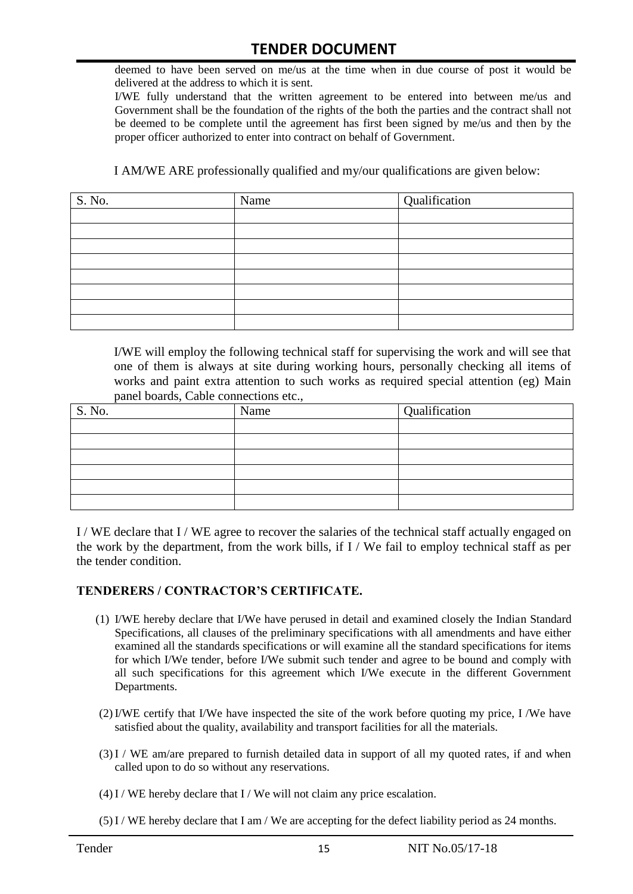deemed to have been served on me/us at the time when in due course of post it would be delivered at the address to which it is sent.

I/WE fully understand that the written agreement to be entered into between me/us and Government shall be the foundation of the rights of the both the parties and the contract shall not be deemed to be complete until the agreement has first been signed by me/us and then by the proper officer authorized to enter into contract on behalf of Government.

I AM/WE ARE professionally qualified and my/our qualifications are given below:

| S. No. | Name | Qualification |
|--------|------|---------------|
|        |      |               |
|        |      |               |
|        |      |               |
|        |      |               |
|        |      |               |
|        |      |               |
|        |      |               |
|        |      |               |

I/WE will employ the following technical staff for supervising the work and will see that one of them is always at site during working hours, personally checking all items of works and paint extra attention to such works as required special attention (eg) Main panel boards, Cable connections etc.,

| S. No. | Name | Qualification |
|--------|------|---------------|
|        |      |               |
|        |      |               |
|        |      |               |
|        |      |               |
|        |      |               |
|        |      |               |

I / WE declare that I / WE agree to recover the salaries of the technical staff actually engaged on the work by the department, from the work bills, if I / We fail to employ technical staff as per the tender condition.

#### **TENDERERS / CONTRACTOR'S CERTIFICATE.**

- (1) I/WE hereby declare that I/We have perused in detail and examined closely the Indian Standard Specifications, all clauses of the preliminary specifications with all amendments and have either examined all the standards specifications or will examine all the standard specifications for items for which I/We tender, before I/We submit such tender and agree to be bound and comply with all such specifications for this agreement which I/We execute in the different Government Departments.
- (2)I/WE certify that I/We have inspected the site of the work before quoting my price, I /We have satisfied about the quality, availability and transport facilities for all the materials.
- (3)I / WE am/are prepared to furnish detailed data in support of all my quoted rates, if and when called upon to do so without any reservations.
- $(4)$  I / WE hereby declare that I / We will not claim any price escalation.
- (5)I / WE hereby declare that I am / We are accepting for the defect liability period as 24 months.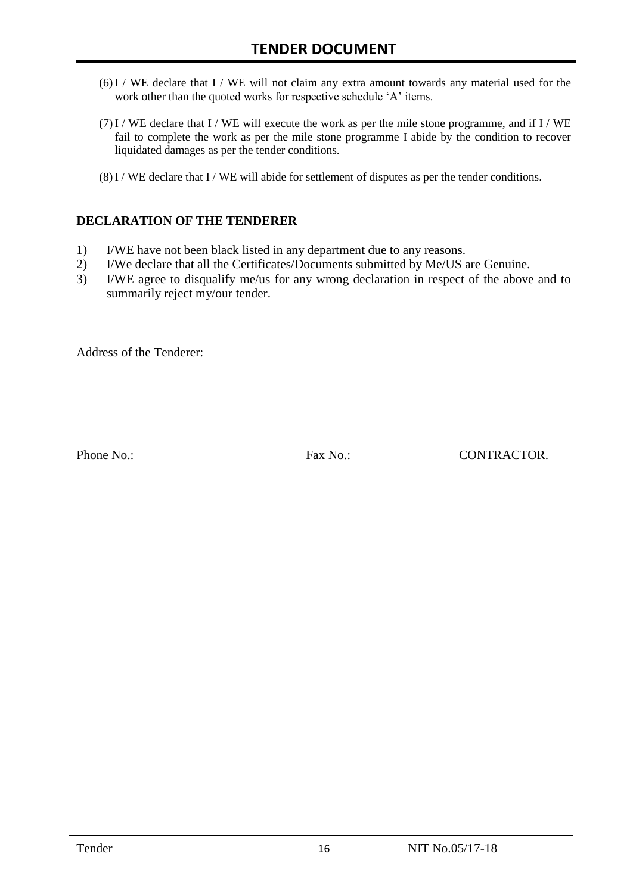- (6)I / WE declare that I / WE will not claim any extra amount towards any material used for the work other than the quoted works for respective schedule 'A' items.
- $(7)$  I / WE declare that I / WE will execute the work as per the mile stone programme, and if I / WE fail to complete the work as per the mile stone programme I abide by the condition to recover liquidated damages as per the tender conditions.
- (8)I / WE declare that I / WE will abide for settlement of disputes as per the tender conditions.

#### **DECLARATION OF THE TENDERER**

- 1) I/WE have not been black listed in any department due to any reasons.
- 2) I/We declare that all the Certificates/Documents submitted by Me/US are Genuine.
- 3) I/WE agree to disqualify me/us for any wrong declaration in respect of the above and to summarily reject my/our tender.

Address of the Tenderer:

Phone No.: Fax No.: Fax No.: CONTRACTOR.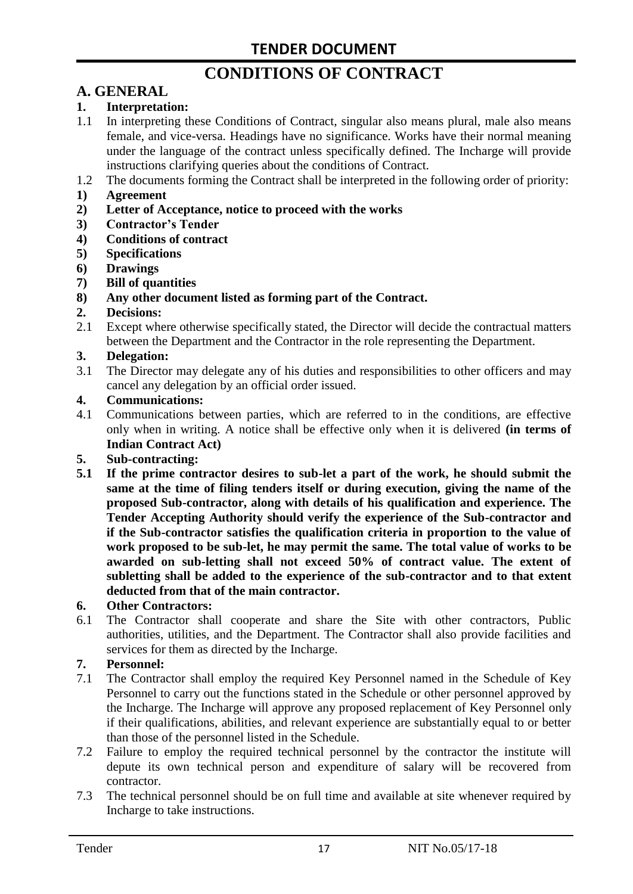# **CONDITIONS OF CONTRACT**

#### **A. GENERAL**

#### **1. Interpretation:**

- 1.1 In interpreting these Conditions of Contract, singular also means plural, male also means female, and vice-versa. Headings have no significance. Works have their normal meaning under the language of the contract unless specifically defined. The Incharge will provide instructions clarifying queries about the conditions of Contract.
- 1.2 The documents forming the Contract shall be interpreted in the following order of priority:
- **1) Agreement**
- **2) Letter of Acceptance, notice to proceed with the works**
- **3) Contractor's Tender**
- **4) Conditions of contract**
- **5) Specifications**
- **6) Drawings**
- **7) Bill of quantities**
- **8) Any other document listed as forming part of the Contract.**

#### **2. Decisions:**

2.1 Except where otherwise specifically stated, the Director will decide the contractual matters between the Department and the Contractor in the role representing the Department.

#### **3. Delegation:**

3.1 The Director may delegate any of his duties and responsibilities to other officers and may cancel any delegation by an official order issued.

#### **4. Communications:**

4.1 Communications between parties, which are referred to in the conditions, are effective only when in writing. A notice shall be effective only when it is delivered **(in terms of Indian Contract Act)**

#### **5. Sub-contracting:**

**5.1 If the prime contractor desires to sub-let a part of the work, he should submit the same at the time of filing tenders itself or during execution, giving the name of the proposed Sub-contractor, along with details of his qualification and experience. The Tender Accepting Authority should verify the experience of the Sub-contractor and if the Sub-contractor satisfies the qualification criteria in proportion to the value of work proposed to be sub-let, he may permit the same. The total value of works to be awarded on sub-letting shall not exceed 50% of contract value. The extent of subletting shall be added to the experience of the sub-contractor and to that extent deducted from that of the main contractor.**

#### **6. Other Contractors:**

6.1 The Contractor shall cooperate and share the Site with other contractors, Public authorities, utilities, and the Department. The Contractor shall also provide facilities and services for them as directed by the Incharge.

#### **7. Personnel:**

- 7.1 The Contractor shall employ the required Key Personnel named in the Schedule of Key Personnel to carry out the functions stated in the Schedule or other personnel approved by the Incharge. The Incharge will approve any proposed replacement of Key Personnel only if their qualifications, abilities, and relevant experience are substantially equal to or better than those of the personnel listed in the Schedule.
- 7.2 Failure to employ the required technical personnel by the contractor the institute will depute its own technical person and expenditure of salary will be recovered from contractor.
- 7.3 The technical personnel should be on full time and available at site whenever required by Incharge to take instructions.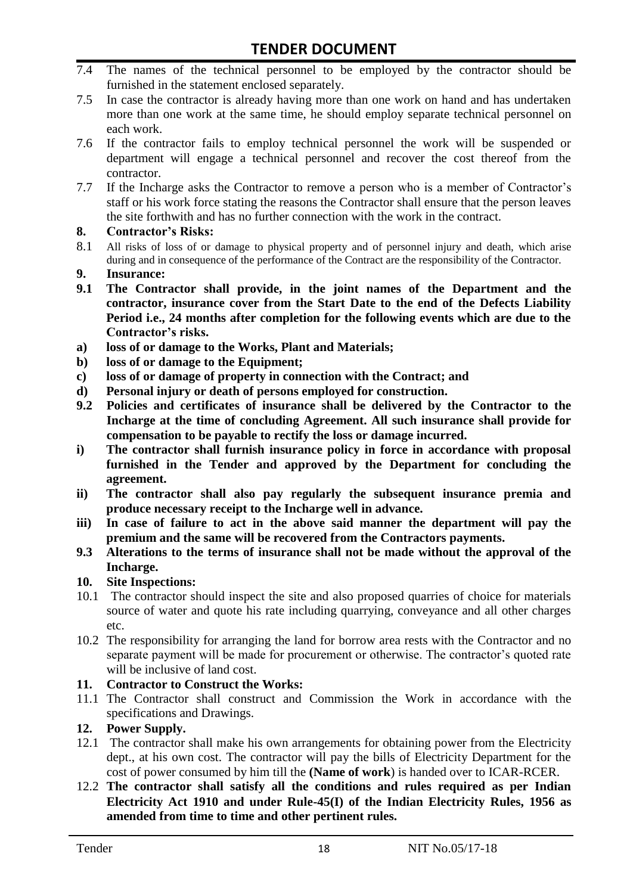- 7.4 The names of the technical personnel to be employed by the contractor should be furnished in the statement enclosed separately.
- 7.5 In case the contractor is already having more than one work on hand and has undertaken more than one work at the same time, he should employ separate technical personnel on each work.
- 7.6 If the contractor fails to employ technical personnel the work will be suspended or department will engage a technical personnel and recover the cost thereof from the contractor.
- 7.7 If the Incharge asks the Contractor to remove a person who is a member of Contractor's staff or his work force stating the reasons the Contractor shall ensure that the person leaves the site forthwith and has no further connection with the work in the contract.

#### **8. Contractor's Risks:**

- 8.1 All risks of loss of or damage to physical property and of personnel injury and death, which arise during and in consequence of the performance of the Contract are the responsibility of the Contractor.
- **9. Insurance:**
- **9.1 The Contractor shall provide, in the joint names of the Department and the contractor, insurance cover from the Start Date to the end of the Defects Liability Period i.e., 24 months after completion for the following events which are due to the Contractor's risks.**
- **a) loss of or damage to the Works, Plant and Materials;**
- **b) loss of or damage to the Equipment;**
- **c) loss of or damage of property in connection with the Contract; and**
- **d) Personal injury or death of persons employed for construction.**
- **9.2 Policies and certificates of insurance shall be delivered by the Contractor to the Incharge at the time of concluding Agreement. All such insurance shall provide for compensation to be payable to rectify the loss or damage incurred.**
- **i) The contractor shall furnish insurance policy in force in accordance with proposal furnished in the Tender and approved by the Department for concluding the agreement.**
- **ii) The contractor shall also pay regularly the subsequent insurance premia and produce necessary receipt to the Incharge well in advance.**
- **iii) In case of failure to act in the above said manner the department will pay the premium and the same will be recovered from the Contractors payments.**
- **9.3 Alterations to the terms of insurance shall not be made without the approval of the Incharge.**

#### **10. Site Inspections:**

- 10.1 The contractor should inspect the site and also proposed quarries of choice for materials source of water and quote his rate including quarrying, conveyance and all other charges etc.
- 10.2 The responsibility for arranging the land for borrow area rests with the Contractor and no separate payment will be made for procurement or otherwise. The contractor's quoted rate will be inclusive of land cost.

#### **11. Contractor to Construct the Works:**

11.1 The Contractor shall construct and Commission the Work in accordance with the specifications and Drawings.

#### **12. Power Supply.**

- 12.1 The contractor shall make his own arrangements for obtaining power from the Electricity dept., at his own cost. The contractor will pay the bills of Electricity Department for the cost of power consumed by him till the **(Name of work**) is handed over to ICAR-RCER.
- 12.2 **The contractor shall satisfy all the conditions and rules required as per Indian Electricity Act 1910 and under Rule-45(I) of the Indian Electricity Rules, 1956 as amended from time to time and other pertinent rules.**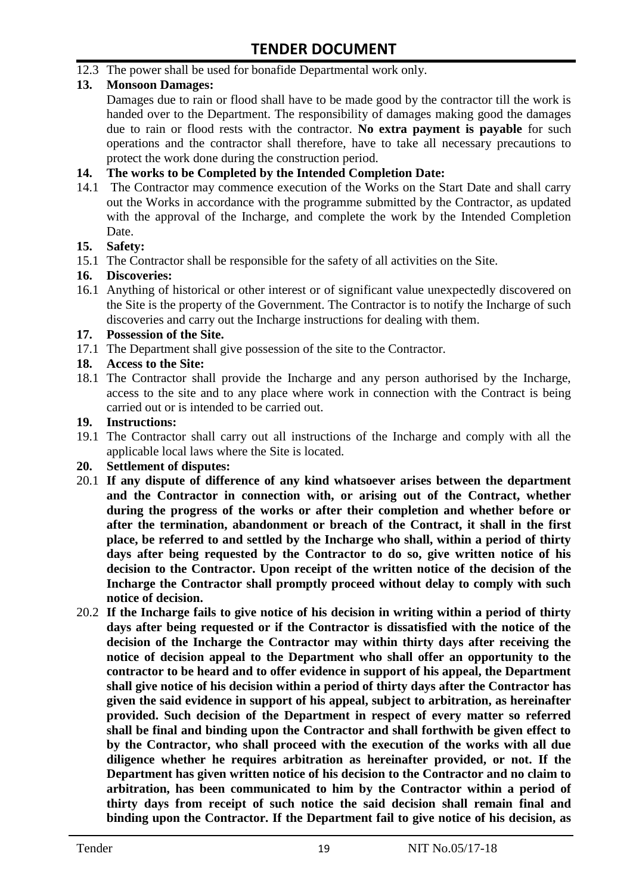12.3 The power shall be used for bonafide Departmental work only.

#### **13. Monsoon Damages:**

Damages due to rain or flood shall have to be made good by the contractor till the work is handed over to the Department. The responsibility of damages making good the damages due to rain or flood rests with the contractor. **No extra payment is payable** for such operations and the contractor shall therefore, have to take all necessary precautions to protect the work done during the construction period.

#### **14. The works to be Completed by the Intended Completion Date:**

14.1 The Contractor may commence execution of the Works on the Start Date and shall carry out the Works in accordance with the programme submitted by the Contractor, as updated with the approval of the Incharge, and complete the work by the Intended Completion Date.

#### **15. Safety:**

15.1 The Contractor shall be responsible for the safety of all activities on the Site.

#### **16. Discoveries:**

16.1 Anything of historical or other interest or of significant value unexpectedly discovered on the Site is the property of the Government. The Contractor is to notify the Incharge of such discoveries and carry out the Incharge instructions for dealing with them.

#### **17. Possession of the Site.**

17.1 The Department shall give possession of the site to the Contractor.

#### **18. Access to the Site:**

18.1 The Contractor shall provide the Incharge and any person authorised by the Incharge, access to the site and to any place where work in connection with the Contract is being carried out or is intended to be carried out.

#### **19. Instructions:**

- 19.1 The Contractor shall carry out all instructions of the Incharge and comply with all the applicable local laws where the Site is located.
- **20. Settlement of disputes:**
- 20.1 **If any dispute of difference of any kind whatsoever arises between the department and the Contractor in connection with, or arising out of the Contract, whether during the progress of the works or after their completion and whether before or after the termination, abandonment or breach of the Contract, it shall in the first place, be referred to and settled by the Incharge who shall, within a period of thirty days after being requested by the Contractor to do so, give written notice of his decision to the Contractor. Upon receipt of the written notice of the decision of the Incharge the Contractor shall promptly proceed without delay to comply with such notice of decision.**
- 20.2 **If the Incharge fails to give notice of his decision in writing within a period of thirty days after being requested or if the Contractor is dissatisfied with the notice of the decision of the Incharge the Contractor may within thirty days after receiving the notice of decision appeal to the Department who shall offer an opportunity to the contractor to be heard and to offer evidence in support of his appeal, the Department shall give notice of his decision within a period of thirty days after the Contractor has given the said evidence in support of his appeal, subject to arbitration, as hereinafter provided. Such decision of the Department in respect of every matter so referred shall be final and binding upon the Contractor and shall forthwith be given effect to by the Contractor, who shall proceed with the execution of the works with all due diligence whether he requires arbitration as hereinafter provided, or not. If the Department has given written notice of his decision to the Contractor and no claim to arbitration, has been communicated to him by the Contractor within a period of thirty days from receipt of such notice the said decision shall remain final and binding upon the Contractor. If the Department fail to give notice of his decision, as**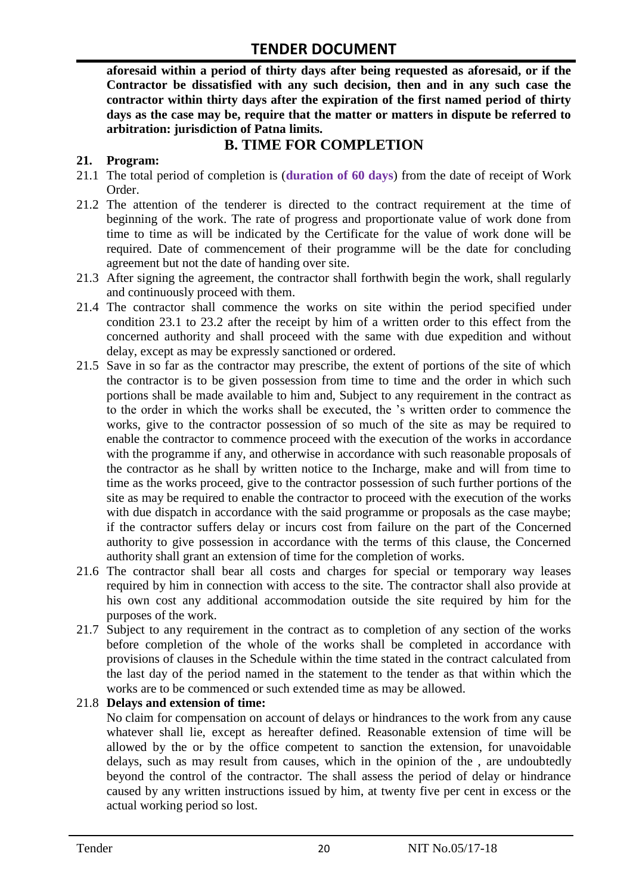**aforesaid within a period of thirty days after being requested as aforesaid, or if the Contractor be dissatisfied with any such decision, then and in any such case the contractor within thirty days after the expiration of the first named period of thirty days as the case may be, require that the matter or matters in dispute be referred to arbitration: jurisdiction of Patna limits.**

#### **B. TIME FOR COMPLETION**

#### **21. Program:**

- 21.1 The total period of completion is (**duration of 60 days**) from the date of receipt of Work Order.
- 21.2 The attention of the tenderer is directed to the contract requirement at the time of beginning of the work. The rate of progress and proportionate value of work done from time to time as will be indicated by the Certificate for the value of work done will be required. Date of commencement of their programme will be the date for concluding agreement but not the date of handing over site.
- 21.3 After signing the agreement, the contractor shall forthwith begin the work, shall regularly and continuously proceed with them.
- 21.4 The contractor shall commence the works on site within the period specified under condition 23.1 to 23.2 after the receipt by him of a written order to this effect from the concerned authority and shall proceed with the same with due expedition and without delay, except as may be expressly sanctioned or ordered.
- 21.5 Save in so far as the contractor may prescribe, the extent of portions of the site of which the contractor is to be given possession from time to time and the order in which such portions shall be made available to him and, Subject to any requirement in the contract as to the order in which the works shall be executed, the 's written order to commence the works, give to the contractor possession of so much of the site as may be required to enable the contractor to commence proceed with the execution of the works in accordance with the programme if any, and otherwise in accordance with such reasonable proposals of the contractor as he shall by written notice to the Incharge, make and will from time to time as the works proceed, give to the contractor possession of such further portions of the site as may be required to enable the contractor to proceed with the execution of the works with due dispatch in accordance with the said programme or proposals as the case maybe; if the contractor suffers delay or incurs cost from failure on the part of the Concerned authority to give possession in accordance with the terms of this clause, the Concerned authority shall grant an extension of time for the completion of works.
- 21.6 The contractor shall bear all costs and charges for special or temporary way leases required by him in connection with access to the site. The contractor shall also provide at his own cost any additional accommodation outside the site required by him for the purposes of the work.
- 21.7 Subject to any requirement in the contract as to completion of any section of the works before completion of the whole of the works shall be completed in accordance with provisions of clauses in the Schedule within the time stated in the contract calculated from the last day of the period named in the statement to the tender as that within which the works are to be commenced or such extended time as may be allowed.

#### 21.8 **Delays and extension of time:**

No claim for compensation on account of delays or hindrances to the work from any cause whatever shall lie, except as hereafter defined. Reasonable extension of time will be allowed by the or by the office competent to sanction the extension, for unavoidable delays, such as may result from causes, which in the opinion of the , are undoubtedly beyond the control of the contractor. The shall assess the period of delay or hindrance caused by any written instructions issued by him, at twenty five per cent in excess or the actual working period so lost.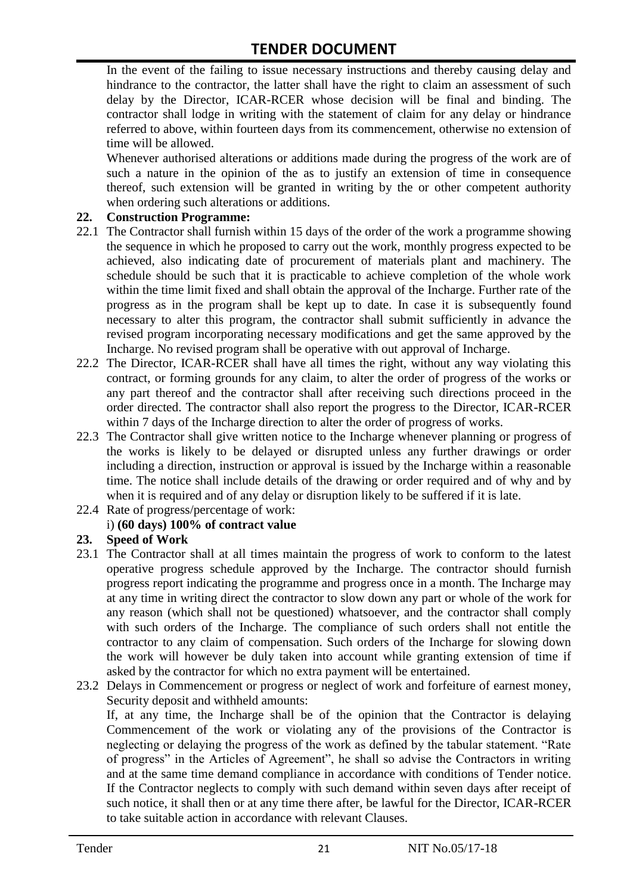In the event of the failing to issue necessary instructions and thereby causing delay and hindrance to the contractor, the latter shall have the right to claim an assessment of such delay by the Director, ICAR-RCER whose decision will be final and binding. The contractor shall lodge in writing with the statement of claim for any delay or hindrance referred to above, within fourteen days from its commencement, otherwise no extension of time will be allowed.

Whenever authorised alterations or additions made during the progress of the work are of such a nature in the opinion of the as to justify an extension of time in consequence thereof, such extension will be granted in writing by the or other competent authority when ordering such alterations or additions.

#### **22. Construction Programme:**

- 22.1 The Contractor shall furnish within 15 days of the order of the work a programme showing the sequence in which he proposed to carry out the work, monthly progress expected to be achieved, also indicating date of procurement of materials plant and machinery. The schedule should be such that it is practicable to achieve completion of the whole work within the time limit fixed and shall obtain the approval of the Incharge. Further rate of the progress as in the program shall be kept up to date. In case it is subsequently found necessary to alter this program, the contractor shall submit sufficiently in advance the revised program incorporating necessary modifications and get the same approved by the Incharge. No revised program shall be operative with out approval of Incharge.
- 22.2 The Director, ICAR-RCER shall have all times the right, without any way violating this contract, or forming grounds for any claim, to alter the order of progress of the works or any part thereof and the contractor shall after receiving such directions proceed in the order directed. The contractor shall also report the progress to the Director, ICAR-RCER within 7 days of the Incharge direction to alter the order of progress of works.
- 22.3 The Contractor shall give written notice to the Incharge whenever planning or progress of the works is likely to be delayed or disrupted unless any further drawings or order including a direction, instruction or approval is issued by the Incharge within a reasonable time. The notice shall include details of the drawing or order required and of why and by when it is required and of any delay or disruption likely to be suffered if it is late.
- 22.4 Rate of progress/percentage of work:

#### i) **(60 days) 100% of contract value**

#### **23. Speed of Work**

- 23.1 The Contractor shall at all times maintain the progress of work to conform to the latest operative progress schedule approved by the Incharge. The contractor should furnish progress report indicating the programme and progress once in a month. The Incharge may at any time in writing direct the contractor to slow down any part or whole of the work for any reason (which shall not be questioned) whatsoever, and the contractor shall comply with such orders of the Incharge. The compliance of such orders shall not entitle the contractor to any claim of compensation. Such orders of the Incharge for slowing down the work will however be duly taken into account while granting extension of time if asked by the contractor for which no extra payment will be entertained.
- 23.2 Delays in Commencement or progress or neglect of work and forfeiture of earnest money, Security deposit and withheld amounts:

If, at any time, the Incharge shall be of the opinion that the Contractor is delaying Commencement of the work or violating any of the provisions of the Contractor is neglecting or delaying the progress of the work as defined by the tabular statement. "Rate of progress" in the Articles of Agreement", he shall so advise the Contractors in writing and at the same time demand compliance in accordance with conditions of Tender notice. If the Contractor neglects to comply with such demand within seven days after receipt of such notice, it shall then or at any time there after, be lawful for the Director, ICAR-RCER to take suitable action in accordance with relevant Clauses.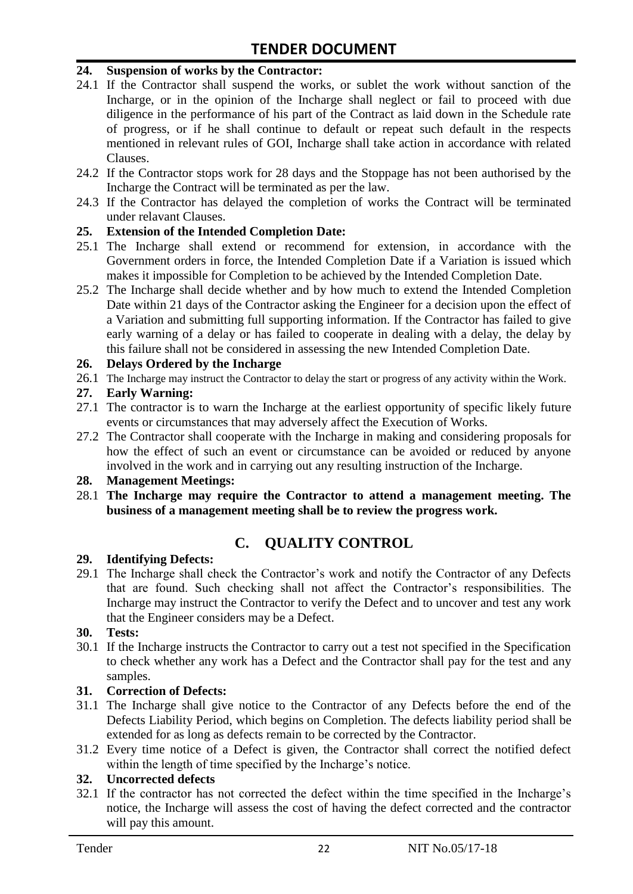#### **24. Suspension of works by the Contractor:**

- 24.1 If the Contractor shall suspend the works, or sublet the work without sanction of the Incharge, or in the opinion of the Incharge shall neglect or fail to proceed with due diligence in the performance of his part of the Contract as laid down in the Schedule rate of progress, or if he shall continue to default or repeat such default in the respects mentioned in relevant rules of GOI, Incharge shall take action in accordance with related Clauses.
- 24.2 If the Contractor stops work for 28 days and the Stoppage has not been authorised by the Incharge the Contract will be terminated as per the law.
- 24.3 If the Contractor has delayed the completion of works the Contract will be terminated under relavant Clauses.

#### **25. Extension of the Intended Completion Date:**

- 25.1 The Incharge shall extend or recommend for extension, in accordance with the Government orders in force, the Intended Completion Date if a Variation is issued which makes it impossible for Completion to be achieved by the Intended Completion Date.
- 25.2 The Incharge shall decide whether and by how much to extend the Intended Completion Date within 21 days of the Contractor asking the Engineer for a decision upon the effect of a Variation and submitting full supporting information. If the Contractor has failed to give early warning of a delay or has failed to cooperate in dealing with a delay, the delay by this failure shall not be considered in assessing the new Intended Completion Date.

#### **26. Delays Ordered by the Incharge**

26.1 The Incharge may instruct the Contractor to delay the start or progress of any activity within the Work.

#### **27. Early Warning:**

- 27.1 The contractor is to warn the Incharge at the earliest opportunity of specific likely future events or circumstances that may adversely affect the Execution of Works.
- 27.2 The Contractor shall cooperate with the Incharge in making and considering proposals for how the effect of such an event or circumstance can be avoided or reduced by anyone involved in the work and in carrying out any resulting instruction of the Incharge.

#### **28. Management Meetings:**

28.1 **The Incharge may require the Contractor to attend a management meeting. The business of a management meeting shall be to review the progress work.**

### **C. QUALITY CONTROL**

#### **29. Identifying Defects:**

29.1 The Incharge shall check the Contractor's work and notify the Contractor of any Defects that are found. Such checking shall not affect the Contractor's responsibilities. The Incharge may instruct the Contractor to verify the Defect and to uncover and test any work that the Engineer considers may be a Defect.

#### **30. Tests:**

30.1 If the Incharge instructs the Contractor to carry out a test not specified in the Specification to check whether any work has a Defect and the Contractor shall pay for the test and any samples.

#### **31. Correction of Defects:**

- 31.1 The Incharge shall give notice to the Contractor of any Defects before the end of the Defects Liability Period, which begins on Completion. The defects liability period shall be extended for as long as defects remain to be corrected by the Contractor.
- 31.2 Every time notice of a Defect is given, the Contractor shall correct the notified defect within the length of time specified by the Incharge's notice.

#### **32. Uncorrected defects**

32.1 If the contractor has not corrected the defect within the time specified in the Incharge's notice, the Incharge will assess the cost of having the defect corrected and the contractor will pay this amount.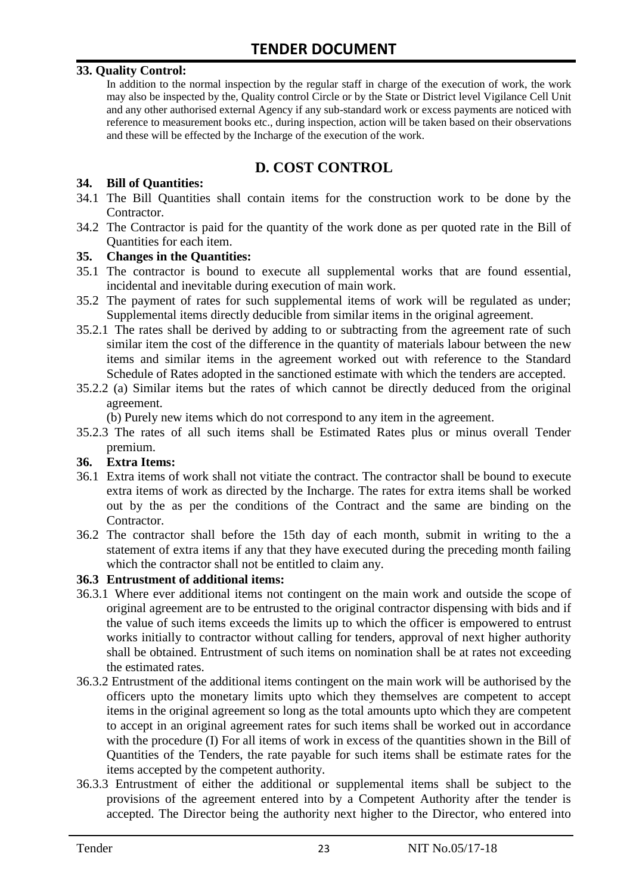#### **33. Quality Control:**

In addition to the normal inspection by the regular staff in charge of the execution of work, the work may also be inspected by the, Quality control Circle or by the State or District level Vigilance Cell Unit and any other authorised external Agency if any sub-standard work or excess payments are noticed with reference to measurement books etc., during inspection, action will be taken based on their observations and these will be effected by the Incharge of the execution of the work.

#### **D. COST CONTROL**

#### **34. Bill of Quantities:**

- 34.1 The Bill Quantities shall contain items for the construction work to be done by the Contractor.
- 34.2 The Contractor is paid for the quantity of the work done as per quoted rate in the Bill of Quantities for each item.

#### **35. Changes in the Quantities:**

- 35.1 The contractor is bound to execute all supplemental works that are found essential, incidental and inevitable during execution of main work.
- 35.2 The payment of rates for such supplemental items of work will be regulated as under; Supplemental items directly deducible from similar items in the original agreement.
- 35.2.1 The rates shall be derived by adding to or subtracting from the agreement rate of such similar item the cost of the difference in the quantity of materials labour between the new items and similar items in the agreement worked out with reference to the Standard Schedule of Rates adopted in the sanctioned estimate with which the tenders are accepted.
- 35.2.2 (a) Similar items but the rates of which cannot be directly deduced from the original agreement.

(b) Purely new items which do not correspond to any item in the agreement.

35.2.3 The rates of all such items shall be Estimated Rates plus or minus overall Tender premium.

#### **36. Extra Items:**

- 36.1 Extra items of work shall not vitiate the contract. The contractor shall be bound to execute extra items of work as directed by the Incharge. The rates for extra items shall be worked out by the as per the conditions of the Contract and the same are binding on the Contractor.
- 36.2 The contractor shall before the 15th day of each month, submit in writing to the a statement of extra items if any that they have executed during the preceding month failing which the contractor shall not be entitled to claim any.

#### **36.3 Entrustment of additional items:**

- 36.3.1 Where ever additional items not contingent on the main work and outside the scope of original agreement are to be entrusted to the original contractor dispensing with bids and if the value of such items exceeds the limits up to which the officer is empowered to entrust works initially to contractor without calling for tenders, approval of next higher authority shall be obtained. Entrustment of such items on nomination shall be at rates not exceeding the estimated rates.
- 36.3.2 Entrustment of the additional items contingent on the main work will be authorised by the officers upto the monetary limits upto which they themselves are competent to accept items in the original agreement so long as the total amounts upto which they are competent to accept in an original agreement rates for such items shall be worked out in accordance with the procedure (I) For all items of work in excess of the quantities shown in the Bill of Quantities of the Tenders, the rate payable for such items shall be estimate rates for the items accepted by the competent authority.
- 36.3.3 Entrustment of either the additional or supplemental items shall be subject to the provisions of the agreement entered into by a Competent Authority after the tender is accepted. The Director being the authority next higher to the Director, who entered into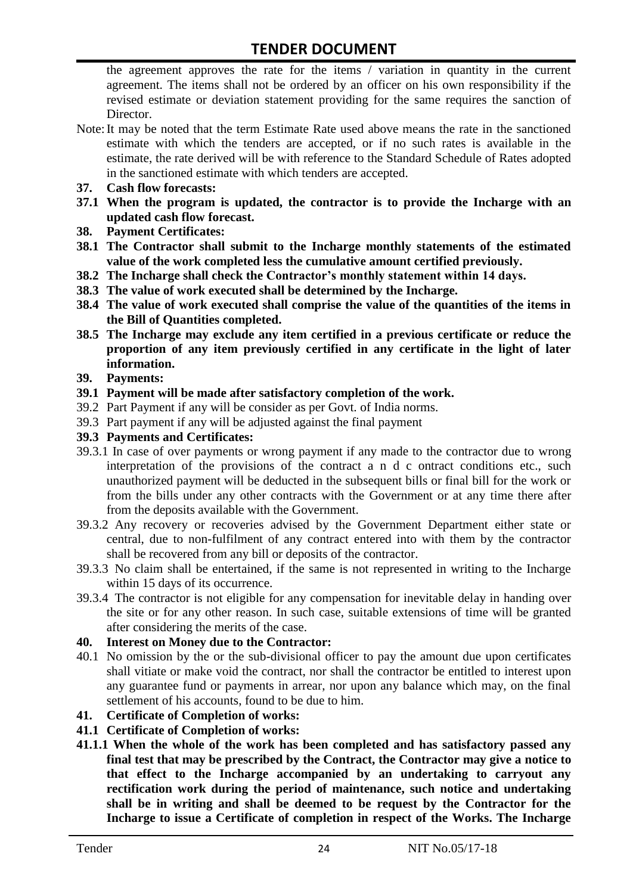the agreement approves the rate for the items / variation in quantity in the current agreement. The items shall not be ordered by an officer on his own responsibility if the revised estimate or deviation statement providing for the same requires the sanction of Director.

- Note:It may be noted that the term Estimate Rate used above means the rate in the sanctioned estimate with which the tenders are accepted, or if no such rates is available in the estimate, the rate derived will be with reference to the Standard Schedule of Rates adopted in the sanctioned estimate with which tenders are accepted.
- **37. Cash flow forecasts:**
- **37.1 When the program is updated, the contractor is to provide the Incharge with an updated cash flow forecast.**
- **38. Payment Certificates:**
- **38.1 The Contractor shall submit to the Incharge monthly statements of the estimated value of the work completed less the cumulative amount certified previously.**
- **38.2 The Incharge shall check the Contractor's monthly statement within 14 days.**
- **38.3 The value of work executed shall be determined by the Incharge.**
- **38.4 The value of work executed shall comprise the value of the quantities of the items in the Bill of Quantities completed.**
- **38.5 The Incharge may exclude any item certified in a previous certificate or reduce the proportion of any item previously certified in any certificate in the light of later information.**
- **39. Payments:**
- **39.1 Payment will be made after satisfactory completion of the work.**
- 39.2 Part Payment if any will be consider as per Govt. of India norms.
- 39.3 Part payment if any will be adjusted against the final payment
- **39.3 Payments and Certificates:**
- 39.3.1 In case of over payments or wrong payment if any made to the contractor due to wrong interpretation of the provisions of the contract a n d c ontract conditions etc., such unauthorized payment will be deducted in the subsequent bills or final bill for the work or from the bills under any other contracts with the Government or at any time there after from the deposits available with the Government.
- 39.3.2 Any recovery or recoveries advised by the Government Department either state or central, due to non-fulfilment of any contract entered into with them by the contractor shall be recovered from any bill or deposits of the contractor.
- 39.3.3 No claim shall be entertained, if the same is not represented in writing to the Incharge within 15 days of its occurrence.
- 39.3.4 The contractor is not eligible for any compensation for inevitable delay in handing over the site or for any other reason. In such case, suitable extensions of time will be granted after considering the merits of the case.

#### **40. Interest on Money due to the Contractor:**

- 40.1 No omission by the or the sub-divisional officer to pay the amount due upon certificates shall vitiate or make void the contract, nor shall the contractor be entitled to interest upon any guarantee fund or payments in arrear, nor upon any balance which may, on the final settlement of his accounts, found to be due to him.
- **41. Certificate of Completion of works:**
- **41.1 Certificate of Completion of works:**
- **41.1.1 When the whole of the work has been completed and has satisfactory passed any final test that may be prescribed by the Contract, the Contractor may give a notice to that effect to the Incharge accompanied by an undertaking to carryout any rectification work during the period of maintenance, such notice and undertaking shall be in writing and shall be deemed to be request by the Contractor for the Incharge to issue a Certificate of completion in respect of the Works. The Incharge**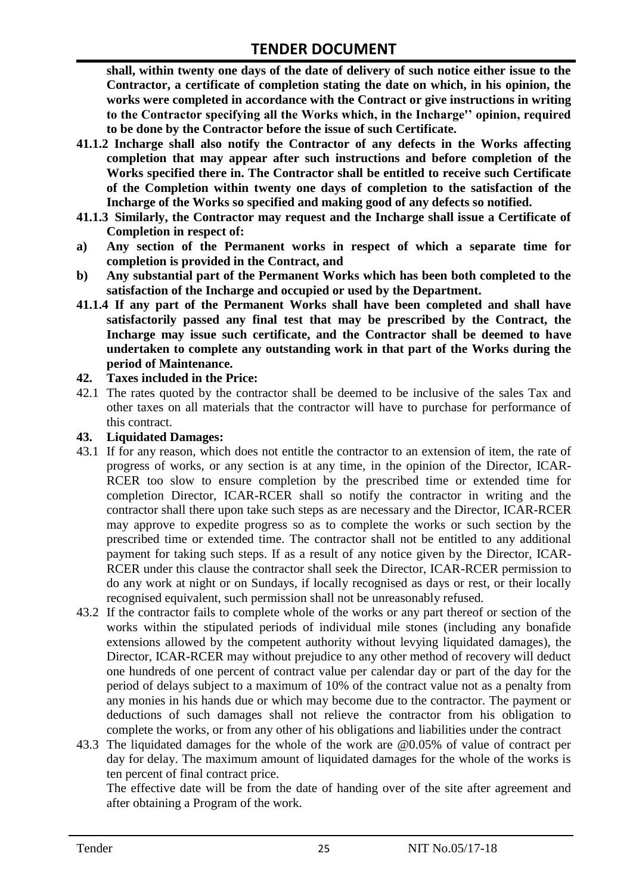**shall, within twenty one days of the date of delivery of such notice either issue to the Contractor, a certificate of completion stating the date on which, in his opinion, the works were completed in accordance with the Contract or give instructions in writing to the Contractor specifying all the Works which, in the Incharge'' opinion, required to be done by the Contractor before the issue of such Certificate.**

- **41.1.2 Incharge shall also notify the Contractor of any defects in the Works affecting completion that may appear after such instructions and before completion of the Works specified there in. The Contractor shall be entitled to receive such Certificate of the Completion within twenty one days of completion to the satisfaction of the Incharge of the Works so specified and making good of any defects so notified.**
- **41.1.3 Similarly, the Contractor may request and the Incharge shall issue a Certificate of Completion in respect of:**
- **a) Any section of the Permanent works in respect of which a separate time for completion is provided in the Contract, and**
- **b) Any substantial part of the Permanent Works which has been both completed to the satisfaction of the Incharge and occupied or used by the Department.**
- **41.1.4 If any part of the Permanent Works shall have been completed and shall have satisfactorily passed any final test that may be prescribed by the Contract, the Incharge may issue such certificate, and the Contractor shall be deemed to have undertaken to complete any outstanding work in that part of the Works during the period of Maintenance.**

#### **42. Taxes included in the Price:**

42.1 The rates quoted by the contractor shall be deemed to be inclusive of the sales Tax and other taxes on all materials that the contractor will have to purchase for performance of this contract.

#### **43. Liquidated Damages:**

- 43.1 If for any reason, which does not entitle the contractor to an extension of item, the rate of progress of works, or any section is at any time, in the opinion of the Director, ICAR-RCER too slow to ensure completion by the prescribed time or extended time for completion Director, ICAR-RCER shall so notify the contractor in writing and the contractor shall there upon take such steps as are necessary and the Director, ICAR-RCER may approve to expedite progress so as to complete the works or such section by the prescribed time or extended time. The contractor shall not be entitled to any additional payment for taking such steps. If as a result of any notice given by the Director, ICAR-RCER under this clause the contractor shall seek the Director, ICAR-RCER permission to do any work at night or on Sundays, if locally recognised as days or rest, or their locally recognised equivalent, such permission shall not be unreasonably refused.
- 43.2 If the contractor fails to complete whole of the works or any part thereof or section of the works within the stipulated periods of individual mile stones (including any bonafide extensions allowed by the competent authority without levying liquidated damages), the Director, ICAR-RCER may without prejudice to any other method of recovery will deduct one hundreds of one percent of contract value per calendar day or part of the day for the period of delays subject to a maximum of 10% of the contract value not as a penalty from any monies in his hands due or which may become due to the contractor. The payment or deductions of such damages shall not relieve the contractor from his obligation to complete the works, or from any other of his obligations and liabilities under the contract
- 43.3 The liquidated damages for the whole of the work are @0.05% of value of contract per day for delay. The maximum amount of liquidated damages for the whole of the works is ten percent of final contract price.

The effective date will be from the date of handing over of the site after agreement and after obtaining a Program of the work.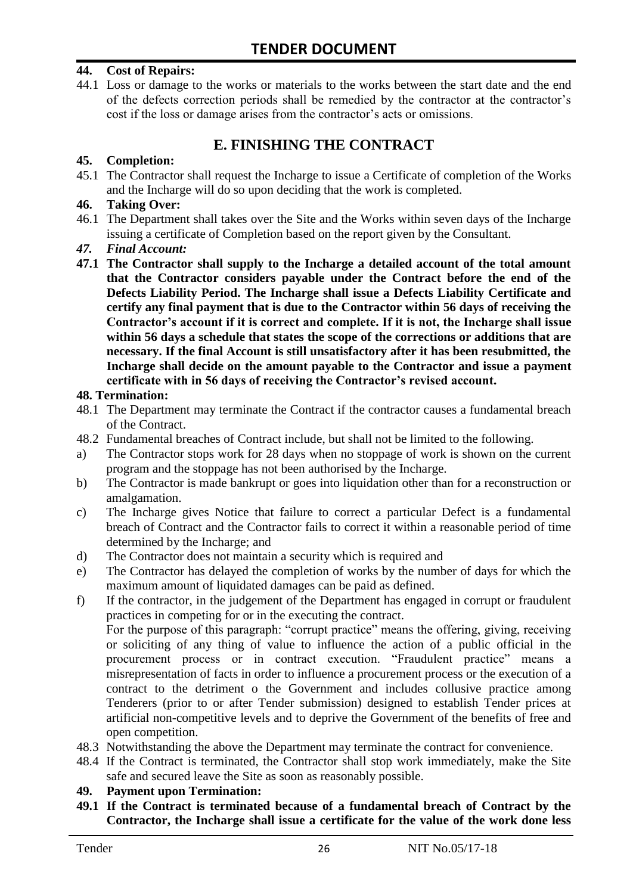#### **44. Cost of Repairs:**

44.1 Loss or damage to the works or materials to the works between the start date and the end of the defects correction periods shall be remedied by the contractor at the contractor's cost if the loss or damage arises from the contractor's acts or omissions.

#### **E. FINISHING THE CONTRACT**

#### **45. Completion:**

45.1 The Contractor shall request the Incharge to issue a Certificate of completion of the Works and the Incharge will do so upon deciding that the work is completed.

#### **46. Taking Over:**

- 46.1 The Department shall takes over the Site and the Works within seven days of the Incharge issuing a certificate of Completion based on the report given by the Consultant.
- *47. Final Account:*
- **47.1 The Contractor shall supply to the Incharge a detailed account of the total amount that the Contractor considers payable under the Contract before the end of the Defects Liability Period. The Incharge shall issue a Defects Liability Certificate and certify any final payment that is due to the Contractor within 56 days of receiving the Contractor's account if it is correct and complete. If it is not, the Incharge shall issue within 56 days a schedule that states the scope of the corrections or additions that are necessary. If the final Account is still unsatisfactory after it has been resubmitted, the Incharge shall decide on the amount payable to the Contractor and issue a payment certificate with in 56 days of receiving the Contractor's revised account.**

#### **48. Termination:**

- 48.1 The Department may terminate the Contract if the contractor causes a fundamental breach of the Contract.
- 48.2 Fundamental breaches of Contract include, but shall not be limited to the following.
- a) The Contractor stops work for 28 days when no stoppage of work is shown on the current program and the stoppage has not been authorised by the Incharge.
- b) The Contractor is made bankrupt or goes into liquidation other than for a reconstruction or amalgamation.
- c) The Incharge gives Notice that failure to correct a particular Defect is a fundamental breach of Contract and the Contractor fails to correct it within a reasonable period of time determined by the Incharge; and
- d) The Contractor does not maintain a security which is required and
- e) The Contractor has delayed the completion of works by the number of days for which the maximum amount of liquidated damages can be paid as defined.
- f) If the contractor, in the judgement of the Department has engaged in corrupt or fraudulent practices in competing for or in the executing the contract.

For the purpose of this paragraph: "corrupt practice" means the offering, giving, receiving or soliciting of any thing of value to influence the action of a public official in the procurement process or in contract execution. "Fraudulent practice" means a misrepresentation of facts in order to influence a procurement process or the execution of a contract to the detriment o the Government and includes collusive practice among Tenderers (prior to or after Tender submission) designed to establish Tender prices at artificial non-competitive levels and to deprive the Government of the benefits of free and open competition.

- 48.3 Notwithstanding the above the Department may terminate the contract for convenience.
- 48.4 If the Contract is terminated, the Contractor shall stop work immediately, make the Site safe and secured leave the Site as soon as reasonably possible.

#### **49. Payment upon Termination:**

**49.1 If the Contract is terminated because of a fundamental breach of Contract by the Contractor, the Incharge shall issue a certificate for the value of the work done less**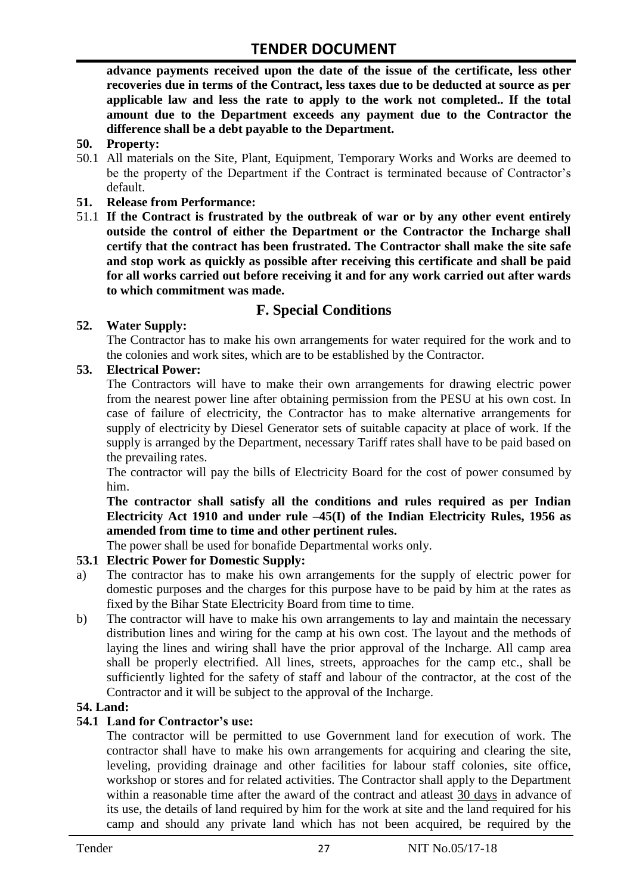**advance payments received upon the date of the issue of the certificate, less other recoveries due in terms of the Contract, less taxes due to be deducted at source as per applicable law and less the rate to apply to the work not completed.. If the total amount due to the Department exceeds any payment due to the Contractor the difference shall be a debt payable to the Department.**

- **50. Property:**
- 50.1 All materials on the Site, Plant, Equipment, Temporary Works and Works are deemed to be the property of the Department if the Contract is terminated because of Contractor's default.
- **51. Release from Performance:**
- 51.1 **If the Contract is frustrated by the outbreak of war or by any other event entirely outside the control of either the Department or the Contractor the Incharge shall certify that the contract has been frustrated. The Contractor shall make the site safe and stop work as quickly as possible after receiving this certificate and shall be paid for all works carried out before receiving it and for any work carried out after wards to which commitment was made.**

#### **F. Special Conditions**

#### **52. Water Supply:**

The Contractor has to make his own arrangements for water required for the work and to the colonies and work sites, which are to be established by the Contractor.

#### **53. Electrical Power:**

The Contractors will have to make their own arrangements for drawing electric power from the nearest power line after obtaining permission from the PESU at his own cost. In case of failure of electricity, the Contractor has to make alternative arrangements for supply of electricity by Diesel Generator sets of suitable capacity at place of work. If the supply is arranged by the Department, necessary Tariff rates shall have to be paid based on the prevailing rates.

The contractor will pay the bills of Electricity Board for the cost of power consumed by him.

**The contractor shall satisfy all the conditions and rules required as per Indian Electricity Act 1910 and under rule –45(I) of the Indian Electricity Rules, 1956 as amended from time to time and other pertinent rules.**

The power shall be used for bonafide Departmental works only.

#### **53.1 Electric Power for Domestic Supply:**

- a) The contractor has to make his own arrangements for the supply of electric power for domestic purposes and the charges for this purpose have to be paid by him at the rates as fixed by the Bihar State Electricity Board from time to time.
- b) The contractor will have to make his own arrangements to lay and maintain the necessary distribution lines and wiring for the camp at his own cost. The layout and the methods of laying the lines and wiring shall have the prior approval of the Incharge. All camp area shall be properly electrified. All lines, streets, approaches for the camp etc., shall be sufficiently lighted for the safety of staff and labour of the contractor, at the cost of the Contractor and it will be subject to the approval of the Incharge.

#### **54. Land:**

#### **54.1 Land for Contractor's use:**

The contractor will be permitted to use Government land for execution of work. The contractor shall have to make his own arrangements for acquiring and clearing the site, leveling, providing drainage and other facilities for labour staff colonies, site office, workshop or stores and for related activities. The Contractor shall apply to the Department within a reasonable time after the award of the contract and atleast 30 days in advance of its use, the details of land required by him for the work at site and the land required for his camp and should any private land which has not been acquired, be required by the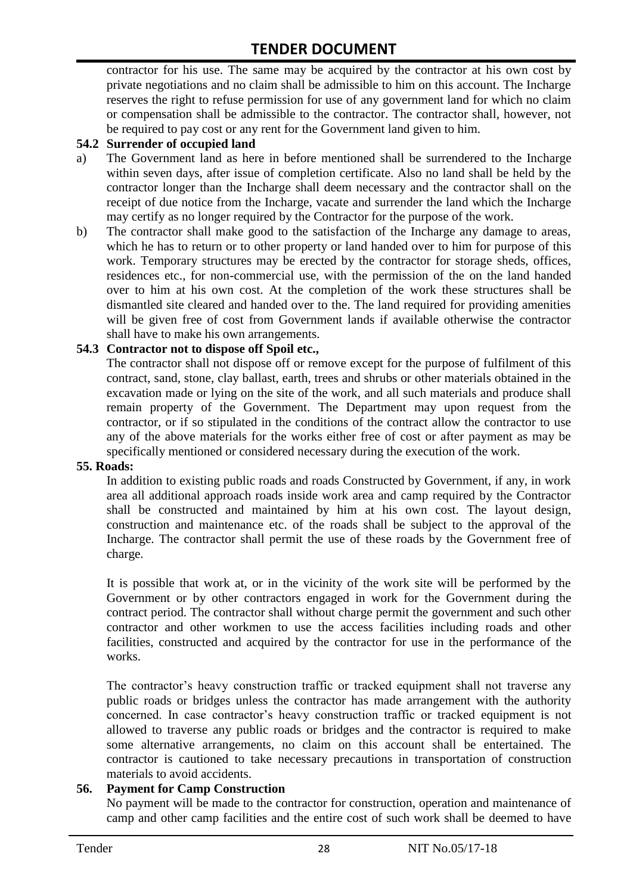contractor for his use. The same may be acquired by the contractor at his own cost by private negotiations and no claim shall be admissible to him on this account. The Incharge reserves the right to refuse permission for use of any government land for which no claim or compensation shall be admissible to the contractor. The contractor shall, however, not be required to pay cost or any rent for the Government land given to him.

#### **54.2 Surrender of occupied land**

- a) The Government land as here in before mentioned shall be surrendered to the Incharge within seven days, after issue of completion certificate. Also no land shall be held by the contractor longer than the Incharge shall deem necessary and the contractor shall on the receipt of due notice from the Incharge, vacate and surrender the land which the Incharge may certify as no longer required by the Contractor for the purpose of the work.
- b) The contractor shall make good to the satisfaction of the Incharge any damage to areas, which he has to return or to other property or land handed over to him for purpose of this work. Temporary structures may be erected by the contractor for storage sheds, offices, residences etc., for non-commercial use, with the permission of the on the land handed over to him at his own cost. At the completion of the work these structures shall be dismantled site cleared and handed over to the. The land required for providing amenities will be given free of cost from Government lands if available otherwise the contractor shall have to make his own arrangements.

#### **54.3 Contractor not to dispose off Spoil etc.,**

The contractor shall not dispose off or remove except for the purpose of fulfilment of this contract, sand, stone, clay ballast, earth, trees and shrubs or other materials obtained in the excavation made or lying on the site of the work, and all such materials and produce shall remain property of the Government. The Department may upon request from the contractor, or if so stipulated in the conditions of the contract allow the contractor to use any of the above materials for the works either free of cost or after payment as may be specifically mentioned or considered necessary during the execution of the work.

#### **55. Roads:**

In addition to existing public roads and roads Constructed by Government, if any, in work area all additional approach roads inside work area and camp required by the Contractor shall be constructed and maintained by him at his own cost. The layout design, construction and maintenance etc. of the roads shall be subject to the approval of the Incharge. The contractor shall permit the use of these roads by the Government free of charge.

It is possible that work at, or in the vicinity of the work site will be performed by the Government or by other contractors engaged in work for the Government during the contract period. The contractor shall without charge permit the government and such other contractor and other workmen to use the access facilities including roads and other facilities, constructed and acquired by the contractor for use in the performance of the works.

The contractor's heavy construction traffic or tracked equipment shall not traverse any public roads or bridges unless the contractor has made arrangement with the authority concerned. In case contractor's heavy construction traffic or tracked equipment is not allowed to traverse any public roads or bridges and the contractor is required to make some alternative arrangements, no claim on this account shall be entertained. The contractor is cautioned to take necessary precautions in transportation of construction materials to avoid accidents.

#### **56. Payment for Camp Construction**

No payment will be made to the contractor for construction, operation and maintenance of camp and other camp facilities and the entire cost of such work shall be deemed to have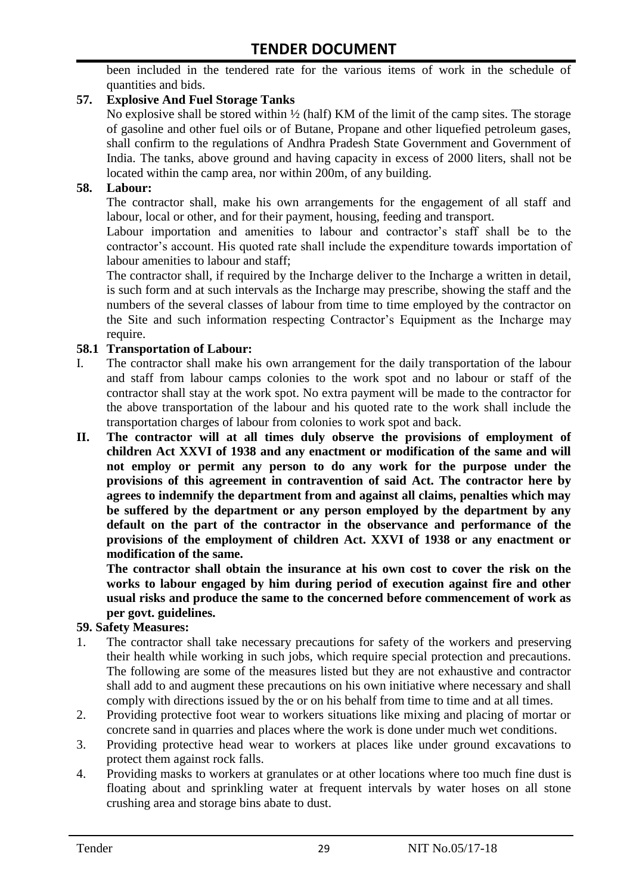been included in the tendered rate for the various items of work in the schedule of quantities and bids.

#### **57. Explosive And Fuel Storage Tanks**

No explosive shall be stored within ½ (half) KM of the limit of the camp sites. The storage of gasoline and other fuel oils or of Butane, Propane and other liquefied petroleum gases, shall confirm to the regulations of Andhra Pradesh State Government and Government of India. The tanks, above ground and having capacity in excess of 2000 liters, shall not be located within the camp area, nor within 200m, of any building.

#### **58. Labour:**

The contractor shall, make his own arrangements for the engagement of all staff and labour, local or other, and for their payment, housing, feeding and transport.

Labour importation and amenities to labour and contractor's staff shall be to the contractor's account. His quoted rate shall include the expenditure towards importation of labour amenities to labour and staff;

The contractor shall, if required by the Incharge deliver to the Incharge a written in detail, is such form and at such intervals as the Incharge may prescribe, showing the staff and the numbers of the several classes of labour from time to time employed by the contractor on the Site and such information respecting Contractor's Equipment as the Incharge may require.

#### **58.1 Transportation of Labour:**

- I. The contractor shall make his own arrangement for the daily transportation of the labour and staff from labour camps colonies to the work spot and no labour or staff of the contractor shall stay at the work spot. No extra payment will be made to the contractor for the above transportation of the labour and his quoted rate to the work shall include the transportation charges of labour from colonies to work spot and back.
- **II. The contractor will at all times duly observe the provisions of employment of children Act XXVI of 1938 and any enactment or modification of the same and will not employ or permit any person to do any work for the purpose under the provisions of this agreement in contravention of said Act. The contractor here by agrees to indemnify the department from and against all claims, penalties which may be suffered by the department or any person employed by the department by any default on the part of the contractor in the observance and performance of the provisions of the employment of children Act. XXVI of 1938 or any enactment or modification of the same.**

**The contractor shall obtain the insurance at his own cost to cover the risk on the works to labour engaged by him during period of execution against fire and other usual risks and produce the same to the concerned before commencement of work as per govt. guidelines.**

#### **59. Safety Measures:**

- 1. The contractor shall take necessary precautions for safety of the workers and preserving their health while working in such jobs, which require special protection and precautions. The following are some of the measures listed but they are not exhaustive and contractor shall add to and augment these precautions on his own initiative where necessary and shall comply with directions issued by the or on his behalf from time to time and at all times.
- 2. Providing protective foot wear to workers situations like mixing and placing of mortar or concrete sand in quarries and places where the work is done under much wet conditions.
- 3. Providing protective head wear to workers at places like under ground excavations to protect them against rock falls.
- 4. Providing masks to workers at granulates or at other locations where too much fine dust is floating about and sprinkling water at frequent intervals by water hoses on all stone crushing area and storage bins abate to dust.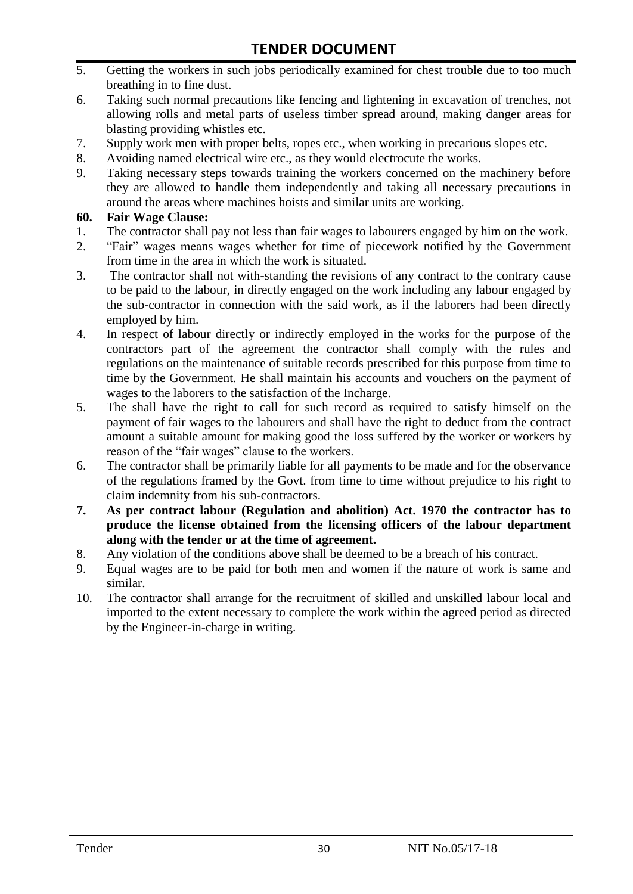- 5. Getting the workers in such jobs periodically examined for chest trouble due to too much breathing in to fine dust.
- 6. Taking such normal precautions like fencing and lightening in excavation of trenches, not allowing rolls and metal parts of useless timber spread around, making danger areas for blasting providing whistles etc.
- 7. Supply work men with proper belts, ropes etc., when working in precarious slopes etc.
- 8. Avoiding named electrical wire etc., as they would electrocute the works.
- 9. Taking necessary steps towards training the workers concerned on the machinery before they are allowed to handle them independently and taking all necessary precautions in around the areas where machines hoists and similar units are working.

#### **60. Fair Wage Clause:**

- 1. The contractor shall pay not less than fair wages to labourers engaged by him on the work.
- 2. "Fair" wages means wages whether for time of piecework notified by the Government from time in the area in which the work is situated.
- 3. The contractor shall not with-standing the revisions of any contract to the contrary cause to be paid to the labour, in directly engaged on the work including any labour engaged by the sub-contractor in connection with the said work, as if the laborers had been directly employed by him.
- 4. In respect of labour directly or indirectly employed in the works for the purpose of the contractors part of the agreement the contractor shall comply with the rules and regulations on the maintenance of suitable records prescribed for this purpose from time to time by the Government. He shall maintain his accounts and vouchers on the payment of wages to the laborers to the satisfaction of the Incharge.
- 5. The shall have the right to call for such record as required to satisfy himself on the payment of fair wages to the labourers and shall have the right to deduct from the contract amount a suitable amount for making good the loss suffered by the worker or workers by reason of the "fair wages" clause to the workers.
- 6. The contractor shall be primarily liable for all payments to be made and for the observance of the regulations framed by the Govt. from time to time without prejudice to his right to claim indemnity from his sub-contractors.
- **7. As per contract labour (Regulation and abolition) Act. 1970 the contractor has to produce the license obtained from the licensing officers of the labour department along with the tender or at the time of agreement.**
- 8. Any violation of the conditions above shall be deemed to be a breach of his contract.
- 9. Equal wages are to be paid for both men and women if the nature of work is same and similar.
- 10. The contractor shall arrange for the recruitment of skilled and unskilled labour local and imported to the extent necessary to complete the work within the agreed period as directed by the Engineer-in-charge in writing.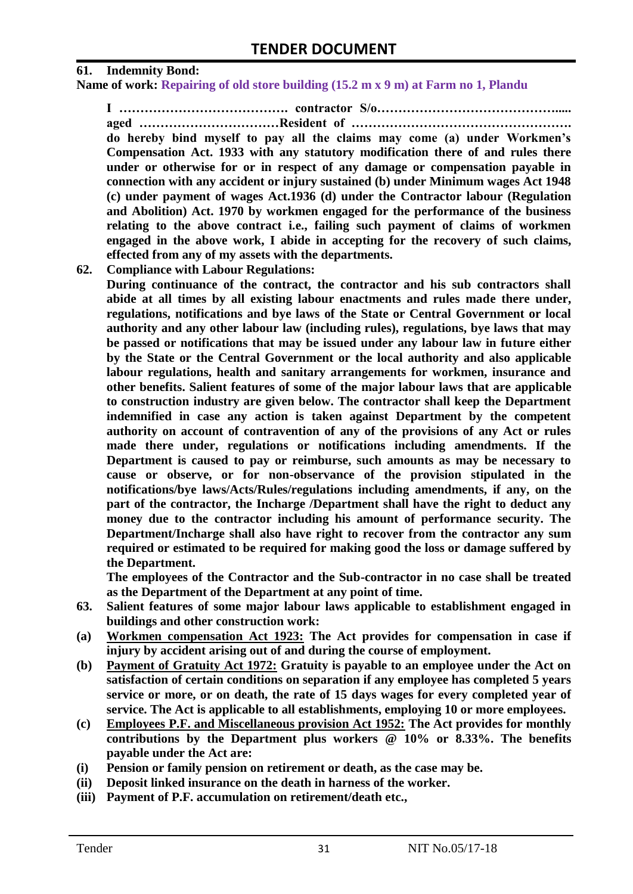#### **61. Indemnity Bond:**

**Name of work: Repairing of old store building (15.2 m x 9 m) at Farm no 1, Plandu**

**I …………………………………. contractor S/o……………………………………..... aged ……………………………Resident of ……………………………………………. do hereby bind myself to pay all the claims may come (a) under Workmen's Compensation Act. 1933 with any statutory modification there of and rules there under or otherwise for or in respect of any damage or compensation payable in connection with any accident or injury sustained (b) under Minimum wages Act 1948 (c) under payment of wages Act.1936 (d) under the Contractor labour (Regulation and Abolition) Act. 1970 by workmen engaged for the performance of the business relating to the above contract i.e., failing such payment of claims of workmen engaged in the above work, I abide in accepting for the recovery of such claims, effected from any of my assets with the departments.**

**62. Compliance with Labour Regulations:**

**During continuance of the contract, the contractor and his sub contractors shall abide at all times by all existing labour enactments and rules made there under, regulations, notifications and bye laws of the State or Central Government or local authority and any other labour law (including rules), regulations, bye laws that may be passed or notifications that may be issued under any labour law in future either by the State or the Central Government or the local authority and also applicable labour regulations, health and sanitary arrangements for workmen, insurance and other benefits. Salient features of some of the major labour laws that are applicable to construction industry are given below. The contractor shall keep the Department indemnified in case any action is taken against Department by the competent authority on account of contravention of any of the provisions of any Act or rules made there under, regulations or notifications including amendments. If the Department is caused to pay or reimburse, such amounts as may be necessary to cause or observe, or for non-observance of the provision stipulated in the notifications/bye laws/Acts/Rules/regulations including amendments, if any, on the part of the contractor, the Incharge /Department shall have the right to deduct any money due to the contractor including his amount of performance security. The Department/Incharge shall also have right to recover from the contractor any sum required or estimated to be required for making good the loss or damage suffered by the Department.**

**The employees of the Contractor and the Sub-contractor in no case shall be treated as the Department of the Department at any point of time.**

- **63. Salient features of some major labour laws applicable to establishment engaged in buildings and other construction work:**
- **(a) Workmen compensation Act 1923: The Act provides for compensation in case if injury by accident arising out of and during the course of employment.**
- **(b) Payment of Gratuity Act 1972: Gratuity is payable to an employee under the Act on satisfaction of certain conditions on separation if any employee has completed 5 years service or more, or on death, the rate of 15 days wages for every completed year of service. The Act is applicable to all establishments, employing 10 or more employees.**
- **(c) Employees P.F. and Miscellaneous provision Act 1952: The Act provides for monthly contributions by the Department plus workers @ 10% or 8.33%. The benefits payable under the Act are:**
- **(i) Pension or family pension on retirement or death, as the case may be.**
- **(ii) Deposit linked insurance on the death in harness of the worker.**
- **(iii) Payment of P.F. accumulation on retirement/death etc.,**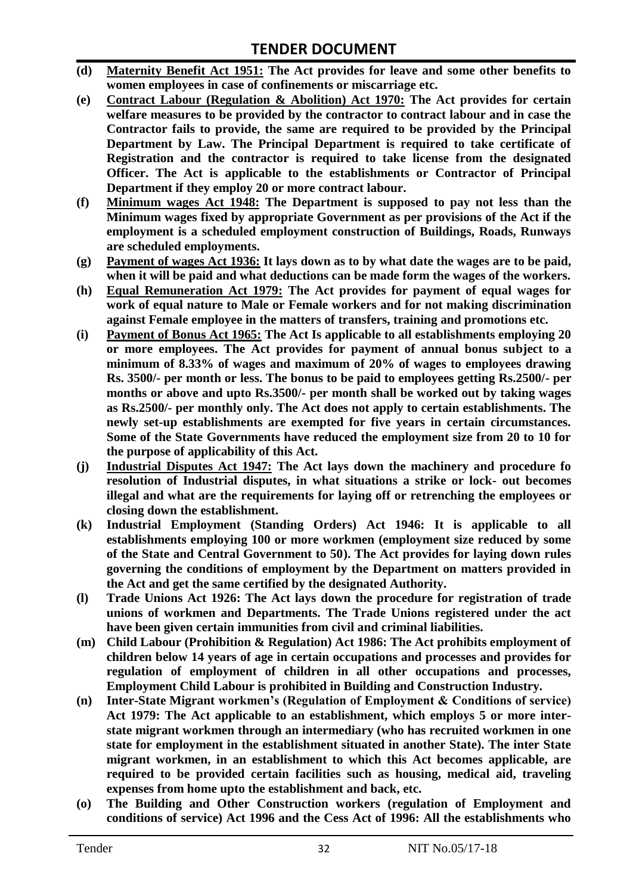- **(d) Maternity Benefit Act 1951: The Act provides for leave and some other benefits to women employees in case of confinements or miscarriage etc.**
- **(e) Contract Labour (Regulation & Abolition) Act 1970: The Act provides for certain welfare measures to be provided by the contractor to contract labour and in case the Contractor fails to provide, the same are required to be provided by the Principal Department by Law. The Principal Department is required to take certificate of Registration and the contractor is required to take license from the designated Officer. The Act is applicable to the establishments or Contractor of Principal Department if they employ 20 or more contract labour.**
- **(f) Minimum wages Act 1948: The Department is supposed to pay not less than the Minimum wages fixed by appropriate Government as per provisions of the Act if the employment is a scheduled employment construction of Buildings, Roads, Runways are scheduled employments.**
- **(g) Payment of wages Act 1936: It lays down as to by what date the wages are to be paid, when it will be paid and what deductions can be made form the wages of the workers.**
- **(h) Equal Remuneration Act 1979: The Act provides for payment of equal wages for work of equal nature to Male or Female workers and for not making discrimination against Female employee in the matters of transfers, training and promotions etc.**
- **(i) Payment of Bonus Act 1965: The Act Is applicable to all establishments employing 20 or more employees. The Act provides for payment of annual bonus subject to a minimum of 8.33% of wages and maximum of 20% of wages to employees drawing Rs. 3500/- per month or less. The bonus to be paid to employees getting Rs.2500/- per months or above and upto Rs.3500/- per month shall be worked out by taking wages as Rs.2500/- per monthly only. The Act does not apply to certain establishments. The newly set-up establishments are exempted for five years in certain circumstances. Some of the State Governments have reduced the employment size from 20 to 10 for the purpose of applicability of this Act.**
- **(j) Industrial Disputes Act 1947: The Act lays down the machinery and procedure fo resolution of Industrial disputes, in what situations a strike or lock- out becomes illegal and what are the requirements for laying off or retrenching the employees or closing down the establishment.**
- **(k) Industrial Employment (Standing Orders) Act 1946: It is applicable to all establishments employing 100 or more workmen (employment size reduced by some of the State and Central Government to 50). The Act provides for laying down rules governing the conditions of employment by the Department on matters provided in the Act and get the same certified by the designated Authority.**
- **(l) Trade Unions Act 1926: The Act lays down the procedure for registration of trade unions of workmen and Departments. The Trade Unions registered under the act have been given certain immunities from civil and criminal liabilities.**
- **(m) Child Labour (Prohibition & Regulation) Act 1986: The Act prohibits employment of children below 14 years of age in certain occupations and processes and provides for regulation of employment of children in all other occupations and processes, Employment Child Labour is prohibited in Building and Construction Industry.**
- **(n) Inter-State Migrant workmen's (Regulation of Employment & Conditions of service) Act 1979: The Act applicable to an establishment, which employs 5 or more interstate migrant workmen through an intermediary (who has recruited workmen in one state for employment in the establishment situated in another State). The inter State migrant workmen, in an establishment to which this Act becomes applicable, are required to be provided certain facilities such as housing, medical aid, traveling expenses from home upto the establishment and back, etc.**
- **(o) The Building and Other Construction workers (regulation of Employment and conditions of service) Act 1996 and the Cess Act of 1996: All the establishments who**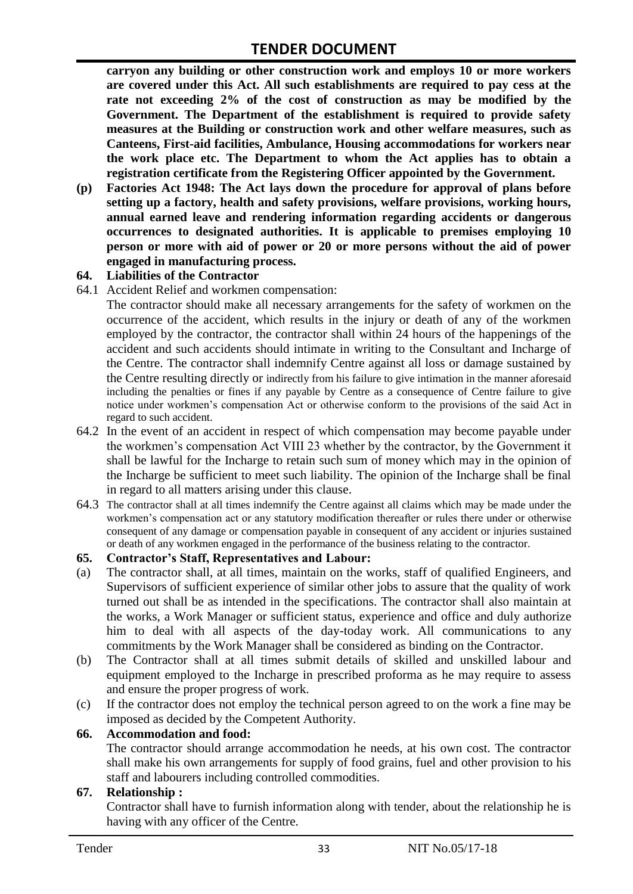**carryon any building or other construction work and employs 10 or more workers are covered under this Act. All such establishments are required to pay cess at the rate not exceeding 2% of the cost of construction as may be modified by the Government. The Department of the establishment is required to provide safety measures at the Building or construction work and other welfare measures, such as Canteens, First-aid facilities, Ambulance, Housing accommodations for workers near the work place etc. The Department to whom the Act applies has to obtain a registration certificate from the Registering Officer appointed by the Government.**

**(p) Factories Act 1948: The Act lays down the procedure for approval of plans before setting up a factory, health and safety provisions, welfare provisions, working hours, annual earned leave and rendering information regarding accidents or dangerous occurrences to designated authorities. It is applicable to premises employing 10 person or more with aid of power or 20 or more persons without the aid of power engaged in manufacturing process.**

#### **64. Liabilities of the Contractor**

64.1 Accident Relief and workmen compensation:

The contractor should make all necessary arrangements for the safety of workmen on the occurrence of the accident, which results in the injury or death of any of the workmen employed by the contractor, the contractor shall within 24 hours of the happenings of the accident and such accidents should intimate in writing to the Consultant and Incharge of the Centre. The contractor shall indemnify Centre against all loss or damage sustained by the Centre resulting directly or indirectly from his failure to give intimation in the manner aforesaid including the penalties or fines if any payable by Centre as a consequence of Centre failure to give notice under workmen's compensation Act or otherwise conform to the provisions of the said Act in regard to such accident.

- 64.2 In the event of an accident in respect of which compensation may become payable under the workmen's compensation Act VIII 23 whether by the contractor, by the Government it shall be lawful for the Incharge to retain such sum of money which may in the opinion of the Incharge be sufficient to meet such liability. The opinion of the Incharge shall be final in regard to all matters arising under this clause.
- 64.3 The contractor shall at all times indemnify the Centre against all claims which may be made under the workmen's compensation act or any statutory modification thereafter or rules there under or otherwise consequent of any damage or compensation payable in consequent of any accident or injuries sustained or death of any workmen engaged in the performance of the business relating to the contractor.

#### **65. Contractor's Staff, Representatives and Labour:**

- (a) The contractor shall, at all times, maintain on the works, staff of qualified Engineers, and Supervisors of sufficient experience of similar other jobs to assure that the quality of work turned out shall be as intended in the specifications. The contractor shall also maintain at the works, a Work Manager or sufficient status, experience and office and duly authorize him to deal with all aspects of the day-today work. All communications to any commitments by the Work Manager shall be considered as binding on the Contractor.
- (b) The Contractor shall at all times submit details of skilled and unskilled labour and equipment employed to the Incharge in prescribed proforma as he may require to assess and ensure the proper progress of work.
- (c) If the contractor does not employ the technical person agreed to on the work a fine may be imposed as decided by the Competent Authority.

#### **66. Accommodation and food:**

The contractor should arrange accommodation he needs, at his own cost. The contractor shall make his own arrangements for supply of food grains, fuel and other provision to his staff and labourers including controlled commodities.

#### **67. Relationship :**

Contractor shall have to furnish information along with tender, about the relationship he is having with any officer of the Centre.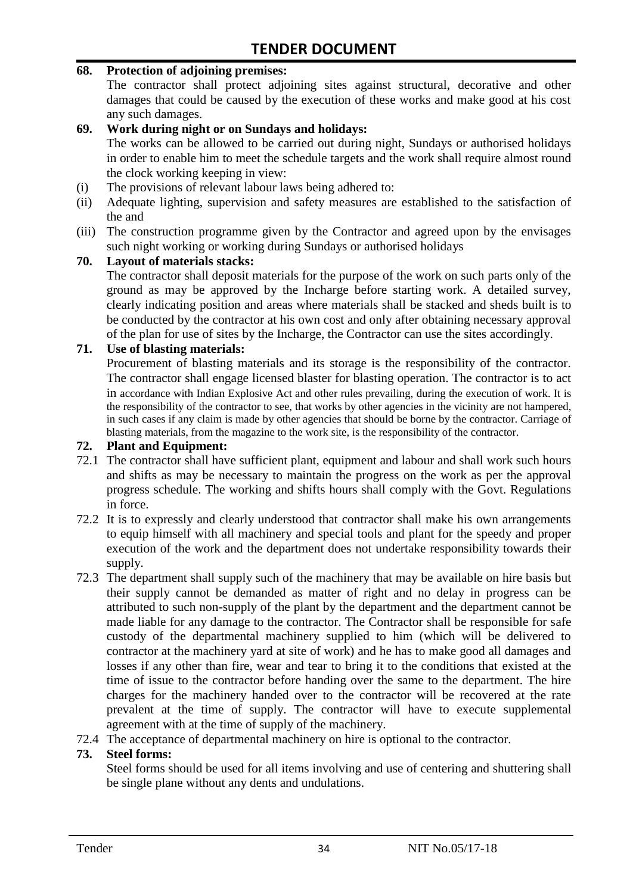#### **68. Protection of adjoining premises:**

The contractor shall protect adjoining sites against structural, decorative and other damages that could be caused by the execution of these works and make good at his cost any such damages.

#### **69. Work during night or on Sundays and holidays:**

The works can be allowed to be carried out during night, Sundays or authorised holidays in order to enable him to meet the schedule targets and the work shall require almost round the clock working keeping in view:

- (i) The provisions of relevant labour laws being adhered to:
- (ii) Adequate lighting, supervision and safety measures are established to the satisfaction of the and
- (iii) The construction programme given by the Contractor and agreed upon by the envisages such night working or working during Sundays or authorised holidays

#### **70. Layout of materials stacks:**

The contractor shall deposit materials for the purpose of the work on such parts only of the ground as may be approved by the Incharge before starting work. A detailed survey, clearly indicating position and areas where materials shall be stacked and sheds built is to be conducted by the contractor at his own cost and only after obtaining necessary approval of the plan for use of sites by the Incharge, the Contractor can use the sites accordingly.

#### **71. Use of blasting materials:**

Procurement of blasting materials and its storage is the responsibility of the contractor. The contractor shall engage licensed blaster for blasting operation. The contractor is to act in accordance with Indian Explosive Act and other rules prevailing, during the execution of work. It is the responsibility of the contractor to see, that works by other agencies in the vicinity are not hampered, in such cases if any claim is made by other agencies that should be borne by the contractor. Carriage of blasting materials, from the magazine to the work site, is the responsibility of the contractor.

#### **72. Plant and Equipment:**

- 72.1 The contractor shall have sufficient plant, equipment and labour and shall work such hours and shifts as may be necessary to maintain the progress on the work as per the approval progress schedule. The working and shifts hours shall comply with the Govt. Regulations in force.
- 72.2 It is to expressly and clearly understood that contractor shall make his own arrangements to equip himself with all machinery and special tools and plant for the speedy and proper execution of the work and the department does not undertake responsibility towards their supply.
- 72.3 The department shall supply such of the machinery that may be available on hire basis but their supply cannot be demanded as matter of right and no delay in progress can be attributed to such non-supply of the plant by the department and the department cannot be made liable for any damage to the contractor. The Contractor shall be responsible for safe custody of the departmental machinery supplied to him (which will be delivered to contractor at the machinery yard at site of work) and he has to make good all damages and losses if any other than fire, wear and tear to bring it to the conditions that existed at the time of issue to the contractor before handing over the same to the department. The hire charges for the machinery handed over to the contractor will be recovered at the rate prevalent at the time of supply. The contractor will have to execute supplemental agreement with at the time of supply of the machinery.
- 72.4 The acceptance of departmental machinery on hire is optional to the contractor.

#### **73. Steel forms:**

Steel forms should be used for all items involving and use of centering and shuttering shall be single plane without any dents and undulations.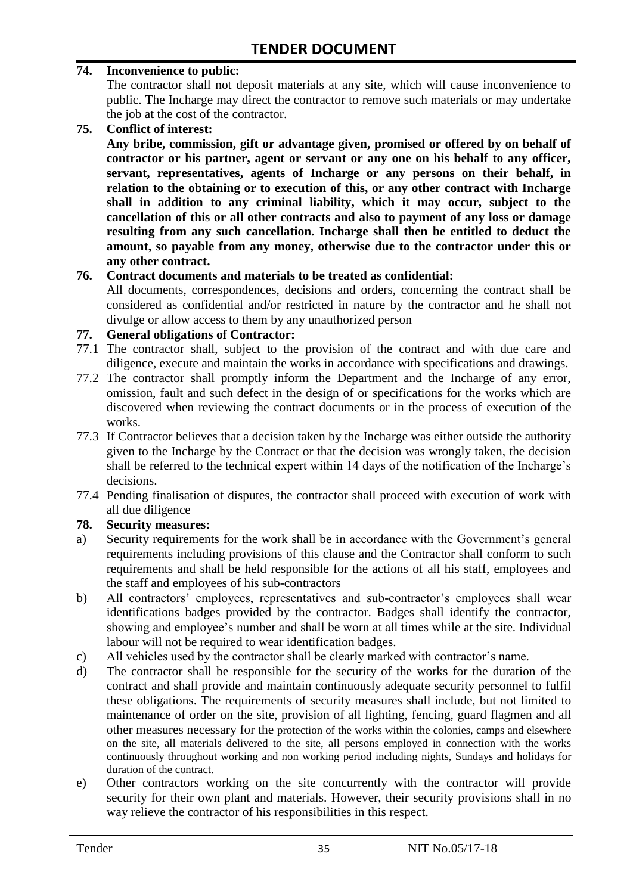#### **74. Inconvenience to public:**

The contractor shall not deposit materials at any site, which will cause inconvenience to public. The Incharge may direct the contractor to remove such materials or may undertake the job at the cost of the contractor.

**75. Conflict of interest:**

**Any bribe, commission, gift or advantage given, promised or offered by on behalf of contractor or his partner, agent or servant or any one on his behalf to any officer, servant, representatives, agents of Incharge or any persons on their behalf, in relation to the obtaining or to execution of this, or any other contract with Incharge shall in addition to any criminal liability, which it may occur, subject to the cancellation of this or all other contracts and also to payment of any loss or damage resulting from any such cancellation. Incharge shall then be entitled to deduct the amount, so payable from any money, otherwise due to the contractor under this or any other contract.**

#### **76. Contract documents and materials to be treated as confidential:**

All documents, correspondences, decisions and orders, concerning the contract shall be considered as confidential and/or restricted in nature by the contractor and he shall not divulge or allow access to them by any unauthorized person

#### **77. General obligations of Contractor:**

- 77.1 The contractor shall, subject to the provision of the contract and with due care and diligence, execute and maintain the works in accordance with specifications and drawings.
- 77.2 The contractor shall promptly inform the Department and the Incharge of any error, omission, fault and such defect in the design of or specifications for the works which are discovered when reviewing the contract documents or in the process of execution of the works.
- 77.3 If Contractor believes that a decision taken by the Incharge was either outside the authority given to the Incharge by the Contract or that the decision was wrongly taken, the decision shall be referred to the technical expert within 14 days of the notification of the Incharge's decisions.
- 77.4 Pending finalisation of disputes, the contractor shall proceed with execution of work with all due diligence

#### **78. Security measures:**

- a) Security requirements for the work shall be in accordance with the Government's general requirements including provisions of this clause and the Contractor shall conform to such requirements and shall be held responsible for the actions of all his staff, employees and the staff and employees of his sub-contractors
- b) All contractors' employees, representatives and sub-contractor's employees shall wear identifications badges provided by the contractor. Badges shall identify the contractor, showing and employee's number and shall be worn at all times while at the site. Individual labour will not be required to wear identification badges.
- c) All vehicles used by the contractor shall be clearly marked with contractor's name.
- d) The contractor shall be responsible for the security of the works for the duration of the contract and shall provide and maintain continuously adequate security personnel to fulfil these obligations. The requirements of security measures shall include, but not limited to maintenance of order on the site, provision of all lighting, fencing, guard flagmen and all other measures necessary for the protection of the works within the colonies, camps and elsewhere on the site, all materials delivered to the site, all persons employed in connection with the works continuously throughout working and non working period including nights, Sundays and holidays for duration of the contract.
- e) Other contractors working on the site concurrently with the contractor will provide security for their own plant and materials. However, their security provisions shall in no way relieve the contractor of his responsibilities in this respect.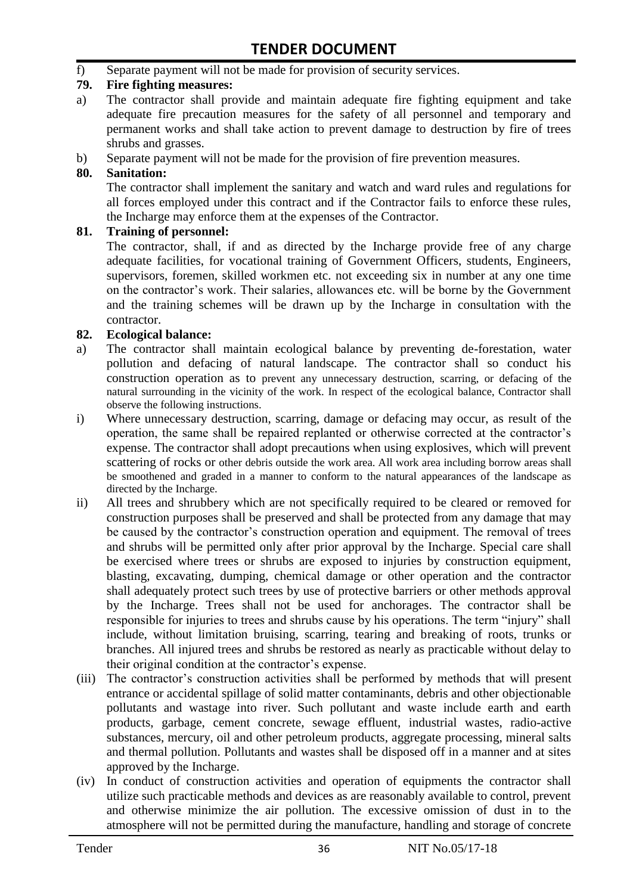f) Separate payment will not be made for provision of security services.

#### **79. Fire fighting measures:**

- a) The contractor shall provide and maintain adequate fire fighting equipment and take adequate fire precaution measures for the safety of all personnel and temporary and permanent works and shall take action to prevent damage to destruction by fire of trees shrubs and grasses.
- b) Separate payment will not be made for the provision of fire prevention measures.

#### **80. Sanitation:**

The contractor shall implement the sanitary and watch and ward rules and regulations for all forces employed under this contract and if the Contractor fails to enforce these rules, the Incharge may enforce them at the expenses of the Contractor.

#### **81. Training of personnel:**

The contractor, shall, if and as directed by the Incharge provide free of any charge adequate facilities, for vocational training of Government Officers, students, Engineers, supervisors, foremen, skilled workmen etc. not exceeding six in number at any one time on the contractor's work. Their salaries, allowances etc. will be borne by the Government and the training schemes will be drawn up by the Incharge in consultation with the contractor.

#### **82. Ecological balance:**

- a) The contractor shall maintain ecological balance by preventing de-forestation, water pollution and defacing of natural landscape. The contractor shall so conduct his construction operation as to prevent any unnecessary destruction, scarring, or defacing of the natural surrounding in the vicinity of the work. In respect of the ecological balance, Contractor shall observe the following instructions.
- i) Where unnecessary destruction, scarring, damage or defacing may occur, as result of the operation, the same shall be repaired replanted or otherwise corrected at the contractor's expense. The contractor shall adopt precautions when using explosives, which will prevent scattering of rocks or other debris outside the work area. All work area including borrow areas shall be smoothened and graded in a manner to conform to the natural appearances of the landscape as directed by the Incharge.
- ii) All trees and shrubbery which are not specifically required to be cleared or removed for construction purposes shall be preserved and shall be protected from any damage that may be caused by the contractor's construction operation and equipment. The removal of trees and shrubs will be permitted only after prior approval by the Incharge. Special care shall be exercised where trees or shrubs are exposed to injuries by construction equipment, blasting, excavating, dumping, chemical damage or other operation and the contractor shall adequately protect such trees by use of protective barriers or other methods approval by the Incharge. Trees shall not be used for anchorages. The contractor shall be responsible for injuries to trees and shrubs cause by his operations. The term "injury" shall include, without limitation bruising, scarring, tearing and breaking of roots, trunks or branches. All injured trees and shrubs be restored as nearly as practicable without delay to their original condition at the contractor's expense.
- (iii) The contractor's construction activities shall be performed by methods that will present entrance or accidental spillage of solid matter contaminants, debris and other objectionable pollutants and wastage into river. Such pollutant and waste include earth and earth products, garbage, cement concrete, sewage effluent, industrial wastes, radio-active substances, mercury, oil and other petroleum products, aggregate processing, mineral salts and thermal pollution. Pollutants and wastes shall be disposed off in a manner and at sites approved by the Incharge.
- (iv) In conduct of construction activities and operation of equipments the contractor shall utilize such practicable methods and devices as are reasonably available to control, prevent and otherwise minimize the air pollution. The excessive omission of dust in to the atmosphere will not be permitted during the manufacture, handling and storage of concrete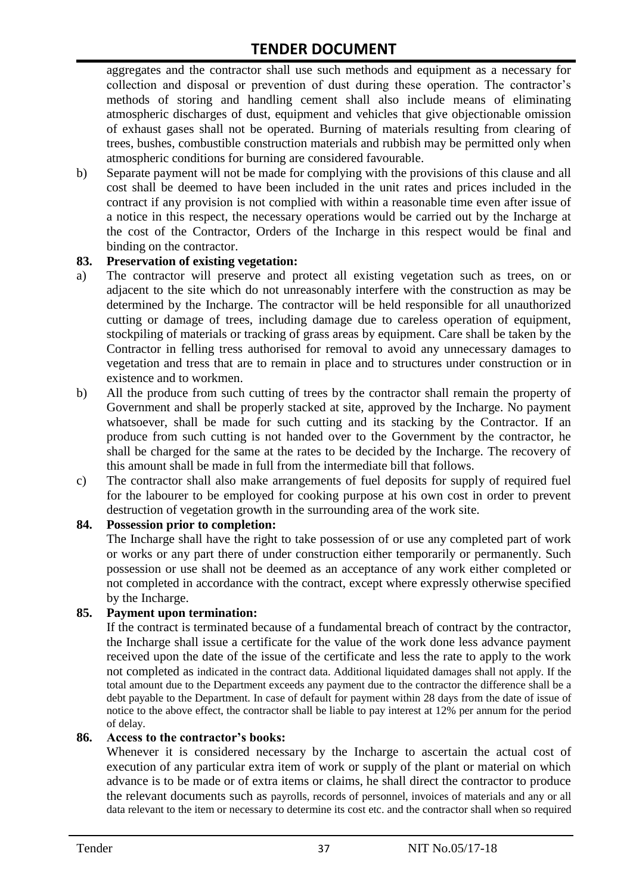aggregates and the contractor shall use such methods and equipment as a necessary for collection and disposal or prevention of dust during these operation. The contractor's methods of storing and handling cement shall also include means of eliminating atmospheric discharges of dust, equipment and vehicles that give objectionable omission of exhaust gases shall not be operated. Burning of materials resulting from clearing of trees, bushes, combustible construction materials and rubbish may be permitted only when atmospheric conditions for burning are considered favourable.

b) Separate payment will not be made for complying with the provisions of this clause and all cost shall be deemed to have been included in the unit rates and prices included in the contract if any provision is not complied with within a reasonable time even after issue of a notice in this respect, the necessary operations would be carried out by the Incharge at the cost of the Contractor, Orders of the Incharge in this respect would be final and binding on the contractor.

#### **83. Preservation of existing vegetation:**

- a) The contractor will preserve and protect all existing vegetation such as trees, on or adjacent to the site which do not unreasonably interfere with the construction as may be determined by the Incharge. The contractor will be held responsible for all unauthorized cutting or damage of trees, including damage due to careless operation of equipment, stockpiling of materials or tracking of grass areas by equipment. Care shall be taken by the Contractor in felling tress authorised for removal to avoid any unnecessary damages to vegetation and tress that are to remain in place and to structures under construction or in existence and to workmen.
- b) All the produce from such cutting of trees by the contractor shall remain the property of Government and shall be properly stacked at site, approved by the Incharge. No payment whatsoever, shall be made for such cutting and its stacking by the Contractor. If an produce from such cutting is not handed over to the Government by the contractor, he shall be charged for the same at the rates to be decided by the Incharge. The recovery of this amount shall be made in full from the intermediate bill that follows.
- c) The contractor shall also make arrangements of fuel deposits for supply of required fuel for the labourer to be employed for cooking purpose at his own cost in order to prevent destruction of vegetation growth in the surrounding area of the work site.

#### **84. Possession prior to completion:**

The Incharge shall have the right to take possession of or use any completed part of work or works or any part there of under construction either temporarily or permanently. Such possession or use shall not be deemed as an acceptance of any work either completed or not completed in accordance with the contract, except where expressly otherwise specified by the Incharge.

#### **85. Payment upon termination:**

If the contract is terminated because of a fundamental breach of contract by the contractor, the Incharge shall issue a certificate for the value of the work done less advance payment received upon the date of the issue of the certificate and less the rate to apply to the work not completed as indicated in the contract data. Additional liquidated damages shall not apply. If the total amount due to the Department exceeds any payment due to the contractor the difference shall be a debt payable to the Department. In case of default for payment within 28 days from the date of issue of notice to the above effect, the contractor shall be liable to pay interest at 12% per annum for the period of delay.

#### **86. Access to the contractor's books:**

Whenever it is considered necessary by the Incharge to ascertain the actual cost of execution of any particular extra item of work or supply of the plant or material on which advance is to be made or of extra items or claims, he shall direct the contractor to produce the relevant documents such as payrolls, records of personnel, invoices of materials and any or all data relevant to the item or necessary to determine its cost etc. and the contractor shall when so required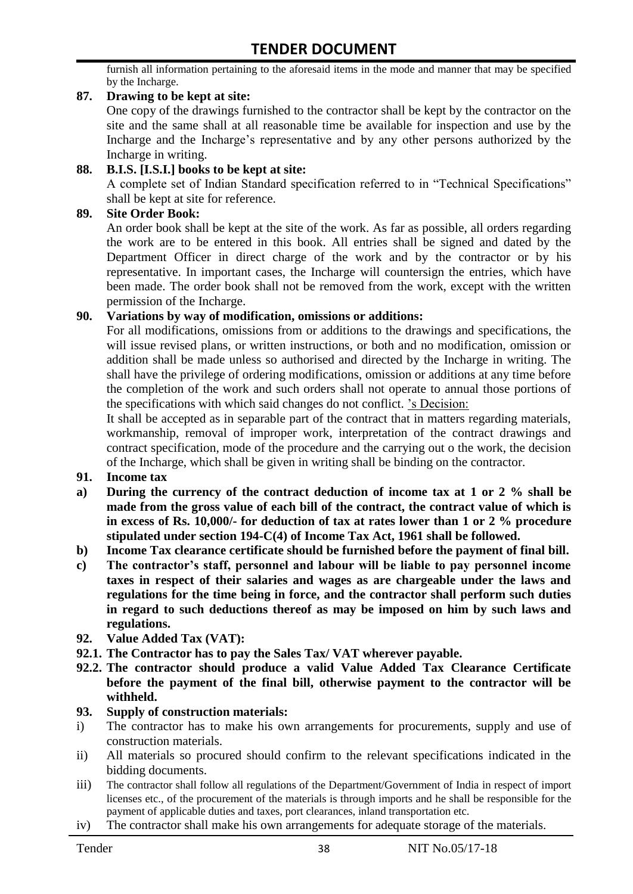furnish all information pertaining to the aforesaid items in the mode and manner that may be specified by the Incharge.

#### **87. Drawing to be kept at site:**

One copy of the drawings furnished to the contractor shall be kept by the contractor on the site and the same shall at all reasonable time be available for inspection and use by the Incharge and the Incharge's representative and by any other persons authorized by the Incharge in writing.

#### **88. B.I.S. [I.S.I.] books to be kept at site:**

A complete set of Indian Standard specification referred to in "Technical Specifications" shall be kept at site for reference.

#### **89. Site Order Book:**

An order book shall be kept at the site of the work. As far as possible, all orders regarding the work are to be entered in this book. All entries shall be signed and dated by the Department Officer in direct charge of the work and by the contractor or by his representative. In important cases, the Incharge will countersign the entries, which have been made. The order book shall not be removed from the work, except with the written permission of the Incharge.

#### **90. Variations by way of modification, omissions or additions:**

For all modifications, omissions from or additions to the drawings and specifications, the will issue revised plans, or written instructions, or both and no modification, omission or addition shall be made unless so authorised and directed by the Incharge in writing. The shall have the privilege of ordering modifications, omission or additions at any time before the completion of the work and such orders shall not operate to annual those portions of the specifications with which said changes do not conflict. 's Decision:

It shall be accepted as in separable part of the contract that in matters regarding materials, workmanship, removal of improper work, interpretation of the contract drawings and contract specification, mode of the procedure and the carrying out o the work, the decision of the Incharge, which shall be given in writing shall be binding on the contractor.

- **91. Income tax**
- **a) During the currency of the contract deduction of income tax at 1 or 2 % shall be made from the gross value of each bill of the contract, the contract value of which is in excess of Rs. 10,000/- for deduction of tax at rates lower than 1 or 2 % procedure stipulated under section 194-C(4) of Income Tax Act, 1961 shall be followed.**
- **b) Income Tax clearance certificate should be furnished before the payment of final bill.**
- **c) The contractor's staff, personnel and labour will be liable to pay personnel income taxes in respect of their salaries and wages as are chargeable under the laws and regulations for the time being in force, and the contractor shall perform such duties in regard to such deductions thereof as may be imposed on him by such laws and regulations.**
- **92. Value Added Tax (VAT):**
- **92.1. The Contractor has to pay the Sales Tax/ VAT wherever payable.**
- **92.2. The contractor should produce a valid Value Added Tax Clearance Certificate before the payment of the final bill, otherwise payment to the contractor will be withheld.**

#### **93. Supply of construction materials:**

- i) The contractor has to make his own arrangements for procurements, supply and use of construction materials.
- ii) All materials so procured should confirm to the relevant specifications indicated in the bidding documents.
- iii) The contractor shall follow all regulations of the Department/Government of India in respect of import licenses etc., of the procurement of the materials is through imports and he shall be responsible for the payment of applicable duties and taxes, port clearances, inland transportation etc.
- iv) The contractor shall make his own arrangements for adequate storage of the materials.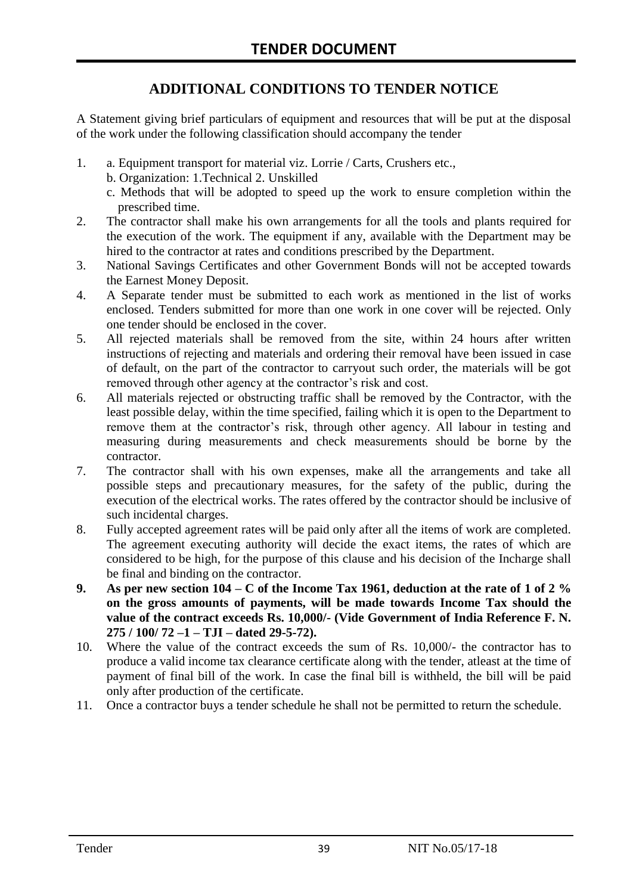#### **ADDITIONAL CONDITIONS TO TENDER NOTICE**

A Statement giving brief particulars of equipment and resources that will be put at the disposal of the work under the following classification should accompany the tender

- 1. a. Equipment transport for material viz. Lorrie / Carts, Crushers etc.,
	- b. Organization: 1.Technical 2. Unskilled
	- c. Methods that will be adopted to speed up the work to ensure completion within the prescribed time.
- 2. The contractor shall make his own arrangements for all the tools and plants required for the execution of the work. The equipment if any, available with the Department may be hired to the contractor at rates and conditions prescribed by the Department.
- 3. National Savings Certificates and other Government Bonds will not be accepted towards the Earnest Money Deposit.
- 4. A Separate tender must be submitted to each work as mentioned in the list of works enclosed. Tenders submitted for more than one work in one cover will be rejected. Only one tender should be enclosed in the cover.
- 5. All rejected materials shall be removed from the site, within 24 hours after written instructions of rejecting and materials and ordering their removal have been issued in case of default, on the part of the contractor to carryout such order, the materials will be got removed through other agency at the contractor's risk and cost.
- 6. All materials rejected or obstructing traffic shall be removed by the Contractor, with the least possible delay, within the time specified, failing which it is open to the Department to remove them at the contractor's risk, through other agency. All labour in testing and measuring during measurements and check measurements should be borne by the contractor.
- 7. The contractor shall with his own expenses, make all the arrangements and take all possible steps and precautionary measures, for the safety of the public, during the execution of the electrical works. The rates offered by the contractor should be inclusive of such incidental charges.
- 8. Fully accepted agreement rates will be paid only after all the items of work are completed. The agreement executing authority will decide the exact items, the rates of which are considered to be high, for the purpose of this clause and his decision of the Incharge shall be final and binding on the contractor.
- **9. As per new section 104 – C of the Income Tax 1961, deduction at the rate of 1 of 2 % on the gross amounts of payments, will be made towards Income Tax should the value of the contract exceeds Rs. 10,000/- (Vide Government of India Reference F. N. 275 / 100/ 72 –1 – TJI – dated 29-5-72).**
- 10. Where the value of the contract exceeds the sum of Rs. 10,000/- the contractor has to produce a valid income tax clearance certificate along with the tender, atleast at the time of payment of final bill of the work. In case the final bill is withheld, the bill will be paid only after production of the certificate.
- 11. Once a contractor buys a tender schedule he shall not be permitted to return the schedule.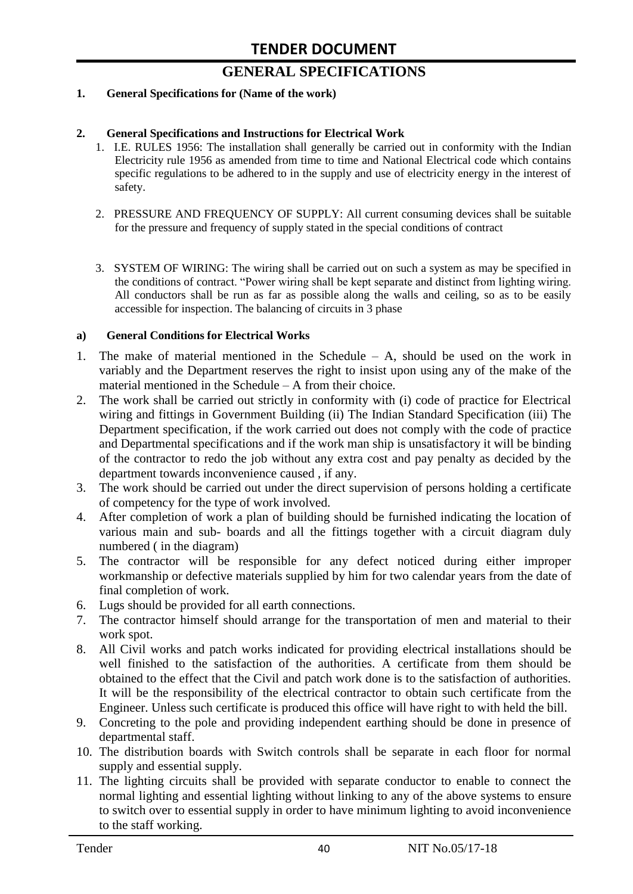# **GENERAL SPECIFICATIONS**

#### **1. General Specifications for (Name of the work)**

#### **2. General Specifications and Instructions for Electrical Work**

- 1. I.E. RULES 1956: The installation shall generally be carried out in conformity with the Indian Electricity rule 1956 as amended from time to time and National Electrical code which contains specific regulations to be adhered to in the supply and use of electricity energy in the interest of safety.
- 2. PRESSURE AND FREQUENCY OF SUPPLY: All current consuming devices shall be suitable for the pressure and frequency of supply stated in the special conditions of contract
- 3. SYSTEM OF WIRING: The wiring shall be carried out on such a system as may be specified in the conditions of contract. "Power wiring shall be kept separate and distinct from lighting wiring. All conductors shall be run as far as possible along the walls and ceiling, so as to be easily accessible for inspection. The balancing of circuits in 3 phase

#### **a) General Conditions for Electrical Works**

- 1. The make of material mentioned in the Schedule A, should be used on the work in variably and the Department reserves the right to insist upon using any of the make of the material mentioned in the Schedule – A from their choice.
- 2. The work shall be carried out strictly in conformity with (i) code of practice for Electrical wiring and fittings in Government Building (ii) The Indian Standard Specification (iii) The Department specification, if the work carried out does not comply with the code of practice and Departmental specifications and if the work man ship is unsatisfactory it will be binding of the contractor to redo the job without any extra cost and pay penalty as decided by the department towards inconvenience caused , if any.
- 3. The work should be carried out under the direct supervision of persons holding a certificate of competency for the type of work involved.
- 4. After completion of work a plan of building should be furnished indicating the location of various main and sub- boards and all the fittings together with a circuit diagram duly numbered ( in the diagram)
- 5. The contractor will be responsible for any defect noticed during either improper workmanship or defective materials supplied by him for two calendar years from the date of final completion of work.
- 6. Lugs should be provided for all earth connections.
- 7. The contractor himself should arrange for the transportation of men and material to their work spot.
- 8. All Civil works and patch works indicated for providing electrical installations should be well finished to the satisfaction of the authorities. A certificate from them should be obtained to the effect that the Civil and patch work done is to the satisfaction of authorities. It will be the responsibility of the electrical contractor to obtain such certificate from the Engineer. Unless such certificate is produced this office will have right to with held the bill.
- 9. Concreting to the pole and providing independent earthing should be done in presence of departmental staff.
- 10. The distribution boards with Switch controls shall be separate in each floor for normal supply and essential supply.
- 11. The lighting circuits shall be provided with separate conductor to enable to connect the normal lighting and essential lighting without linking to any of the above systems to ensure to switch over to essential supply in order to have minimum lighting to avoid inconvenience to the staff working.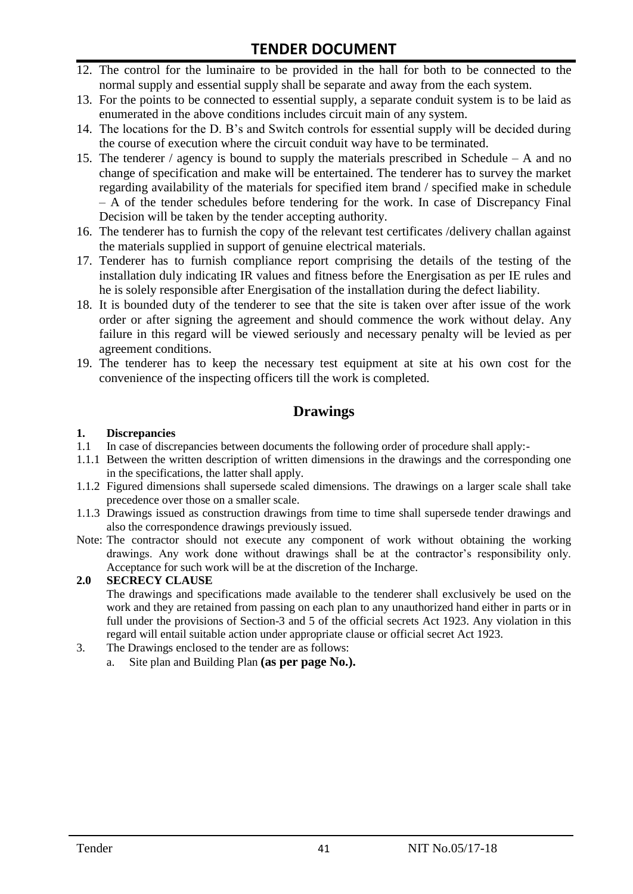- 12. The control for the luminaire to be provided in the hall for both to be connected to the normal supply and essential supply shall be separate and away from the each system.
- 13. For the points to be connected to essential supply, a separate conduit system is to be laid as enumerated in the above conditions includes circuit main of any system.
- 14. The locations for the D. B's and Switch controls for essential supply will be decided during the course of execution where the circuit conduit way have to be terminated.
- 15. The tenderer / agency is bound to supply the materials prescribed in Schedule A and no change of specification and make will be entertained. The tenderer has to survey the market regarding availability of the materials for specified item brand / specified make in schedule – A of the tender schedules before tendering for the work. In case of Discrepancy Final Decision will be taken by the tender accepting authority.
- 16. The tenderer has to furnish the copy of the relevant test certificates /delivery challan against the materials supplied in support of genuine electrical materials.
- 17. Tenderer has to furnish compliance report comprising the details of the testing of the installation duly indicating IR values and fitness before the Energisation as per IE rules and he is solely responsible after Energisation of the installation during the defect liability.
- 18. It is bounded duty of the tenderer to see that the site is taken over after issue of the work order or after signing the agreement and should commence the work without delay. Any failure in this regard will be viewed seriously and necessary penalty will be levied as per agreement conditions.
- 19. The tenderer has to keep the necessary test equipment at site at his own cost for the convenience of the inspecting officers till the work is completed.

#### **Drawings**

#### **1. Discrepancies**

- 1.1 In case of discrepancies between documents the following order of procedure shall apply:-
- 1.1.1 Between the written description of written dimensions in the drawings and the corresponding one in the specifications, the latter shall apply.
- 1.1.2 Figured dimensions shall supersede scaled dimensions. The drawings on a larger scale shall take precedence over those on a smaller scale.
- 1.1.3 Drawings issued as construction drawings from time to time shall supersede tender drawings and also the correspondence drawings previously issued.
- Note: The contractor should not execute any component of work without obtaining the working drawings. Any work done without drawings shall be at the contractor's responsibility only. Acceptance for such work will be at the discretion of the Incharge.

#### **2.0 SECRECY CLAUSE**

The drawings and specifications made available to the tenderer shall exclusively be used on the work and they are retained from passing on each plan to any unauthorized hand either in parts or in full under the provisions of Section-3 and 5 of the official secrets Act 1923. Any violation in this regard will entail suitable action under appropriate clause or official secret Act 1923.

- 3. The Drawings enclosed to the tender are as follows:
	- a. Site plan and Building Plan **(as per page No.).**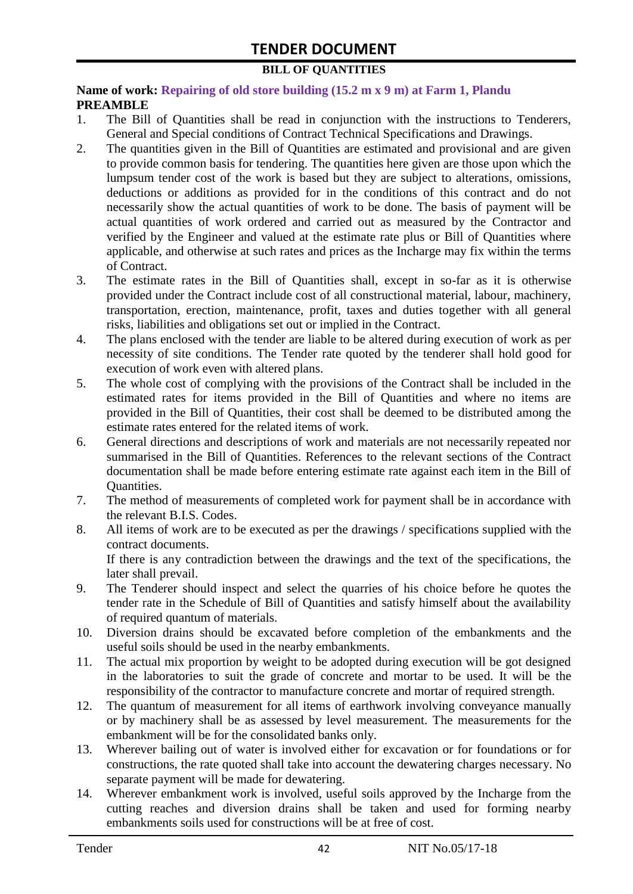#### **BILL OF QUANTITIES**

#### **Name of work: Repairing of old store building (15.2 m x 9 m) at Farm 1, Plandu PREAMBLE**

- 1. The Bill of Quantities shall be read in conjunction with the instructions to Tenderers, General and Special conditions of Contract Technical Specifications and Drawings.
- 2. The quantities given in the Bill of Quantities are estimated and provisional and are given to provide common basis for tendering. The quantities here given are those upon which the lumpsum tender cost of the work is based but they are subject to alterations, omissions, deductions or additions as provided for in the conditions of this contract and do not necessarily show the actual quantities of work to be done. The basis of payment will be actual quantities of work ordered and carried out as measured by the Contractor and verified by the Engineer and valued at the estimate rate plus or Bill of Quantities where applicable, and otherwise at such rates and prices as the Incharge may fix within the terms of Contract.
- 3. The estimate rates in the Bill of Quantities shall, except in so-far as it is otherwise provided under the Contract include cost of all constructional material, labour, machinery, transportation, erection, maintenance, profit, taxes and duties together with all general risks, liabilities and obligations set out or implied in the Contract.
- 4. The plans enclosed with the tender are liable to be altered during execution of work as per necessity of site conditions. The Tender rate quoted by the tenderer shall hold good for execution of work even with altered plans.
- 5. The whole cost of complying with the provisions of the Contract shall be included in the estimated rates for items provided in the Bill of Quantities and where no items are provided in the Bill of Quantities, their cost shall be deemed to be distributed among the estimate rates entered for the related items of work.
- 6. General directions and descriptions of work and materials are not necessarily repeated nor summarised in the Bill of Quantities. References to the relevant sections of the Contract documentation shall be made before entering estimate rate against each item in the Bill of Quantities.
- 7. The method of measurements of completed work for payment shall be in accordance with the relevant B.I.S. Codes.
- 8. All items of work are to be executed as per the drawings / specifications supplied with the contract documents. If there is any contradiction between the drawings and the text of the specifications, the

later shall prevail. 9. The Tenderer should inspect and select the quarries of his choice before he quotes the

- tender rate in the Schedule of Bill of Quantities and satisfy himself about the availability of required quantum of materials.
- 10. Diversion drains should be excavated before completion of the embankments and the useful soils should be used in the nearby embankments.
- 11. The actual mix proportion by weight to be adopted during execution will be got designed in the laboratories to suit the grade of concrete and mortar to be used. It will be the responsibility of the contractor to manufacture concrete and mortar of required strength.
- 12. The quantum of measurement for all items of earthwork involving conveyance manually or by machinery shall be as assessed by level measurement. The measurements for the embankment will be for the consolidated banks only.
- 13. Wherever bailing out of water is involved either for excavation or for foundations or for constructions, the rate quoted shall take into account the dewatering charges necessary. No separate payment will be made for dewatering.
- 14. Wherever embankment work is involved, useful soils approved by the Incharge from the cutting reaches and diversion drains shall be taken and used for forming nearby embankments soils used for constructions will be at free of cost.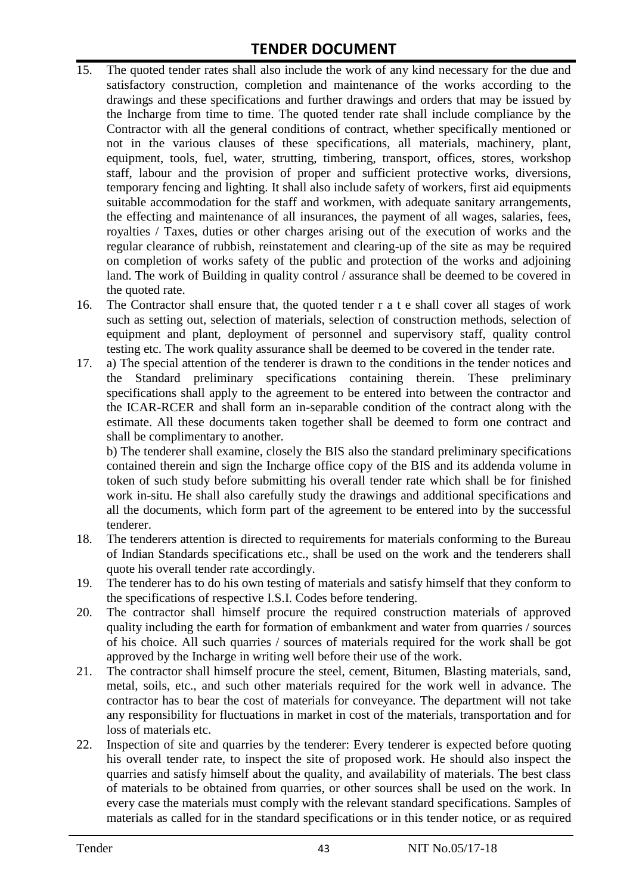- 15. The quoted tender rates shall also include the work of any kind necessary for the due and satisfactory construction, completion and maintenance of the works according to the drawings and these specifications and further drawings and orders that may be issued by the Incharge from time to time. The quoted tender rate shall include compliance by the Contractor with all the general conditions of contract, whether specifically mentioned or not in the various clauses of these specifications, all materials, machinery, plant, equipment, tools, fuel, water, strutting, timbering, transport, offices, stores, workshop staff, labour and the provision of proper and sufficient protective works, diversions, temporary fencing and lighting. It shall also include safety of workers, first aid equipments suitable accommodation for the staff and workmen, with adequate sanitary arrangements, the effecting and maintenance of all insurances, the payment of all wages, salaries, fees, royalties / Taxes, duties or other charges arising out of the execution of works and the regular clearance of rubbish, reinstatement and clearing-up of the site as may be required on completion of works safety of the public and protection of the works and adjoining land. The work of Building in quality control / assurance shall be deemed to be covered in the quoted rate.
- 16. The Contractor shall ensure that, the quoted tender r a t e shall cover all stages of work such as setting out, selection of materials, selection of construction methods, selection of equipment and plant, deployment of personnel and supervisory staff, quality control testing etc. The work quality assurance shall be deemed to be covered in the tender rate.
- 17. a) The special attention of the tenderer is drawn to the conditions in the tender notices and the Standard preliminary specifications containing therein. These preliminary specifications shall apply to the agreement to be entered into between the contractor and the ICAR-RCER and shall form an in-separable condition of the contract along with the estimate. All these documents taken together shall be deemed to form one contract and shall be complimentary to another.

b) The tenderer shall examine, closely the BIS also the standard preliminary specifications contained therein and sign the Incharge office copy of the BIS and its addenda volume in token of such study before submitting his overall tender rate which shall be for finished work in-situ. He shall also carefully study the drawings and additional specifications and all the documents, which form part of the agreement to be entered into by the successful tenderer.

- 18. The tenderers attention is directed to requirements for materials conforming to the Bureau of Indian Standards specifications etc., shall be used on the work and the tenderers shall quote his overall tender rate accordingly.
- 19. The tenderer has to do his own testing of materials and satisfy himself that they conform to the specifications of respective I.S.I. Codes before tendering.
- 20. The contractor shall himself procure the required construction materials of approved quality including the earth for formation of embankment and water from quarries / sources of his choice. All such quarries / sources of materials required for the work shall be got approved by the Incharge in writing well before their use of the work.
- 21. The contractor shall himself procure the steel, cement, Bitumen, Blasting materials, sand, metal, soils, etc., and such other materials required for the work well in advance. The contractor has to bear the cost of materials for conveyance. The department will not take any responsibility for fluctuations in market in cost of the materials, transportation and for loss of materials etc.
- 22. Inspection of site and quarries by the tenderer: Every tenderer is expected before quoting his overall tender rate, to inspect the site of proposed work. He should also inspect the quarries and satisfy himself about the quality, and availability of materials. The best class of materials to be obtained from quarries, or other sources shall be used on the work. In every case the materials must comply with the relevant standard specifications. Samples of materials as called for in the standard specifications or in this tender notice, or as required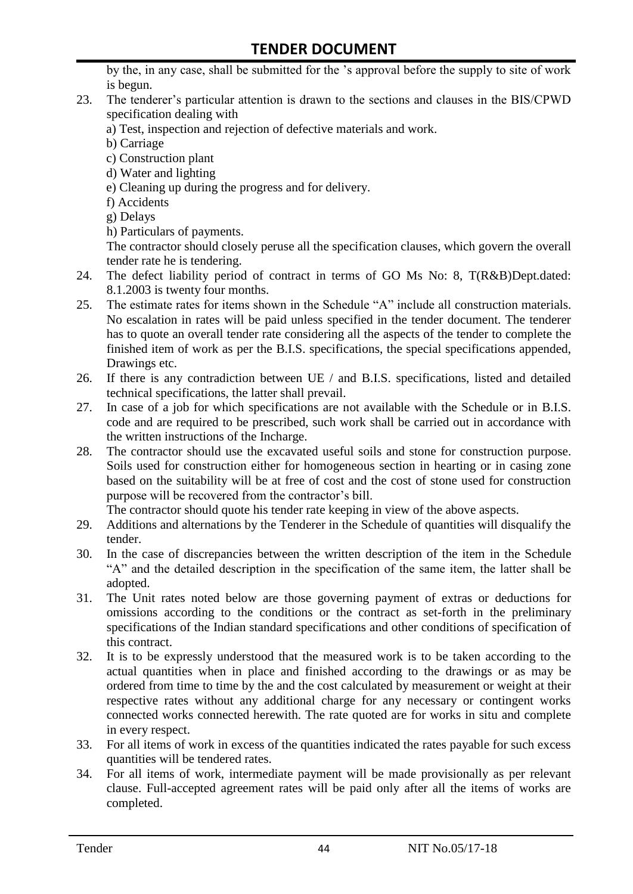by the, in any case, shall be submitted for the 's approval before the supply to site of work is begun.

- 23. The tenderer's particular attention is drawn to the sections and clauses in the BIS/CPWD specification dealing with
	- a) Test, inspection and rejection of defective materials and work.
	- b) Carriage
	- c) Construction plant
	- d) Water and lighting
	- e) Cleaning up during the progress and for delivery.
	- f) Accidents
	- g) Delays
	- h) Particulars of payments.

The contractor should closely peruse all the specification clauses, which govern the overall tender rate he is tendering.

- 24. The defect liability period of contract in terms of GO Ms No: 8, T(R&B)Dept.dated: 8.1.2003 is twenty four months.
- 25. The estimate rates for items shown in the Schedule "A" include all construction materials. No escalation in rates will be paid unless specified in the tender document. The tenderer has to quote an overall tender rate considering all the aspects of the tender to complete the finished item of work as per the B.I.S. specifications, the special specifications appended, Drawings etc.
- 26. If there is any contradiction between UE / and B.I.S. specifications, listed and detailed technical specifications, the latter shall prevail.
- 27. In case of a job for which specifications are not available with the Schedule or in B.I.S. code and are required to be prescribed, such work shall be carried out in accordance with the written instructions of the Incharge.
- 28. The contractor should use the excavated useful soils and stone for construction purpose. Soils used for construction either for homogeneous section in hearting or in casing zone based on the suitability will be at free of cost and the cost of stone used for construction purpose will be recovered from the contractor's bill.

The contractor should quote his tender rate keeping in view of the above aspects.

- 29. Additions and alternations by the Tenderer in the Schedule of quantities will disqualify the tender.
- 30. In the case of discrepancies between the written description of the item in the Schedule "A" and the detailed description in the specification of the same item, the latter shall be adopted.
- 31. The Unit rates noted below are those governing payment of extras or deductions for omissions according to the conditions or the contract as set-forth in the preliminary specifications of the Indian standard specifications and other conditions of specification of this contract.
- 32. It is to be expressly understood that the measured work is to be taken according to the actual quantities when in place and finished according to the drawings or as may be ordered from time to time by the and the cost calculated by measurement or weight at their respective rates without any additional charge for any necessary or contingent works connected works connected herewith. The rate quoted are for works in situ and complete in every respect.
- 33. For all items of work in excess of the quantities indicated the rates payable for such excess quantities will be tendered rates.
- 34. For all items of work, intermediate payment will be made provisionally as per relevant clause. Full-accepted agreement rates will be paid only after all the items of works are completed.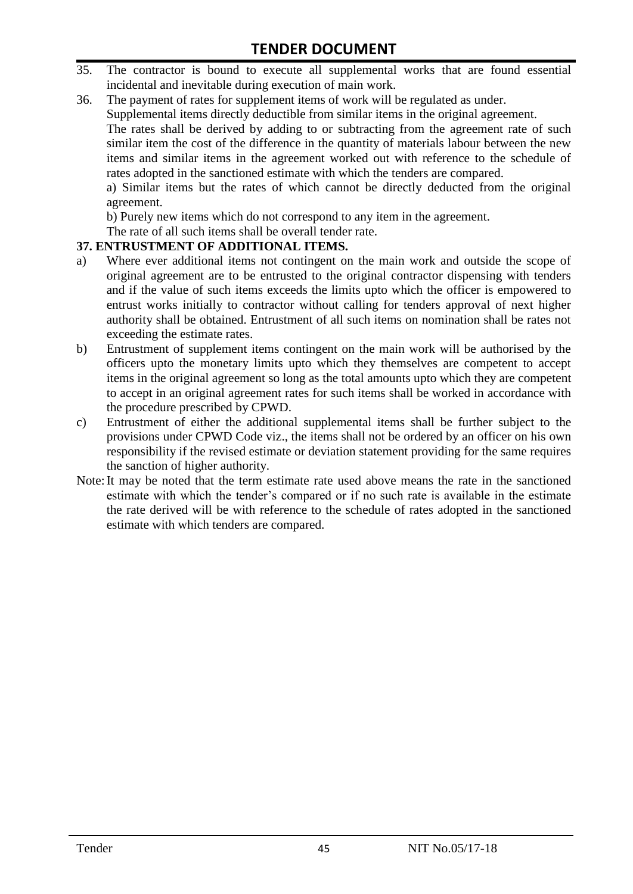- 35. The contractor is bound to execute all supplemental works that are found essential incidental and inevitable during execution of main work.
- 36. The payment of rates for supplement items of work will be regulated as under.

Supplemental items directly deductible from similar items in the original agreement.

The rates shall be derived by adding to or subtracting from the agreement rate of such similar item the cost of the difference in the quantity of materials labour between the new items and similar items in the agreement worked out with reference to the schedule of rates adopted in the sanctioned estimate with which the tenders are compared.

a) Similar items but the rates of which cannot be directly deducted from the original agreement.

b) Purely new items which do not correspond to any item in the agreement.

The rate of all such items shall be overall tender rate.

#### **37. ENTRUSTMENT OF ADDITIONAL ITEMS.**

- a) Where ever additional items not contingent on the main work and outside the scope of original agreement are to be entrusted to the original contractor dispensing with tenders and if the value of such items exceeds the limits upto which the officer is empowered to entrust works initially to contractor without calling for tenders approval of next higher authority shall be obtained. Entrustment of all such items on nomination shall be rates not exceeding the estimate rates.
- b) Entrustment of supplement items contingent on the main work will be authorised by the officers upto the monetary limits upto which they themselves are competent to accept items in the original agreement so long as the total amounts upto which they are competent to accept in an original agreement rates for such items shall be worked in accordance with the procedure prescribed by CPWD.
- c) Entrustment of either the additional supplemental items shall be further subject to the provisions under CPWD Code viz., the items shall not be ordered by an officer on his own responsibility if the revised estimate or deviation statement providing for the same requires the sanction of higher authority.
- Note:It may be noted that the term estimate rate used above means the rate in the sanctioned estimate with which the tender's compared or if no such rate is available in the estimate the rate derived will be with reference to the schedule of rates adopted in the sanctioned estimate with which tenders are compared.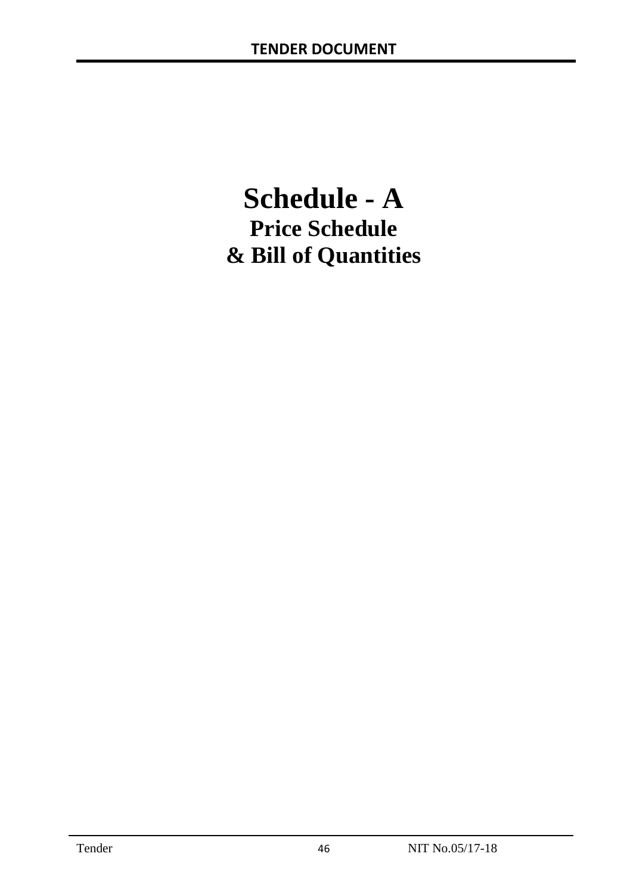# **Schedule - A Price Schedule & Bill of Quantities**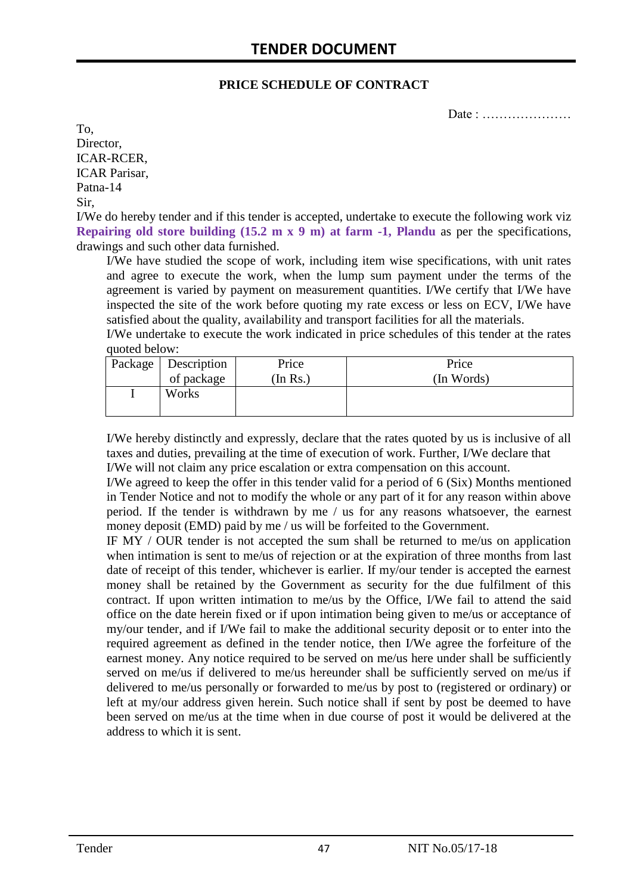#### **PRICE SCHEDULE OF CONTRACT**

Date : …………………

To, Director, ICAR-RCER, ICAR Parisar, Patna-14 Sir,

I/We do hereby tender and if this tender is accepted, undertake to execute the following work viz **Repairing old store building (15.2 m x 9 m) at farm -1, Plandu** as per the specifications, drawings and such other data furnished.

I/We have studied the scope of work, including item wise specifications, with unit rates and agree to execute the work, when the lump sum payment under the terms of the agreement is varied by payment on measurement quantities. I/We certify that I/We have inspected the site of the work before quoting my rate excess or less on ECV, I/We have satisfied about the quality, availability and transport facilities for all the materials.

I/We undertake to execute the work indicated in price schedules of this tender at the rates quoted below:

| Package   Description | Price    | Price      |
|-----------------------|----------|------------|
| of package            | (In Rs.) | (In Words) |
| Works                 |          |            |
|                       |          |            |

I/We hereby distinctly and expressly, declare that the rates quoted by us is inclusive of all taxes and duties, prevailing at the time of execution of work. Further, I/We declare that I/We will not claim any price escalation or extra compensation on this account.

I/We agreed to keep the offer in this tender valid for a period of 6 (Six) Months mentioned in Tender Notice and not to modify the whole or any part of it for any reason within above period. If the tender is withdrawn by me / us for any reasons whatsoever, the earnest money deposit (EMD) paid by me / us will be forfeited to the Government.

IF MY / OUR tender is not accepted the sum shall be returned to me/us on application when intimation is sent to me/us of rejection or at the expiration of three months from last date of receipt of this tender, whichever is earlier. If my/our tender is accepted the earnest money shall be retained by the Government as security for the due fulfilment of this contract. If upon written intimation to me/us by the Office, I/We fail to attend the said office on the date herein fixed or if upon intimation being given to me/us or acceptance of my/our tender, and if I/We fail to make the additional security deposit or to enter into the required agreement as defined in the tender notice, then I/We agree the forfeiture of the earnest money. Any notice required to be served on me/us here under shall be sufficiently served on me/us if delivered to me/us hereunder shall be sufficiently served on me/us if delivered to me/us personally or forwarded to me/us by post to (registered or ordinary) or left at my/our address given herein. Such notice shall if sent by post be deemed to have been served on me/us at the time when in due course of post it would be delivered at the address to which it is sent.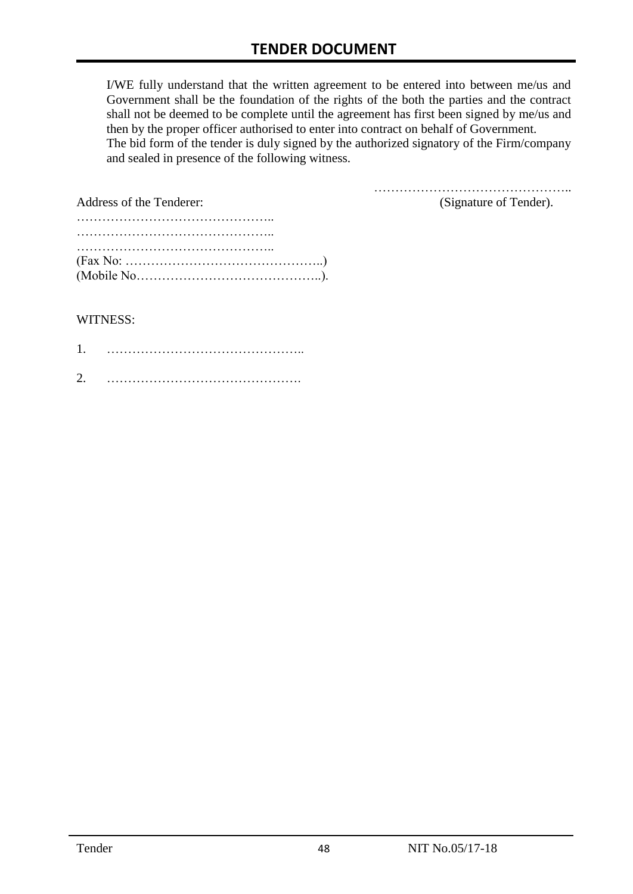I/WE fully understand that the written agreement to be entered into between me/us and Government shall be the foundation of the rights of the both the parties and the contract shall not be deemed to be complete until the agreement has first been signed by me/us and then by the proper officer authorised to enter into contract on behalf of Government. The bid form of the tender is duly signed by the authorized signatory of the Firm/company and sealed in presence of the following witness.

| Address of the Tenderer:                                                                               | (Signature of Tender). |
|--------------------------------------------------------------------------------------------------------|------------------------|
|                                                                                                        |                        |
|                                                                                                        |                        |
|                                                                                                        |                        |
| $(Fax No: \ldots \ldots \ldots \ldots \ldots \ldots \ldots \ldots \ldots \ldots \ldots \ldots \ldots)$ |                        |
|                                                                                                        |                        |

#### WITNESS:

| ◠ |  |
|---|--|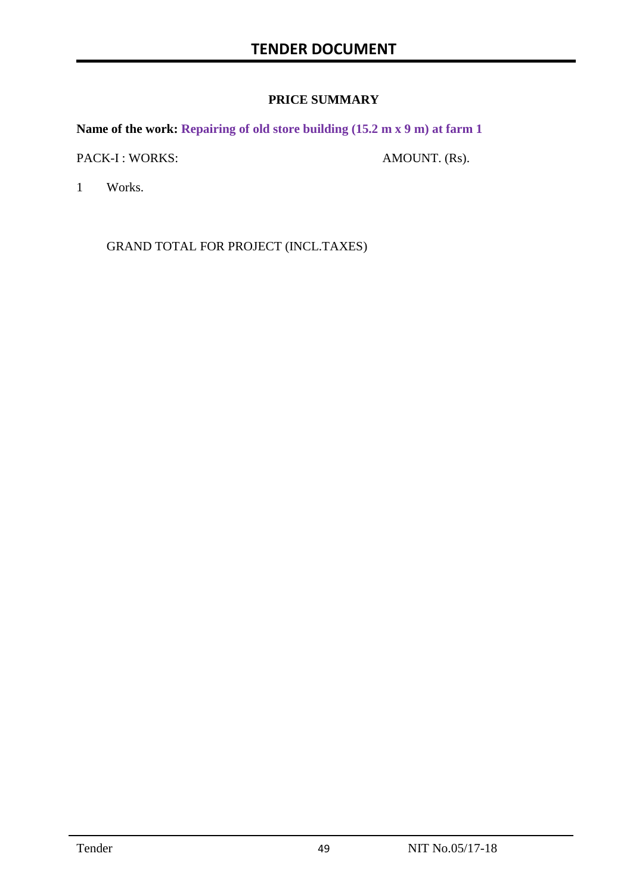#### **PRICE SUMMARY**

**Name of the work: Repairing of old store building (15.2 m x 9 m) at farm 1**

PACK-I : WORKS: AMOUNT. (Rs).

1 Works.

GRAND TOTAL FOR PROJECT (INCL.TAXES)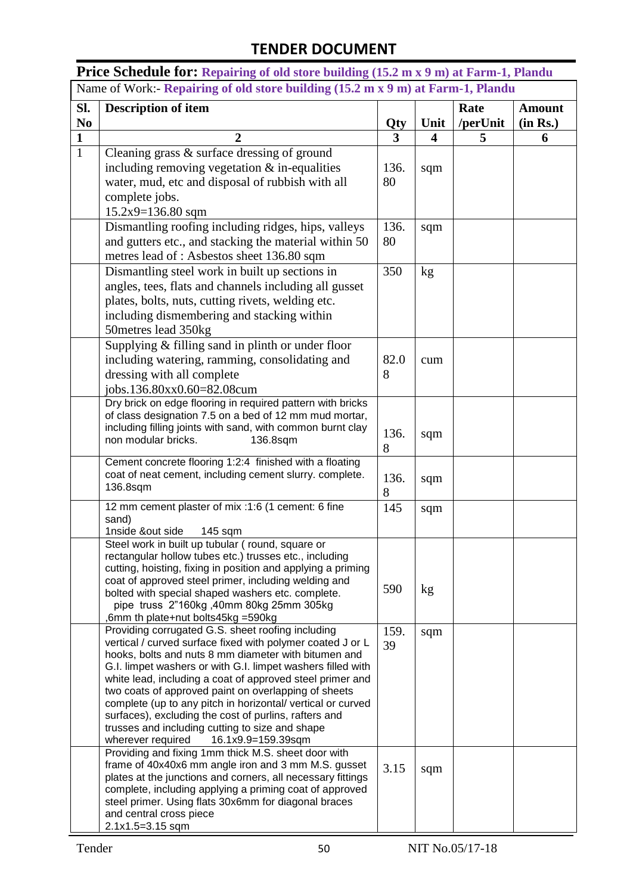**Price Schedule for: Repairing of old store building (15.2 m x 9 m) at Farm-1, Plandu** Name of Work:- **Repairing of old store building (15.2 m x 9 m) at Farm-1, Plandu**

| Sl.<br>N <sub>0</sub> | <b>Description of item</b>                                                                                           |          | Unit                    | Rate          | <b>Amount</b> |
|-----------------------|----------------------------------------------------------------------------------------------------------------------|----------|-------------------------|---------------|---------------|
| $\mathbf{1}$          | $\overline{2}$                                                                                                       | Qty<br>3 | $\overline{\mathbf{4}}$ | /perUnit<br>5 | (in Rs.)<br>6 |
| $\mathbf{1}$          | Cleaning grass & surface dressing of ground                                                                          |          |                         |               |               |
|                       | including removing vegetation $&$ in-equalities                                                                      | 136.     |                         |               |               |
|                       | water, mud, etc and disposal of rubbish with all                                                                     | 80       | sqm                     |               |               |
|                       | complete jobs.                                                                                                       |          |                         |               |               |
|                       | $15.2x9 = 136.80$ sqm                                                                                                |          |                         |               |               |
|                       | Dismantling roofing including ridges, hips, valleys                                                                  | 136.     | sqm                     |               |               |
|                       | and gutters etc., and stacking the material within 50                                                                | 80       |                         |               |               |
|                       | metres lead of: Asbestos sheet 136.80 sqm                                                                            |          |                         |               |               |
|                       | Dismantling steel work in built up sections in                                                                       | 350      | kg                      |               |               |
|                       | angles, tees, flats and channels including all gusset                                                                |          |                         |               |               |
|                       | plates, bolts, nuts, cutting rivets, welding etc.                                                                    |          |                         |               |               |
|                       | including dismembering and stacking within                                                                           |          |                         |               |               |
|                       | 50metres lead 350kg                                                                                                  |          |                         |               |               |
|                       | Supplying & filling sand in plinth or under floor                                                                    |          |                         |               |               |
|                       | including watering, ramming, consolidating and                                                                       | 82.0     | cum                     |               |               |
|                       | dressing with all complete                                                                                           | 8        |                         |               |               |
|                       | jobs.136.80xx0.60=82.08cum                                                                                           |          |                         |               |               |
|                       | Dry brick on edge flooring in required pattern with bricks                                                           |          |                         |               |               |
|                       | of class designation 7.5 on a bed of 12 mm mud mortar,                                                               |          |                         |               |               |
|                       | including filling joints with sand, with common burnt clay<br>non modular bricks.<br>136.8sqm                        | 136.     | sqm                     |               |               |
|                       |                                                                                                                      | 8        |                         |               |               |
|                       | Cement concrete flooring 1:2:4 finished with a floating                                                              |          |                         |               |               |
|                       | coat of neat cement, including cement slurry. complete.<br>136.8sqm                                                  | 136.     | sqm                     |               |               |
|                       |                                                                                                                      | 8        |                         |               |               |
|                       | 12 mm cement plaster of mix :1:6 (1 cement: 6 fine<br>sand)                                                          | 145      | sqm                     |               |               |
|                       | 1nside &out side<br>145 sqm                                                                                          |          |                         |               |               |
|                       | Steel work in built up tubular (round, square or                                                                     |          |                         |               |               |
|                       | rectangular hollow tubes etc.) trusses etc., including                                                               |          |                         |               |               |
|                       | cutting, hoisting, fixing in position and applying a priming                                                         |          |                         |               |               |
|                       | coat of approved steel primer, including welding and<br>bolted with special shaped washers etc. complete.            | 590      | kg                      |               |               |
|                       | pipe truss 2"160kg, 40mm 80kg 25mm 305kg                                                                             |          |                         |               |               |
|                       | 6mm th plate+nut bolts45kg =590kg                                                                                    |          |                         |               |               |
|                       | Providing corrugated G.S. sheet roofing including                                                                    | 159.     | sqm                     |               |               |
|                       | vertical / curved surface fixed with polymer coated J or L<br>hooks, bolts and nuts 8 mm diameter with bitumen and   | 39       |                         |               |               |
|                       | G.I. limpet washers or with G.I. limpet washers filled with                                                          |          |                         |               |               |
|                       | white lead, including a coat of approved steel primer and                                                            |          |                         |               |               |
|                       | two coats of approved paint on overlapping of sheets                                                                 |          |                         |               |               |
|                       | complete (up to any pitch in horizontal/ vertical or curved<br>surfaces), excluding the cost of purlins, rafters and |          |                         |               |               |
|                       | trusses and including cutting to size and shape                                                                      |          |                         |               |               |
|                       | wherever required<br>16.1x9.9=159.39sqm                                                                              |          |                         |               |               |
|                       | Providing and fixing 1mm thick M.S. sheet door with                                                                  |          |                         |               |               |
|                       | frame of 40x40x6 mm angle iron and 3 mm M.S. gusset<br>plates at the junctions and corners, all necessary fittings   | 3.15     | sqm                     |               |               |
|                       | complete, including applying a priming coat of approved                                                              |          |                         |               |               |
|                       | steel primer. Using flats 30x6mm for diagonal braces                                                                 |          |                         |               |               |
|                       | and central cross piece                                                                                              |          |                         |               |               |
|                       | 2.1x1.5=3.15 sqm                                                                                                     |          |                         |               |               |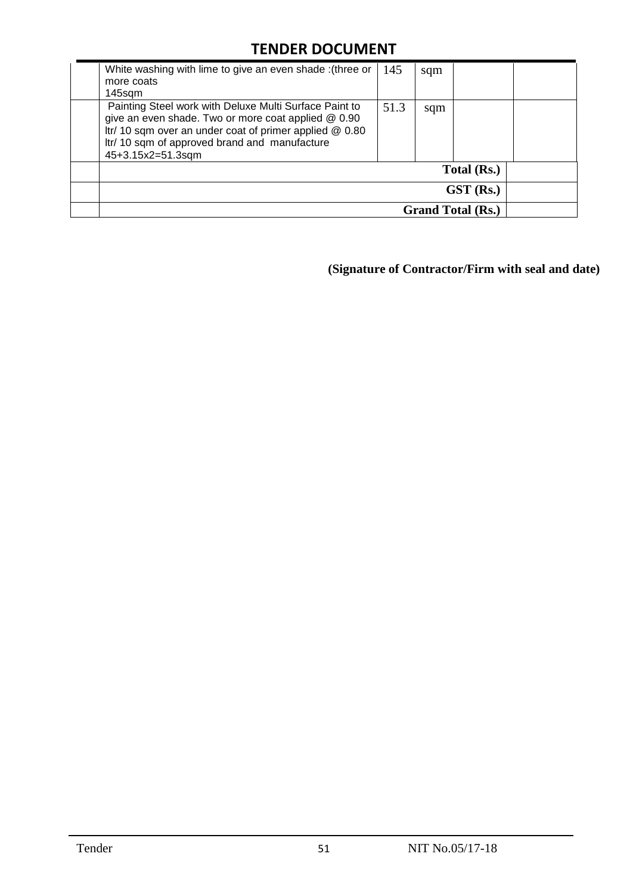| White washing with lime to give an even shade : (three or<br>more coats                                                                                                                                                                        | 145  | sqm |                          |  |
|------------------------------------------------------------------------------------------------------------------------------------------------------------------------------------------------------------------------------------------------|------|-----|--------------------------|--|
| 145sqm                                                                                                                                                                                                                                         |      |     |                          |  |
| Painting Steel work with Deluxe Multi Surface Paint to<br>give an even shade. Two or more coat applied @ 0.90<br>Itr/ 10 sqm over an under coat of primer applied @ 0.80<br>Itr/ 10 sqm of approved brand and manufacture<br>45+3.15x2=51.3sqm | 51.3 | sqm |                          |  |
|                                                                                                                                                                                                                                                |      |     | Total (Rs.)              |  |
|                                                                                                                                                                                                                                                |      |     | $GST$ (Rs.)              |  |
|                                                                                                                                                                                                                                                |      |     | <b>Grand Total (Rs.)</b> |  |

**(Signature of Contractor/Firm with seal and date)**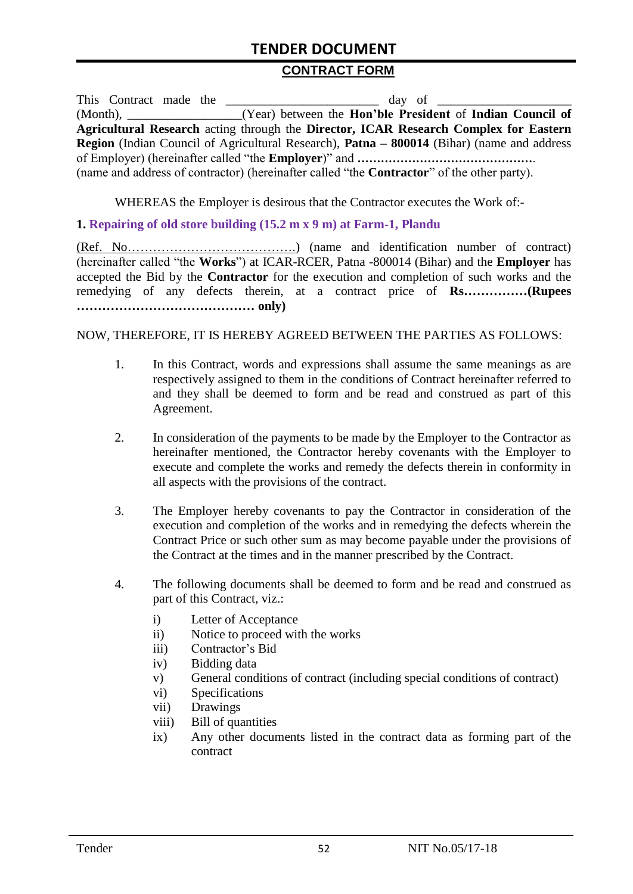#### **CONTRACT FORM**

This Contract made the day of  $\frac{1}{2}$ (Month), \_\_\_\_\_\_\_\_\_\_\_\_\_\_\_\_\_\_(Year) between the **Hon'ble President** of **Indian Council of Agricultural Research** acting through the **Director, ICAR Research Complex for Eastern Region** (Indian Council of Agricultural Research), **Patna – 800014** (Bihar) (name and address of Employer) (hereinafter called "the **Employer**)" and **………………………………………**. (name and address of contractor) (hereinafter called "the **Contractor**" of the other party).

WHEREAS the Employer is desirous that the Contractor executes the Work of:-

#### **1. Repairing of old store building (15.2 m x 9 m) at Farm-1, Plandu**

(Ref. No………………………………….) (name and identification number of contract) (hereinafter called "the **Works**") at ICAR-RCER, Patna -800014 (Bihar) and the **Employer** has accepted the Bid by the **Contractor** for the execution and completion of such works and the remedying of any defects therein, at a contract price of **Rs……………(Rupees …………………………………… only)**

NOW, THEREFORE, IT IS HEREBY AGREED BETWEEN THE PARTIES AS FOLLOWS:

- 1. In this Contract, words and expressions shall assume the same meanings as are respectively assigned to them in the conditions of Contract hereinafter referred to and they shall be deemed to form and be read and construed as part of this Agreement.
- 2. In consideration of the payments to be made by the Employer to the Contractor as hereinafter mentioned, the Contractor hereby covenants with the Employer to execute and complete the works and remedy the defects therein in conformity in all aspects with the provisions of the contract.
- 3. The Employer hereby covenants to pay the Contractor in consideration of the execution and completion of the works and in remedying the defects wherein the Contract Price or such other sum as may become payable under the provisions of the Contract at the times and in the manner prescribed by the Contract.
- 4. The following documents shall be deemed to form and be read and construed as part of this Contract, viz.:
	- i) Letter of Acceptance
	- ii) Notice to proceed with the works
	- iii) Contractor's Bid
	- iv) Bidding data
	- v) General conditions of contract (including special conditions of contract)
	- vi) Specifications
	- vii) Drawings
	- viii) Bill of quantities
	- ix) Any other documents listed in the contract data as forming part of the contract